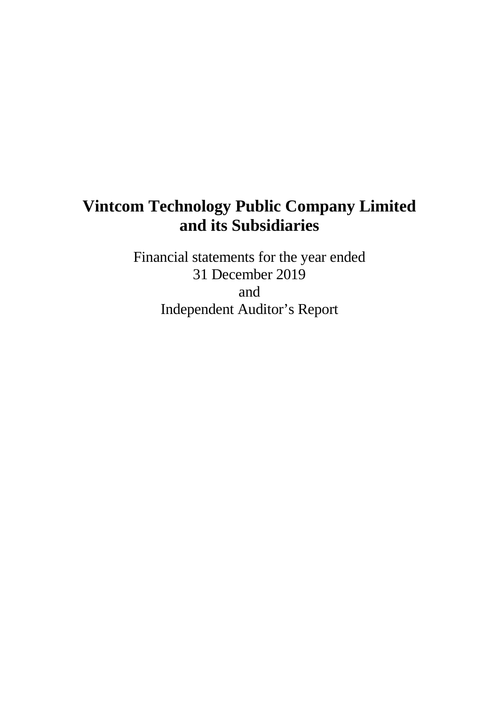Financial statements for the year ended 31 December 2019 and Independent Auditor's Report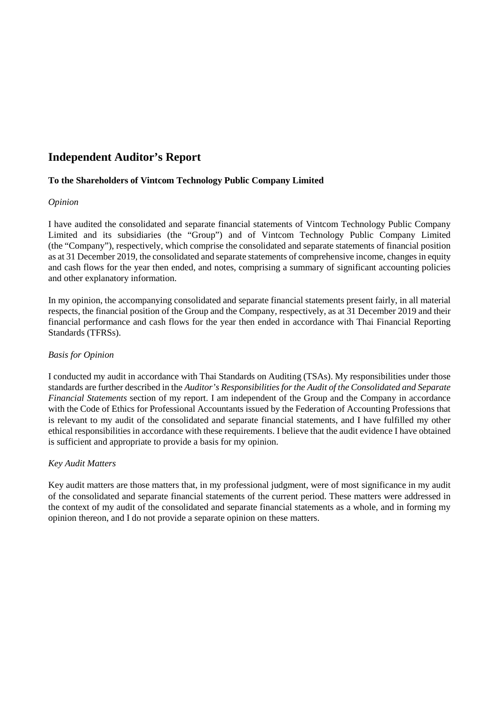## **Independent Auditor's Report**

### **To the Shareholders of Vintcom Technology Public Company Limited**

### *Opinion*

I have audited the consolidated and separate financial statements of Vintcom Technology Public Company Limited and its subsidiaries (the "Group") and of Vintcom Technology Public Company Limited (the "Company"), respectively, which comprise the consolidated and separate statements of financial position as at 31 December 2019, the consolidated and separate statements of comprehensive income, changes in equity and cash flows for the year then ended, and notes, comprising a summary of significant accounting policies and other explanatory information.

In my opinion, the accompanying consolidated and separate financial statements present fairly, in all material respects, the financial position of the Group and the Company, respectively, as at 31 December 2019 and their financial performance and cash flows for the year then ended in accordance with Thai Financial Reporting Standards (TFRSs).

### *Basis for Opinion*

I conducted my audit in accordance with Thai Standards on Auditing (TSAs). My responsibilities under those standards are further described in the *Auditor's Responsibilities for the Audit of the Consolidated and Separate Financial Statements* section of my report. I am independent of the Group and the Company in accordance with the Code of Ethics for Professional Accountants issued by the Federation of Accounting Professions that is relevant to my audit of the consolidated and separate financial statements, and I have fulfilled my other ethical responsibilities in accordance with these requirements. I believe that the audit evidence I have obtained is sufficient and appropriate to provide a basis for my opinion.

### *Key Audit Matters*

Key audit matters are those matters that, in my professional judgment, were of most significance in my audit of the consolidated and separate financial statements of the current period. These matters were addressed in the context of my audit of the consolidated and separate financial statements as a whole, and in forming my opinion thereon, and I do not provide a separate opinion on these matters.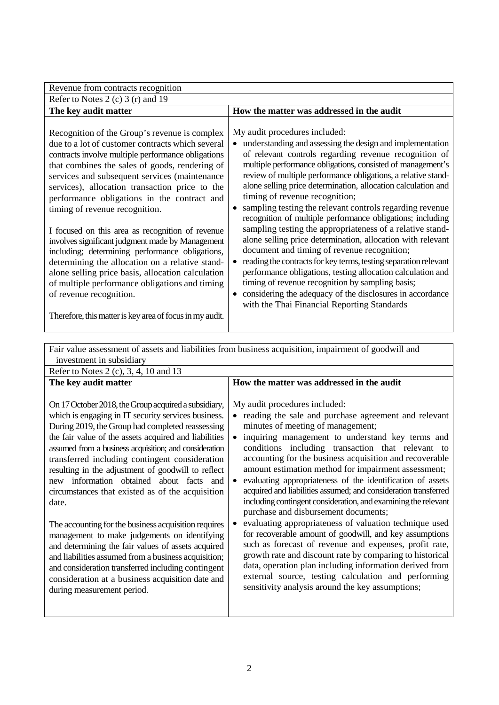| Revenue from contracts recognition                                                                                                                                                                                                                                                                                                                                                                                                                                                                                                                                                                                                                                                                                                                                                                        |                                                                                                                                                                                                                                                                                                                                                                                                                                                                                                                                                                                                                                                                                                                                                                                                                                                                                                                                                                                                                          |
|-----------------------------------------------------------------------------------------------------------------------------------------------------------------------------------------------------------------------------------------------------------------------------------------------------------------------------------------------------------------------------------------------------------------------------------------------------------------------------------------------------------------------------------------------------------------------------------------------------------------------------------------------------------------------------------------------------------------------------------------------------------------------------------------------------------|--------------------------------------------------------------------------------------------------------------------------------------------------------------------------------------------------------------------------------------------------------------------------------------------------------------------------------------------------------------------------------------------------------------------------------------------------------------------------------------------------------------------------------------------------------------------------------------------------------------------------------------------------------------------------------------------------------------------------------------------------------------------------------------------------------------------------------------------------------------------------------------------------------------------------------------------------------------------------------------------------------------------------|
| Refer to Notes 2 (c) 3 (r) and 19                                                                                                                                                                                                                                                                                                                                                                                                                                                                                                                                                                                                                                                                                                                                                                         |                                                                                                                                                                                                                                                                                                                                                                                                                                                                                                                                                                                                                                                                                                                                                                                                                                                                                                                                                                                                                          |
| The key audit matter                                                                                                                                                                                                                                                                                                                                                                                                                                                                                                                                                                                                                                                                                                                                                                                      | How the matter was addressed in the audit                                                                                                                                                                                                                                                                                                                                                                                                                                                                                                                                                                                                                                                                                                                                                                                                                                                                                                                                                                                |
| Recognition of the Group's revenue is complex<br>due to a lot of customer contracts which several<br>contracts involve multiple performance obligations<br>that combines the sales of goods, rendering of<br>services and subsequent services (maintenance<br>services), allocation transaction price to the<br>performance obligations in the contract and<br>timing of revenue recognition.<br>I focused on this area as recognition of revenue<br>involves significant judgment made by Management<br>including; determining performance obligations,<br>determining the allocation on a relative stand-<br>alone selling price basis, allocation calculation<br>of multiple performance obligations and timing<br>of revenue recognition.<br>Therefore, this matter is key area of focus in my audit. | My audit procedures included:<br>understanding and assessing the design and implementation<br>$\bullet$<br>of relevant controls regarding revenue recognition of<br>multiple performance obligations, consisted of management's<br>review of multiple performance obligations, a relative stand-<br>alone selling price determination, allocation calculation and<br>timing of revenue recognition;<br>sampling testing the relevant controls regarding revenue<br>recognition of multiple performance obligations; including<br>sampling testing the appropriateness of a relative stand-<br>alone selling price determination, allocation with relevant<br>document and timing of revenue recognition;<br>reading the contracts for key terms, testing separation relevant<br>performance obligations, testing allocation calculation and<br>timing of revenue recognition by sampling basis;<br>considering the adequacy of the disclosures in accordance<br>$\bullet$<br>with the Thai Financial Reporting Standards |

| Fair value assessment of assets and liabilities from business acquisition, impairment of goodwill and                                                                                                                                                                                                                                                                                                                                                                                                                                                                                                                                                                                                                                                                                                                                                             |                                                                                                                                                                                                                                                                                                                                                                                                                                                                                                                                                                                                                                                                                                                                                                                                                                                                                                                                                                                                                                |  |  |  |  |  |  |
|-------------------------------------------------------------------------------------------------------------------------------------------------------------------------------------------------------------------------------------------------------------------------------------------------------------------------------------------------------------------------------------------------------------------------------------------------------------------------------------------------------------------------------------------------------------------------------------------------------------------------------------------------------------------------------------------------------------------------------------------------------------------------------------------------------------------------------------------------------------------|--------------------------------------------------------------------------------------------------------------------------------------------------------------------------------------------------------------------------------------------------------------------------------------------------------------------------------------------------------------------------------------------------------------------------------------------------------------------------------------------------------------------------------------------------------------------------------------------------------------------------------------------------------------------------------------------------------------------------------------------------------------------------------------------------------------------------------------------------------------------------------------------------------------------------------------------------------------------------------------------------------------------------------|--|--|--|--|--|--|
| investment in subsidiary                                                                                                                                                                                                                                                                                                                                                                                                                                                                                                                                                                                                                                                                                                                                                                                                                                          |                                                                                                                                                                                                                                                                                                                                                                                                                                                                                                                                                                                                                                                                                                                                                                                                                                                                                                                                                                                                                                |  |  |  |  |  |  |
| Refer to Notes 2 (c), 3, 4, 10 and 13                                                                                                                                                                                                                                                                                                                                                                                                                                                                                                                                                                                                                                                                                                                                                                                                                             |                                                                                                                                                                                                                                                                                                                                                                                                                                                                                                                                                                                                                                                                                                                                                                                                                                                                                                                                                                                                                                |  |  |  |  |  |  |
| The key audit matter                                                                                                                                                                                                                                                                                                                                                                                                                                                                                                                                                                                                                                                                                                                                                                                                                                              | How the matter was addressed in the audit                                                                                                                                                                                                                                                                                                                                                                                                                                                                                                                                                                                                                                                                                                                                                                                                                                                                                                                                                                                      |  |  |  |  |  |  |
| On 17 October 2018, the Group acquired a subsidiary,<br>which is engaging in IT security services business.<br>During 2019, the Group had completed reassessing<br>the fair value of the assets acquired and liabilities<br>assumed from a business acquisition; and consideration<br>transferred including contingent consideration<br>resulting in the adjustment of goodwill to reflect<br>new information obtained about facts and<br>circumstances that existed as of the acquisition<br>date.<br>The accounting for the business acquisition requires<br>management to make judgements on identifying<br>and determining the fair values of assets acquired<br>and liabilities assumed from a business acquisition;<br>and consideration transferred including contingent<br>consideration at a business acquisition date and<br>during measurement period. | My audit procedures included:<br>reading the sale and purchase agreement and relevant<br>minutes of meeting of management;<br>inquiring management to understand key terms and<br>conditions including transaction that relevant to<br>accounting for the business acquisition and recoverable<br>amount estimation method for impairment assessment;<br>evaluating appropriateness of the identification of assets<br>$\bullet$<br>acquired and liabilities assumed; and consideration transferred<br>including contingent consideration, and examining the relevant<br>purchase and disbursement documents;<br>evaluating appropriateness of valuation technique used<br>for recoverable amount of goodwill, and key assumptions<br>such as forecast of revenue and expenses, profit rate,<br>growth rate and discount rate by comparing to historical<br>data, operation plan including information derived from<br>external source, testing calculation and performing<br>sensitivity analysis around the key assumptions; |  |  |  |  |  |  |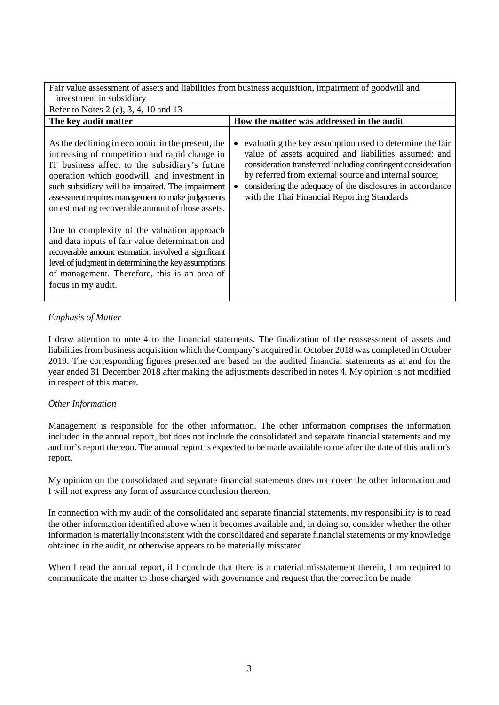Fair value assessment of assets and liabilities from business acquisition, impairment of goodwill and investment in subsidiary

| Refer to Notes 2 (c), 3, 4, 10 and 13                                                                                                                                                                                                                                                                                                                           |                                                                                                                                                                                                                                                                                                                                                        |
|-----------------------------------------------------------------------------------------------------------------------------------------------------------------------------------------------------------------------------------------------------------------------------------------------------------------------------------------------------------------|--------------------------------------------------------------------------------------------------------------------------------------------------------------------------------------------------------------------------------------------------------------------------------------------------------------------------------------------------------|
| The key audit matter                                                                                                                                                                                                                                                                                                                                            | How the matter was addressed in the audit                                                                                                                                                                                                                                                                                                              |
| As the declining in economic in the present, the<br>increasing of competition and rapid change in<br>IT business affect to the subsidiary's future<br>operation which goodwill, and investment in<br>such subsidiary will be impaired. The impairment<br>assessment requires management to make judgements<br>on estimating recoverable amount of those assets. | evaluating the key assumption used to determine the fair<br>value of assets acquired and liabilities assumed; and<br>consideration transferred including contingent consideration<br>by referred from external source and internal source;<br>considering the adequacy of the disclosures in accordance<br>with the Thai Financial Reporting Standards |
| Due to complexity of the valuation approach<br>and data inputs of fair value determination and<br>recoverable amount estimation involved a significant<br>level of judgment in determining the key assumptions<br>of management. Therefore, this is an area of<br>focus in my audit.                                                                            |                                                                                                                                                                                                                                                                                                                                                        |

### *Emphasis of Matter*

I draw attention to note 4 to the financial statements. The finalization of the reassessment of assets and liabilities from business acquisition which the Company's acquired in October 2018 was completed in October 2019. The corresponding figures presented are based on the audited financial statements as at and for the year ended 31 December 2018 after making the adjustments described in notes 4. My opinion is not modified in respect of this matter.

### *Other Information*

Management is responsible for the other information. The other information comprises the information included in the annual report, but does not include the consolidated and separate financial statements and my auditor's report thereon. The annual report is expected to be made available to me after the date of this auditor's report.

My opinion on the consolidated and separate financial statements does not cover the other information and I will not express any form of assurance conclusion thereon.

In connection with my audit of the consolidated and separate financial statements, my responsibility is to read the other information identified above when it becomes available and, in doing so, consider whether the other information is materially inconsistent with the consolidated and separate financial statements or my knowledge obtained in the audit, or otherwise appears to be materially misstated.

When I read the annual report, if I conclude that there is a material misstatement therein, I am required to communicate the matter to those charged with governance and request that the correction be made.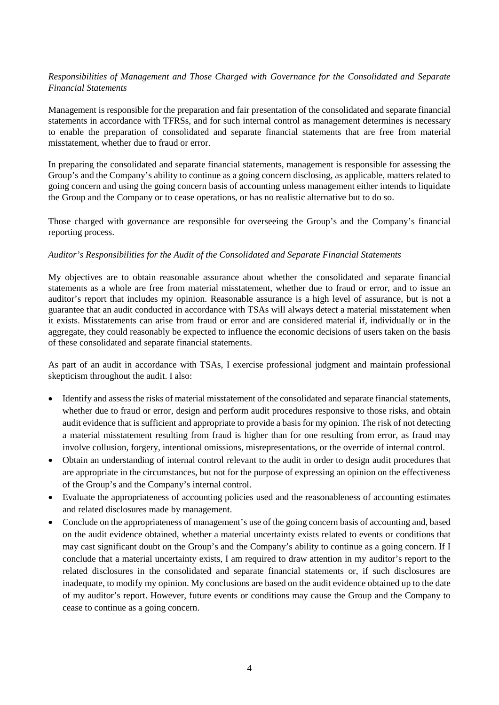### *Responsibilities of Management and Those Charged with Governance for the Consolidated and Separate Financial Statements*

Management is responsible for the preparation and fair presentation of the consolidated and separate financial statements in accordance with TFRSs, and for such internal control as management determines is necessary to enable the preparation of consolidated and separate financial statements that are free from material misstatement, whether due to fraud or error.

In preparing the consolidated and separate financial statements, management is responsible for assessing the Group's and the Company's ability to continue as a going concern disclosing, as applicable, matters related to going concern and using the going concern basis of accounting unless management either intends to liquidate the Group and the Company or to cease operations, or has no realistic alternative but to do so.

Those charged with governance are responsible for overseeing the Group's and the Company's financial reporting process.

### *Auditor's Responsibilities for the Audit of the Consolidated and Separate Financial Statements*

My objectives are to obtain reasonable assurance about whether the consolidated and separate financial statements as a whole are free from material misstatement, whether due to fraud or error, and to issue an auditor's report that includes my opinion. Reasonable assurance is a high level of assurance, but is not a guarantee that an audit conducted in accordance with TSAs will always detect a material misstatement when it exists. Misstatements can arise from fraud or error and are considered material if, individually or in the aggregate, they could reasonably be expected to influence the economic decisions of users taken on the basis of these consolidated and separate financial statements.

As part of an audit in accordance with TSAs, I exercise professional judgment and maintain professional skepticism throughout the audit. I also:

- Identify and assess the risks of material misstatement of the consolidated and separate financial statements, whether due to fraud or error, design and perform audit procedures responsive to those risks, and obtain audit evidence that is sufficient and appropriate to provide a basis for my opinion. The risk of not detecting a material misstatement resulting from fraud is higher than for one resulting from error, as fraud may involve collusion, forgery, intentional omissions, misrepresentations, or the override of internal control.
- Obtain an understanding of internal control relevant to the audit in order to design audit procedures that are appropriate in the circumstances, but not for the purpose of expressing an opinion on the effectiveness of the Group's and the Company's internal control.
- Evaluate the appropriateness of accounting policies used and the reasonableness of accounting estimates and related disclosures made by management.
- Conclude on the appropriateness of management's use of the going concern basis of accounting and, based on the audit evidence obtained, whether a material uncertainty exists related to events or conditions that may cast significant doubt on the Group's and the Company's ability to continue as a going concern. If I conclude that a material uncertainty exists, I am required to draw attention in my auditor's report to the related disclosures in the consolidated and separate financial statements or, if such disclosures are inadequate, to modify my opinion. My conclusions are based on the audit evidence obtained up to the date of my auditor's report. However, future events or conditions may cause the Group and the Company to cease to continue as a going concern.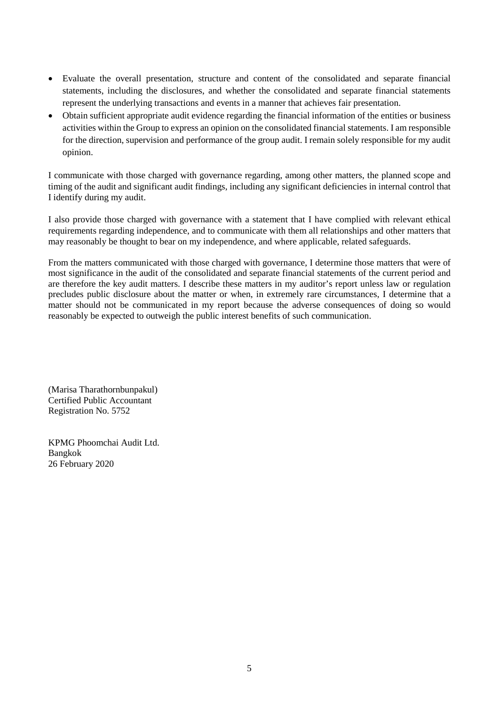- Evaluate the overall presentation, structure and content of the consolidated and separate financial statements, including the disclosures, and whether the consolidated and separate financial statements represent the underlying transactions and events in a manner that achieves fair presentation.
- Obtain sufficient appropriate audit evidence regarding the financial information of the entities or business activities within the Group to express an opinion on the consolidated financial statements. I am responsible for the direction, supervision and performance of the group audit. I remain solely responsible for my audit opinion.

I communicate with those charged with governance regarding, among other matters, the planned scope and timing of the audit and significant audit findings, including any significant deficiencies in internal control that I identify during my audit.

I also provide those charged with governance with a statement that I have complied with relevant ethical requirements regarding independence, and to communicate with them all relationships and other matters that may reasonably be thought to bear on my independence, and where applicable, related safeguards.

From the matters communicated with those charged with governance, I determine those matters that were of most significance in the audit of the consolidated and separate financial statements of the current period and are therefore the key audit matters. I describe these matters in my auditor's report unless law or regulation precludes public disclosure about the matter or when, in extremely rare circumstances, I determine that a matter should not be communicated in my report because the adverse consequences of doing so would reasonably be expected to outweigh the public interest benefits of such communication.

(Marisa Tharathornbunpakul) Certified Public Accountant Registration No. 5752

KPMG Phoomchai Audit Ltd. Bangkok 26 February 2020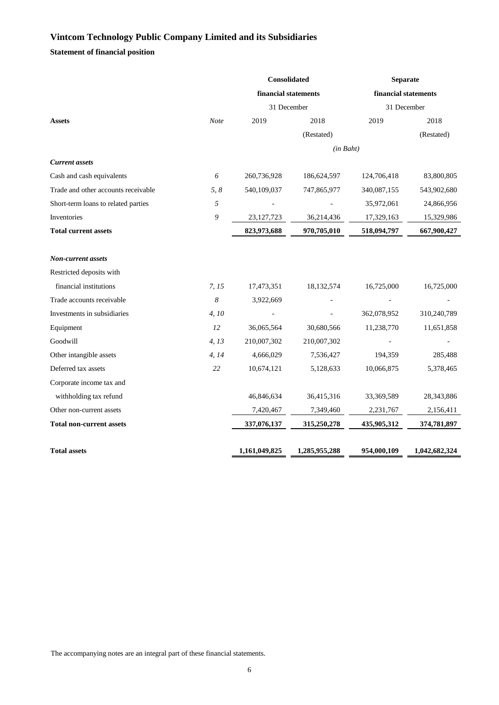**Statement of financial position**

|       | Consolidated         |               | <b>Separate</b>      |                          |  |
|-------|----------------------|---------------|----------------------|--------------------------|--|
|       | financial statements |               | financial statements |                          |  |
|       |                      |               |                      |                          |  |
| Note  | 2019                 | 2018          | 2019                 | 2018                     |  |
|       |                      | (Restated)    |                      | (Restated)               |  |
|       |                      |               |                      |                          |  |
|       |                      |               |                      |                          |  |
| 6     | 260,736,928          | 186,624,597   | 124,706,418          | 83,800,805               |  |
| 5, 8  | 540,109,037          | 747,865,977   | 340,087,155          | 543,902,680              |  |
| 5     |                      |               | 35,972,061           | 24,866,956               |  |
| 9     | 23, 127, 723         | 36,214,436    | 17,329,163           | 15,329,986               |  |
|       | 823,973,688          | 970,705,010   | 518,094,797          | 667,900,427              |  |
|       |                      |               |                      |                          |  |
|       |                      |               |                      |                          |  |
|       |                      |               |                      |                          |  |
| 7, 15 | 17,473,351           | 18,132,574    | 16,725,000           | 16,725,000               |  |
| 8     | 3,922,669            |               |                      |                          |  |
| 4,10  |                      |               | 362,078,952          | 310,240,789              |  |
| 12    | 36,065,564           | 30,680,566    | 11,238,770           | 11,651,858               |  |
| 4, 13 | 210,007,302          | 210,007,302   |                      |                          |  |
| 4, 14 | 4,666,029            | 7,536,427     | 194,359              | 285,488                  |  |
| 22    | 10,674,121           | 5,128,633     | 10,066,875           | 5,378,465                |  |
|       |                      |               |                      |                          |  |
|       | 46,846,634           | 36,415,316    | 33,369,589           | 28,343,886               |  |
|       | 7,420,467            | 7,349,460     | 2,231,767            | 2,156,411                |  |
|       | 337,076,137          | 315,250,278   | 435,905,312          | 374,781,897              |  |
|       | 1,161,049,825        | 1,285,955,288 | 954,000,109          | 1,042,682,324            |  |
|       |                      |               | 31 December          | 31 December<br>(in Baht) |  |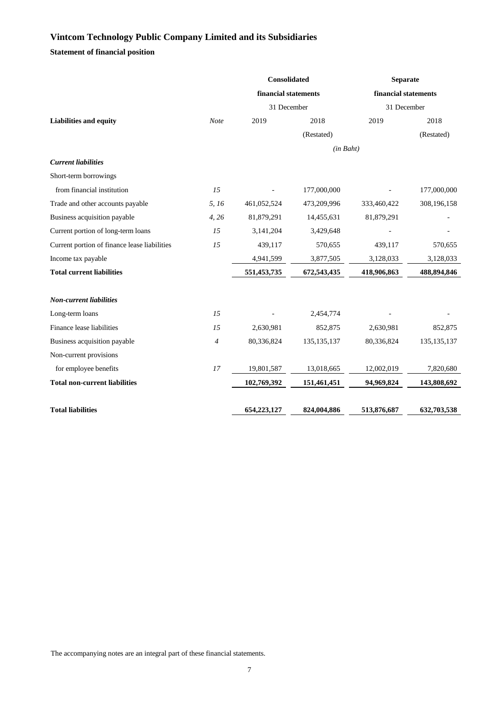**Statement of financial position**

|                                              |             | Consolidated         |               | <b>Separate</b>      |               |  |
|----------------------------------------------|-------------|----------------------|---------------|----------------------|---------------|--|
|                                              |             | financial statements |               | financial statements |               |  |
|                                              |             | 31 December          |               | 31 December          |               |  |
| <b>Liabilities and equity</b>                | <b>Note</b> | 2019                 | 2018          | 2019                 | 2018          |  |
|                                              |             |                      | (Restated)    |                      | (Restated)    |  |
|                                              |             |                      | (in Baht)     |                      |               |  |
| <b>Current liabilities</b>                   |             |                      |               |                      |               |  |
| Short-term borrowings                        |             |                      |               |                      |               |  |
| from financial institution                   | 15          |                      | 177,000,000   |                      | 177,000,000   |  |
| Trade and other accounts payable             | 5, 16       | 461,052,524          | 473,209,996   | 333,460,422          | 308,196,158   |  |
| Business acquisition payable                 | 4,26        | 81,879,291           | 14,455,631    | 81,879,291           |               |  |
| Current portion of long-term loans           | 15          | 3,141,204            | 3,429,648     |                      |               |  |
| Current portion of finance lease liabilities | 15          | 439,117              | 570,655       | 439,117              | 570,655       |  |
| Income tax payable                           |             | 4,941,599            | 3,877,505     | 3,128,033            | 3,128,033     |  |
| <b>Total current liabilities</b>             |             | 551,453,735          | 672,543,435   | 418,906,863          | 488,894,846   |  |
|                                              |             |                      |               |                      |               |  |
| <b>Non-current liabilities</b>               |             |                      |               |                      |               |  |
| Long-term loans                              | 15          |                      | 2,454,774     |                      |               |  |
| Finance lease liabilities                    | 15          | 2,630,981            | 852,875       | 2,630,981            | 852,875       |  |
| Business acquisition payable                 | 4           | 80,336,824           | 135, 135, 137 | 80,336,824           | 135, 135, 137 |  |
| Non-current provisions                       |             |                      |               |                      |               |  |
| for employee benefits                        | 17          | 19,801,587           | 13,018,665    | 12,002,019           | 7,820,680     |  |
| <b>Total non-current liabilities</b>         |             | 102,769,392          | 151,461,451   | 94,969,824           | 143,808,692   |  |
|                                              |             |                      |               |                      |               |  |
| <b>Total liabilities</b>                     |             | 654,223,127          | 824,004,886   | 513,876,687          | 632,703,538   |  |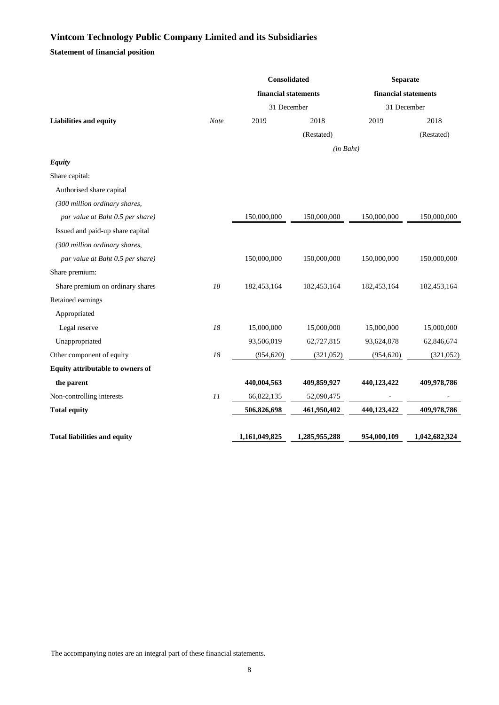**Statement of financial position**

|             |               |             | <b>Separate</b>                                                      |               |  |
|-------------|---------------|-------------|----------------------------------------------------------------------|---------------|--|
|             |               |             | financial statements<br>31 December                                  |               |  |
|             |               |             |                                                                      |               |  |
| <b>Note</b> | 2019          | 2018        | 2019                                                                 | 2018          |  |
|             |               | (Restated)  |                                                                      | (Restated)    |  |
|             |               |             |                                                                      |               |  |
|             |               |             |                                                                      |               |  |
|             |               |             |                                                                      |               |  |
|             |               |             |                                                                      |               |  |
|             |               |             |                                                                      |               |  |
|             | 150,000,000   | 150,000,000 | 150,000,000                                                          | 150,000,000   |  |
|             |               |             |                                                                      |               |  |
|             |               |             |                                                                      |               |  |
|             | 150,000,000   | 150,000,000 | 150,000,000                                                          | 150,000,000   |  |
|             |               |             |                                                                      |               |  |
| 18          | 182,453,164   | 182,453,164 | 182,453,164                                                          | 182,453,164   |  |
|             |               |             |                                                                      |               |  |
|             |               |             |                                                                      |               |  |
| 18          | 15,000,000    | 15,000,000  | 15,000,000                                                           | 15,000,000    |  |
|             | 93,506,019    | 62,727,815  | 93,624,878                                                           | 62,846,674    |  |
| 18          | (954, 620)    | (321,052)   | (954, 620)                                                           | (321,052)     |  |
|             |               |             |                                                                      |               |  |
|             | 440,004,563   | 409,859,927 | 440,123,422                                                          | 409,978,786   |  |
| 11          | 66,822,135    | 52,090,475  |                                                                      |               |  |
|             | 506,826,698   | 461,950,402 | 440,123,422                                                          | 409,978,786   |  |
|             | 1,161,049,825 |             | 954,000,109                                                          | 1,042,682,324 |  |
|             |               |             | Consolidated<br>financial statements<br>31 December<br>1,285,955,288 | (in Baht)     |  |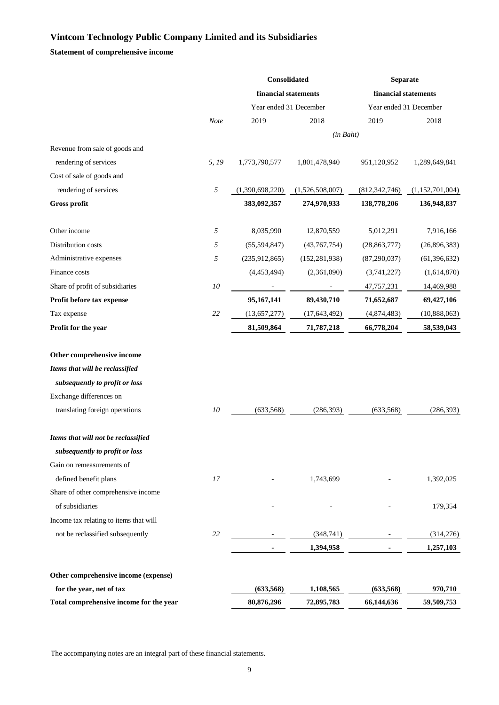**Statement of comprehensive income**

|                                         |            | Consolidated           |                 | <b>Separate</b>      |                        |  |  |
|-----------------------------------------|------------|------------------------|-----------------|----------------------|------------------------|--|--|
|                                         |            | financial statements   |                 | financial statements |                        |  |  |
|                                         |            | Year ended 31 December |                 |                      | Year ended 31 December |  |  |
|                                         | Note       | 2019                   | 2018            | 2019                 | 2018                   |  |  |
|                                         |            |                        | $(in$ $Baht)$   |                      |                        |  |  |
| Revenue from sale of goods and          |            |                        |                 |                      |                        |  |  |
| rendering of services                   | 5, 19      | 1,773,790,577          | 1,801,478,940   | 951,120,952          | 1,289,649,841          |  |  |
| Cost of sale of goods and               |            |                        |                 |                      |                        |  |  |
| rendering of services                   | $\sqrt{2}$ | (1,390,698,220)        | (1,526,508,007) | (812, 342, 746)      | (1,152,701,004)        |  |  |
| Gross profit                            |            | 383,092,357            | 274,970,933     | 138,778,206          | 136,948,837            |  |  |
| Other income                            | 5          | 8,035,990              | 12,870,559      | 5,012,291            | 7,916,166              |  |  |
| Distribution costs                      | 5          | (55,594,847)           | (43,767,754)    | (28, 863, 777)       | (26,896,383)           |  |  |
| Administrative expenses                 | 5          | (235, 912, 865)        | (152, 281, 938) | (87,290,037)         | (61, 396, 632)         |  |  |
| Finance costs                           |            | (4,453,494)            | (2,361,090)     | (3,741,227)          | (1,614,870)            |  |  |
| Share of profit of subsidiaries         | 10         |                        |                 | 47,757,231           | 14,469,988             |  |  |
| Profit before tax expense               |            | 95,167,141             | 89,430,710      | 71,652,687           | 69,427,106             |  |  |
| Tax expense                             | 22         | (13, 657, 277)         | (17, 643, 492)  | (4,874,483)          | (10,888,063)           |  |  |
| Profit for the year                     |            | 81,509,864             | 71,787,218      | 66,778,204           | 58,539,043             |  |  |
| Other comprehensive income              |            |                        |                 |                      |                        |  |  |
| Items that will be reclassified         |            |                        |                 |                      |                        |  |  |
| subsequently to profit or loss          |            |                        |                 |                      |                        |  |  |
| Exchange differences on                 |            |                        |                 |                      |                        |  |  |
| translating foreign operations          | 10         | (633, 568)             | (286, 393)      | (633, 568)           | (286, 393)             |  |  |
| Items that will not be reclassified     |            |                        |                 |                      |                        |  |  |
| subsequently to profit or loss          |            |                        |                 |                      |                        |  |  |
| Gain on remeasurements of               |            |                        |                 |                      |                        |  |  |
| defined benefit plans                   | 17         |                        | 1,743,699       |                      | 1,392,025              |  |  |
| Share of other comprehensive income     |            |                        |                 |                      |                        |  |  |
| of subsidiaries                         |            |                        |                 |                      | 179,354                |  |  |
| Income tax relating to items that will  |            |                        |                 |                      |                        |  |  |
| not be reclassified subsequently        | 22         |                        | (348, 741)      |                      | (314,276)              |  |  |
|                                         |            |                        | 1,394,958       |                      | 1,257,103              |  |  |
| Other comprehensive income (expense)    |            |                        |                 |                      |                        |  |  |
| for the year, net of tax                |            | (633, 568)             | 1,108,565       | (633,568)            | 970,710                |  |  |
| Total comprehensive income for the year |            | 80,876,296             | 72,895,783      | 66,144,636           | 59,509,753             |  |  |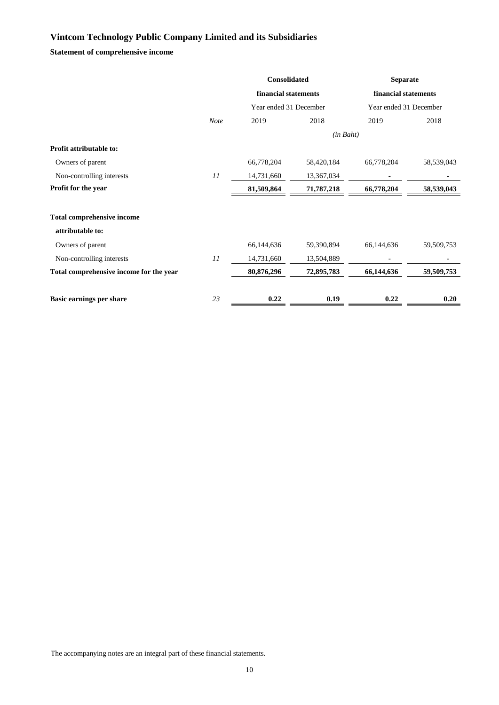**Statement of comprehensive income**

|                                         |             | <b>Consolidated</b>    |            | <b>Separate</b>        |            |
|-----------------------------------------|-------------|------------------------|------------|------------------------|------------|
|                                         |             | financial statements   |            | financial statements   |            |
|                                         |             | Year ended 31 December |            | Year ended 31 December |            |
|                                         | <b>Note</b> | 2019                   | 2018       | 2019                   | 2018       |
|                                         |             |                        | (in Baht)  |                        |            |
| <b>Profit attributable to:</b>          |             |                        |            |                        |            |
| Owners of parent                        |             | 66,778,204             | 58,420,184 | 66,778,204             | 58,539,043 |
| Non-controlling interests               | 11          | 14,731,660             | 13,367,034 |                        |            |
| Profit for the year                     |             | 81,509,864             | 71,787,218 | 66,778,204             | 58,539,043 |
|                                         |             |                        |            |                        |            |
| <b>Total comprehensive income</b>       |             |                        |            |                        |            |
| attributable to:                        |             |                        |            |                        |            |
| Owners of parent                        |             | 66,144,636             | 59,390,894 | 66,144,636             | 59,509,753 |
| Non-controlling interests               | 11          | 14,731,660             | 13,504,889 |                        |            |
| Total comprehensive income for the year |             | 80,876,296             | 72,895,783 | 66,144,636             | 59,509,753 |
|                                         |             |                        |            |                        |            |
| Basic earnings per share                | 23          | 0.22                   | 0.19       | 0.22                   | 0.20       |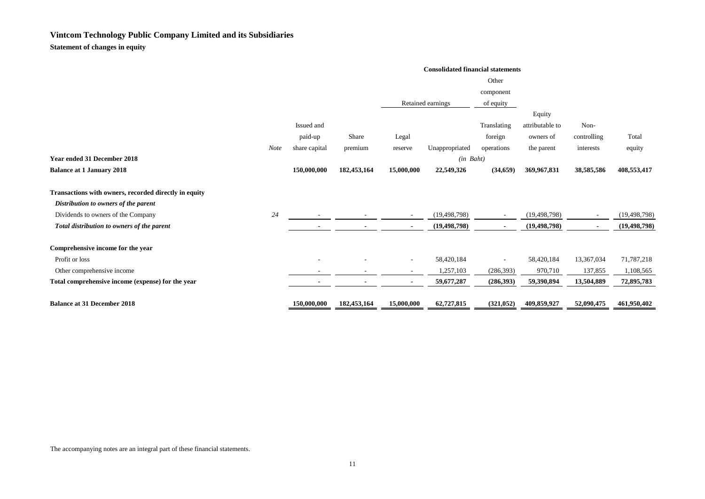**Statement of changes in equity**

|                                                       | <b>Consolidated financial statements</b> |               |             |                          |                   |                          |                 |                          |                |  |
|-------------------------------------------------------|------------------------------------------|---------------|-------------|--------------------------|-------------------|--------------------------|-----------------|--------------------------|----------------|--|
|                                                       |                                          |               | Other       |                          |                   |                          |                 |                          |                |  |
|                                                       |                                          |               |             |                          |                   | component                |                 |                          |                |  |
|                                                       |                                          |               |             |                          | Retained earnings | of equity                |                 |                          |                |  |
|                                                       |                                          |               |             |                          |                   |                          | Equity          |                          |                |  |
|                                                       |                                          | Issued and    |             |                          |                   | Translating              | attributable to | Non-                     |                |  |
|                                                       |                                          | paid-up       | Share       | Legal                    |                   | foreign                  | owners of       | controlling              | Total          |  |
|                                                       | <b>Note</b>                              | share capital | premium     | reserve                  | Unappropriated    | operations               | the parent      | interests                | equity         |  |
| Year ended 31 December 2018                           |                                          |               |             |                          | $(in$ $Baht)$     |                          |                 |                          |                |  |
| <b>Balance at 1 January 2018</b>                      |                                          | 150,000,000   | 182,453,164 | 15,000,000               | 22,549,326        | (34, 659)                | 369,967,831     | 38,585,586               | 408,553,417    |  |
| Transactions with owners, recorded directly in equity |                                          |               |             |                          |                   |                          |                 |                          |                |  |
| Distribution to owners of the parent                  |                                          |               |             |                          |                   |                          |                 |                          |                |  |
| Dividends to owners of the Company                    | 24                                       |               | ٠           | $\sim$                   | (19, 498, 798)    | $\sim$                   | (19, 498, 798)  | $\overline{\phantom{a}}$ | (19, 498, 798) |  |
| Total distribution to owners of the parent            |                                          |               |             | $\blacksquare$           | (19, 498, 798)    | $\blacksquare$           | (19, 498, 798)  | $\blacksquare$           | (19, 498, 798) |  |
| Comprehensive income for the year                     |                                          |               |             |                          |                   |                          |                 |                          |                |  |
| Profit or loss                                        |                                          | ٠             |             | $\overline{\phantom{a}}$ | 58,420,184        | $\overline{\phantom{a}}$ | 58,420,184      | 13,367,034               | 71,787,218     |  |
| Other comprehensive income                            |                                          |               | ٠           | ٠                        | 1,257,103         | (286, 393)               | 970,710         | 137,855                  | 1,108,565      |  |
| Total comprehensive income (expense) for the year     |                                          |               |             | $\blacksquare$           | 59,677,287        | (286,393)                | 59,390,894      | 13,504,889               | 72,895,783     |  |
| <b>Balance at 31 December 2018</b>                    |                                          | 150,000,000   | 182,453,164 | 15,000,000               | 62,727,815        | (321, 052)               | 409,859,927     | 52,090,475               | 461,950,402    |  |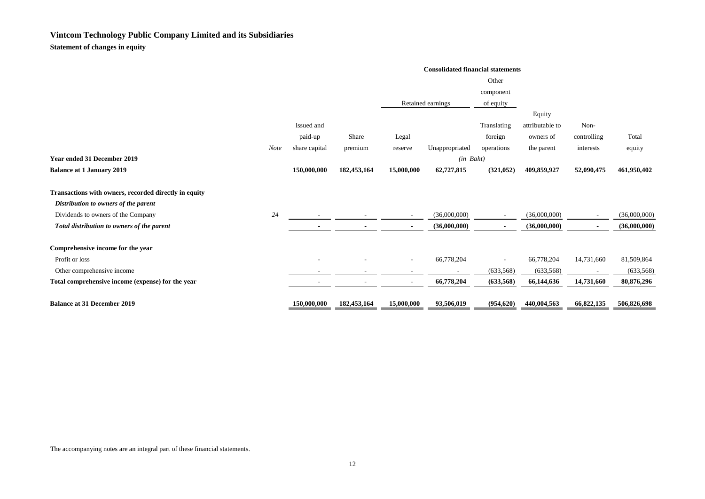**Statement of changes in equity**

|                                                       | <b>Consolidated financial statements</b> |               |                |                          |                   |                          |                 |                |              |
|-------------------------------------------------------|------------------------------------------|---------------|----------------|--------------------------|-------------------|--------------------------|-----------------|----------------|--------------|
|                                                       |                                          | Other         |                |                          |                   |                          |                 |                |              |
|                                                       |                                          |               |                |                          |                   | component                |                 |                |              |
|                                                       |                                          |               |                |                          | Retained earnings | of equity                |                 |                |              |
|                                                       |                                          |               |                |                          |                   |                          | Equity          |                |              |
|                                                       |                                          | Issued and    |                |                          |                   | Translating              | attributable to | Non-           |              |
|                                                       |                                          | paid-up       | Share          | Legal                    |                   | foreign                  | owners of       | controlling    | Total        |
|                                                       | <b>Note</b>                              | share capital | premium        | reserve                  | Unappropriated    | operations               | the parent      | interests      | equity       |
| Year ended 31 December 2019                           |                                          |               |                |                          | $(in$ Baht)       |                          |                 |                |              |
| <b>Balance at 1 January 2019</b>                      |                                          | 150,000,000   | 182,453,164    | 15,000,000               | 62,727,815        | (321, 052)               | 409,859,927     | 52,090,475     | 461,950,402  |
| Transactions with owners, recorded directly in equity |                                          |               |                |                          |                   |                          |                 |                |              |
| Distribution to owners of the parent                  |                                          |               |                |                          |                   |                          |                 |                |              |
| Dividends to owners of the Company                    | 24                                       |               |                |                          | (36,000,000)      |                          | (36,000,000)    |                | (36,000,000) |
| Total distribution to owners of the parent            |                                          |               |                | $\sim$                   | (36,000,000)      | $\blacksquare$           | (36,000,000)    | $\blacksquare$ | (36,000,000) |
| Comprehensive income for the year                     |                                          |               |                |                          |                   |                          |                 |                |              |
| Profit or loss                                        |                                          |               |                | $\overline{\phantom{a}}$ | 66,778,204        | $\overline{\phantom{a}}$ | 66,778,204      | 14,731,660     | 81,509,864   |
| Other comprehensive income                            |                                          |               |                |                          |                   | (633, 568)               | (633, 568)      |                | (633, 568)   |
| Total comprehensive income (expense) for the year     |                                          | -             | $\blacksquare$ | $\sim$                   | 66,778,204        | (633,568)                | 66,144,636      | 14,731,660     | 80,876,296   |
| <b>Balance at 31 December 2019</b>                    |                                          | 150,000,000   | 182,453,164    | 15,000,000               | 93,506,019        | (954, 620)               | 440,004,563     | 66,822,135     | 506,826,698  |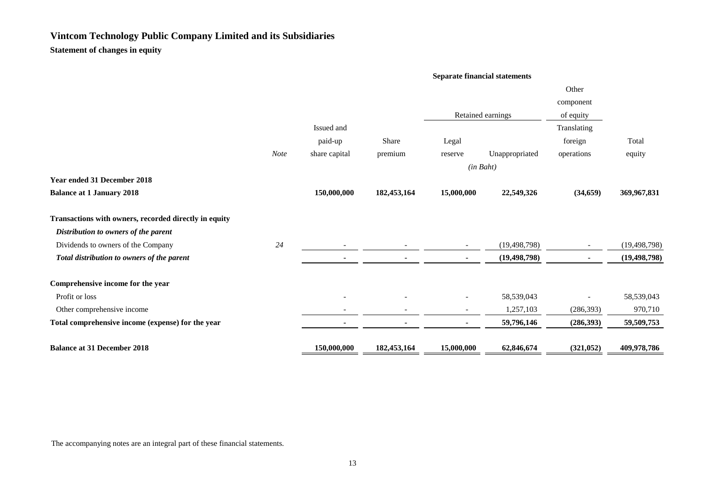**Statement of changes in equity**

#### **Separate financial statements**

|                                                       |             |               |                |            |                   | Other                    |                |
|-------------------------------------------------------|-------------|---------------|----------------|------------|-------------------|--------------------------|----------------|
|                                                       |             |               |                |            |                   | component                |                |
|                                                       |             |               |                |            | Retained earnings | of equity                |                |
|                                                       |             | Issued and    |                |            |                   | Translating              |                |
|                                                       |             | paid-up       | Share          | Legal      |                   | foreign                  | Total          |
|                                                       | <b>Note</b> | share capital | premium        | reserve    | Unappropriated    | operations               | equity         |
|                                                       |             |               |                |            | (in Baht)         |                          |                |
| <b>Year ended 31 December 2018</b>                    |             |               |                |            |                   |                          |                |
| <b>Balance at 1 January 2018</b>                      |             | 150,000,000   | 182,453,164    | 15,000,000 | 22,549,326        | (34, 659)                | 369,967,831    |
| Transactions with owners, recorded directly in equity |             |               |                |            |                   |                          |                |
| Distribution to owners of the parent                  |             |               |                |            |                   |                          |                |
| Dividends to owners of the Company                    | 24          |               |                |            | (19, 498, 798)    | $\overline{\phantom{a}}$ | (19, 498, 798) |
| Total distribution to owners of the parent            |             |               | ٠              |            | (19, 498, 798)    | $\blacksquare$           | (19, 498, 798) |
| Comprehensive income for the year                     |             |               |                |            |                   |                          |                |
| Profit or loss                                        |             |               |                |            | 58,539,043        |                          | 58,539,043     |
| Other comprehensive income                            |             |               |                |            | 1,257,103         | (286, 393)               | 970,710        |
| Total comprehensive income (expense) for the year     |             |               | $\blacksquare$ |            | 59,796,146        | (286, 393)               | 59,509,753     |
| <b>Balance at 31 December 2018</b>                    |             | 150,000,000   | 182,453,164    | 15,000,000 | 62,846,674        | (321, 052)               | 409,978,786    |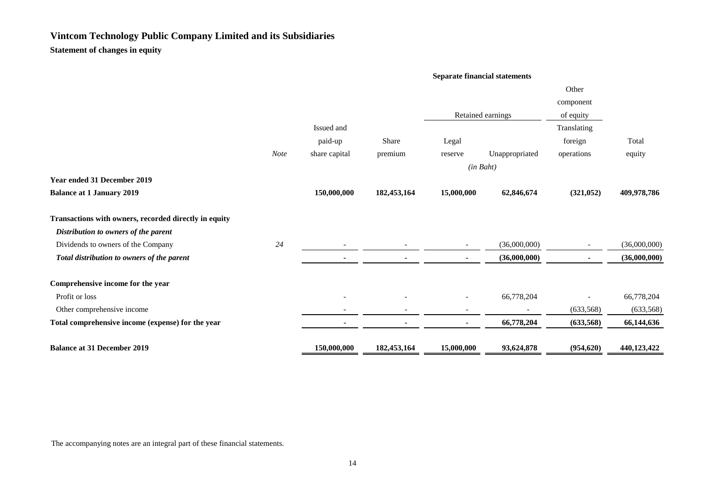**Statement of changes in equity**

#### **Separate financial statements**

|                                                       |             |                |             |            |                   | Other          |              |
|-------------------------------------------------------|-------------|----------------|-------------|------------|-------------------|----------------|--------------|
|                                                       |             |                |             |            |                   | component      |              |
|                                                       |             |                |             |            | Retained earnings | of equity      |              |
|                                                       |             | Issued and     |             |            |                   | Translating    |              |
|                                                       |             | paid-up        | Share       | Legal      |                   | foreign        | Total        |
|                                                       | <b>Note</b> | share capital  | premium     | reserve    | Unappropriated    | operations     | equity       |
|                                                       |             |                |             | (in Baht)  |                   |                |              |
| <b>Year ended 31 December 2019</b>                    |             |                |             |            |                   |                |              |
| <b>Balance at 1 January 2019</b>                      |             | 150,000,000    | 182,453,164 | 15,000,000 | 62,846,674        | (321, 052)     | 409,978,786  |
| Transactions with owners, recorded directly in equity |             |                |             |            |                   |                |              |
| Distribution to owners of the parent                  |             |                |             |            |                   |                |              |
| Dividends to owners of the Company                    | 24          |                |             |            | (36,000,000)      |                | (36,000,000) |
| Total distribution to owners of the parent            |             |                | ٠           |            | (36,000,000)      | $\blacksquare$ | (36,000,000) |
| Comprehensive income for the year                     |             |                |             |            |                   |                |              |
| Profit or loss                                        |             |                |             |            | 66,778,204        |                | 66,778,204   |
| Other comprehensive income                            |             |                |             |            |                   | (633, 568)     | (633, 568)   |
| Total comprehensive income (expense) for the year     |             | $\blacksquare$ | ٠           |            | 66,778,204        | (633,568)      | 66,144,636   |
| <b>Balance at 31 December 2019</b>                    |             | 150,000,000    | 182,453,164 | 15,000,000 | 93,624,878        | (954, 620)     | 440,123,422  |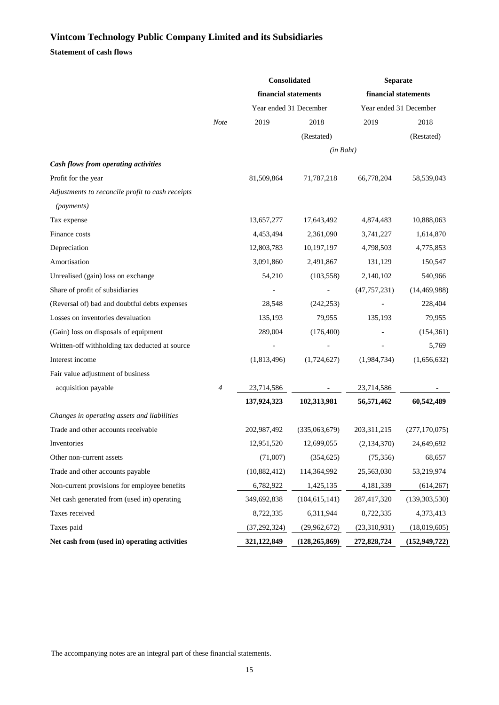### **Statement of cash flows**

|                                                  |                | Consolidated           |                 | <b>Separate</b>        |                 |
|--------------------------------------------------|----------------|------------------------|-----------------|------------------------|-----------------|
|                                                  |                | financial statements   |                 | financial statements   |                 |
|                                                  |                | Year ended 31 December |                 | Year ended 31 December |                 |
|                                                  | Note           | 2019                   | 2018            | 2019                   | 2018            |
|                                                  |                |                        | (Restated)      |                        | (Restated)      |
|                                                  |                |                        | (in Baht)       |                        |                 |
| Cash flows from operating activities             |                |                        |                 |                        |                 |
| Profit for the year                              |                | 81,509,864             | 71,787,218      | 66,778,204             | 58,539,043      |
| Adjustments to reconcile profit to cash receipts |                |                        |                 |                        |                 |
| (payments)                                       |                |                        |                 |                        |                 |
| Tax expense                                      |                | 13,657,277             | 17,643,492      | 4,874,483              | 10,888,063      |
| Finance costs                                    |                | 4,453,494              | 2,361,090       | 3,741,227              | 1,614,870       |
| Depreciation                                     |                | 12,803,783             | 10,197,197      | 4,798,503              | 4,775,853       |
| Amortisation                                     |                | 3,091,860              | 2,491,867       | 131,129                | 150,547         |
| Unrealised (gain) loss on exchange               |                | 54,210                 | (103, 558)      | 2,140,102              | 540,966         |
| Share of profit of subsidiaries                  |                |                        |                 | (47, 757, 231)         | (14, 469, 988)  |
| (Reversal of) bad and doubtful debts expenses    |                | 28,548                 | (242, 253)      |                        | 228,404         |
| Losses on inventories devaluation                |                | 135,193                | 79,955          | 135,193                | 79,955          |
| (Gain) loss on disposals of equipment            |                | 289,004                | (176, 400)      |                        | (154, 361)      |
| Written-off withholding tax deducted at source   |                |                        |                 |                        | 5,769           |
| Interest income                                  |                | (1,813,496)            | (1,724,627)     | (1,984,734)            | (1,656,632)     |
| Fair value adjustment of business                |                |                        |                 |                        |                 |
| acquisition payable                              | $\overline{4}$ | 23,714,586             |                 | 23,714,586             |                 |
|                                                  |                | 137,924,323            | 102,313,981     | 56,571,462             | 60,542,489      |
| Changes in operating assets and liabilities      |                |                        |                 |                        |                 |
| Trade and other accounts receivable              |                | 202,987,492            | (335,063,679)   | 203, 311, 215          | (277, 170, 075) |
| Inventories                                      |                | 12,951,520             | 12,699,055      | (2, 134, 370)          | 24,649,692      |
| Other non-current assets                         |                | (71,007)               | (354, 625)      | (75, 356)              | 68,657          |
| Trade and other accounts payable                 |                | (10,882,412)           | 114,364,992     | 25,563,030             | 53,219,974      |
| Non-current provisions for employee benefits     |                | 6,782,922              | 1,425,135       | 4, 181, 339            | (614, 267)      |
| Net cash generated from (used in) operating      |                | 349,692,838            | (104, 615, 141) | 287,417,320            | (139, 303, 530) |
| Taxes received                                   |                | 8,722,335              | 6,311,944       | 8,722,335              | 4,373,413       |
| Taxes paid                                       |                | (37, 292, 324)         | (29,962,672)    | (23,310,931)           | (18,019,605)    |
| Net cash from (used in) operating activities     |                | 321,122,849            | (128, 265, 869) | 272,828,724            | (152, 949, 722) |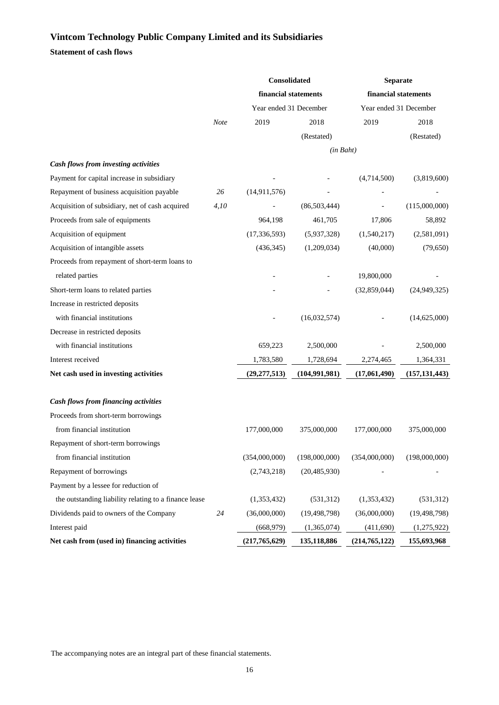**Statement of cash flows**

|                                                       |      | Consolidated           |                 | Separate               |                 |
|-------------------------------------------------------|------|------------------------|-----------------|------------------------|-----------------|
|                                                       |      | financial statements   |                 | financial statements   |                 |
|                                                       |      | Year ended 31 December |                 | Year ended 31 December |                 |
|                                                       | Note | 2019                   | 2018            | 2019                   | 2018            |
|                                                       |      |                        | (Restated)      |                        | (Restated)      |
|                                                       |      |                        | (in Baht)       |                        |                 |
| Cash flows from investing activities                  |      |                        |                 |                        |                 |
| Payment for capital increase in subsidiary            |      |                        |                 | (4,714,500)            | (3,819,600)     |
| Repayment of business acquisition payable             | 26   | (14, 911, 576)         |                 |                        |                 |
| Acquisition of subsidiary, net of cash acquired       | 4,10 |                        | (86, 503, 444)  |                        | (115,000,000)   |
| Proceeds from sale of equipments                      |      | 964,198                | 461,705         | 17,806                 | 58,892          |
| Acquisition of equipment                              |      | (17, 336, 593)         | (5,937,328)     | (1,540,217)            | (2,581,091)     |
| Acquisition of intangible assets                      |      | (436, 345)             | (1,209,034)     | (40,000)               | (79, 650)       |
| Proceeds from repayment of short-term loans to        |      |                        |                 |                        |                 |
| related parties                                       |      |                        |                 | 19,800,000             |                 |
| Short-term loans to related parties                   |      |                        |                 | (32,859,044)           | (24, 949, 325)  |
| Increase in restricted deposits                       |      |                        |                 |                        |                 |
| with financial institutions                           |      |                        | (16,032,574)    |                        | (14,625,000)    |
| Decrease in restricted deposits                       |      |                        |                 |                        |                 |
| with financial institutions                           |      | 659,223                | 2,500,000       |                        | 2,500,000       |
| Interest received                                     |      | 1,783,580              | 1,728,694       | 2,274,465              | 1,364,331       |
| Net cash used in investing activities                 |      | (29, 277, 513)         | (104, 991, 981) | (17,061,490)           | (157, 131, 443) |
|                                                       |      |                        |                 |                        |                 |
| Cash flows from financing activities                  |      |                        |                 |                        |                 |
| Proceeds from short-term borrowings                   |      |                        |                 |                        |                 |
| from financial institution                            |      | 177,000,000            | 375,000,000     | 177,000,000            | 375,000,000     |
| Repayment of short-term borrowings                    |      |                        |                 |                        |                 |
| from financial institution                            |      | (354,000,000)          | (198,000,000)   | (354,000,000)          | (198,000,000)   |
| Repayment of borrowings                               |      | (2,743,218)            | (20, 485, 930)  |                        |                 |
| Payment by a lessee for reduction of                  |      |                        |                 |                        |                 |
| the outstanding liability relating to a finance lease |      | (1,353,432)            | (531,312)       | (1,353,432)            | (531,312)       |
| Dividends paid to owners of the Company               | 24   | (36,000,000)           | (19, 498, 798)  | (36,000,000)           | (19, 498, 798)  |
| Interest paid                                         |      | (668, 979)             | (1,365,074)     | (411,690)              | (1,275,922)     |
| Net cash from (used in) financing activities          |      | (217,765,629)          | 135,118,886     | (214, 765, 122)        | 155,693,968     |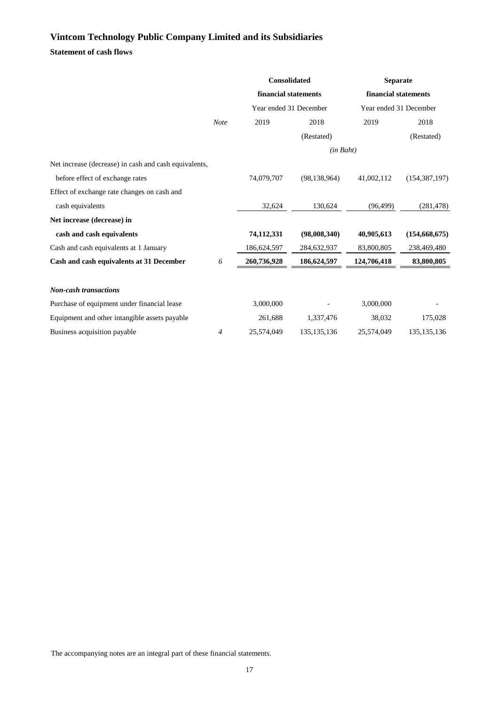## **Statement of cash flows**

|                                                       |                | <b>Consolidated</b>    |                | <b>Separate</b>        |                 |
|-------------------------------------------------------|----------------|------------------------|----------------|------------------------|-----------------|
|                                                       |                | financial statements   |                | financial statements   |                 |
|                                                       |                | Year ended 31 December |                | Year ended 31 December |                 |
|                                                       | <b>Note</b>    | 2019                   | 2018           | 2019                   | 2018            |
|                                                       |                |                        | (Restated)     |                        | (Restated)      |
|                                                       |                |                        | (in Baht)      |                        |                 |
| Net increase (decrease) in cash and cash equivalents, |                |                        |                |                        |                 |
| before effect of exchange rates                       |                | 74,079,707             | (98, 138, 964) | 41,002,112             | (154, 387, 197) |
| Effect of exchange rate changes on cash and           |                |                        |                |                        |                 |
| cash equivalents                                      |                | 32,624                 | 130,624        | (96, 499)              | (281, 478)      |
| Net increase (decrease) in                            |                |                        |                |                        |                 |
| cash and cash equivalents                             |                | 74,112,331             | (98,008,340)   | 40,905,613             | (154, 668, 675) |
| Cash and cash equivalents at 1 January                |                | 186,624,597            | 284,632,937    | 83,800,805             | 238,469,480     |
| Cash and cash equivalents at 31 December              | 6              | 260,736,928            | 186,624,597    | 124,706,418            | 83,800,805      |
|                                                       |                |                        |                |                        |                 |
| <b>Non-cash transactions</b>                          |                |                        |                |                        |                 |
| Purchase of equipment under financial lease           |                | 3,000,000              |                | 3,000,000              |                 |
| Equipment and other intangible assets payable         |                | 261,688                | 1,337,476      | 38,032                 | 175,028         |
| Business acquisition payable                          | $\overline{4}$ | 25,574,049             | 135, 135, 136  | 25,574,049             | 135, 135, 136   |
|                                                       |                |                        |                |                        |                 |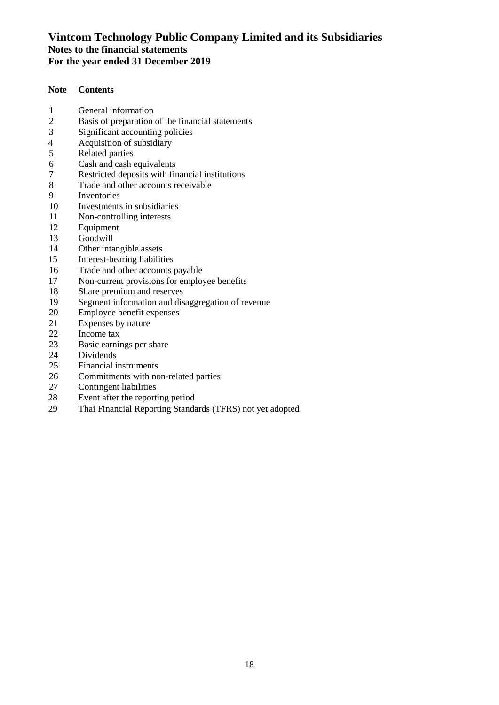### **Note Contents**

- 
- 1 General information<br>2 Basis of preparation 2 Basis of preparation of the financial statements<br>3 Significant accounting policies
- 3 Significant accounting policies<br>4 Acquisition of subsidiary
- 4 Acquisition of subsidiary<br>5 Related parties
- 5 Related parties<br>6 Cash and cash of
- 6 Cash and cash equivalents<br>7 Restricted deposits with fir
- 7 Restricted deposits with financial institutions<br>8 Trade and other accounts receivable
- Trade and other accounts receivable
- 9 Inventories<br>10 Investments
- 10 Investments in subsidiaries<br>11 Non-controlling interests
- 11 Non-controlling interests<br>12 Equipment
- 12 Equipment<br>13 Goodwill
- 13 Goodwill<br>14 Other inta
- 14 Other intangible assets<br>15 Interest-bearing liability
- 15 Interest-bearing liabilities<br>16 Trade and other accounts
- 16 Trade and other accounts payable<br>17 Non-current provisions for employ
- 17 Non-current provisions for employee benefits<br>18 Share premium and reserves
- 18 Share premium and reserves<br>19 Segment information and dis
- 19 Segment information and disaggregation of revenue<br>20 Employee benefit expenses
- 20 Employee benefit expenses<br>21 Expenses by nature
- 21 Expenses by nature<br>22 Income tax
- 22 Income tax<br>23 Basic earnii
- Basic earnings per share
- 24 Dividends<br>25 Financial i
- 25 Financial instruments<br>26 Commitments with no
- 26 Commitments with non-related parties<br>27 Contingent liabilities
- **Contingent liabilities**
- 28 Event after the reporting period<br>29 Thai Financial Reporting Standa
- Thai Financial Reporting Standards (TFRS) not yet adopted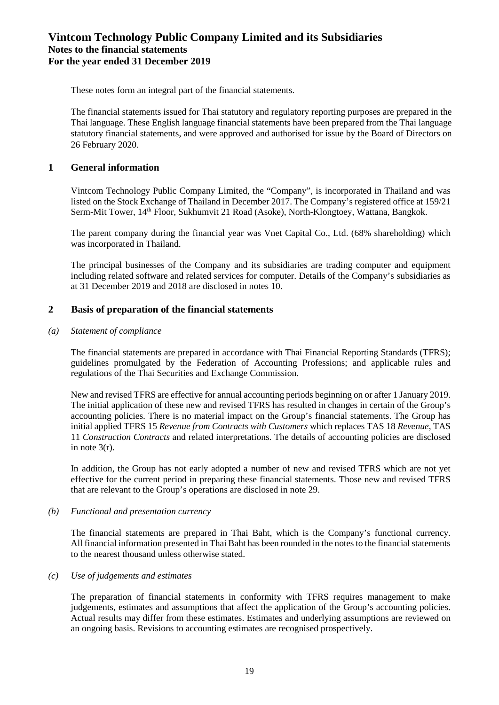These notes form an integral part of the financial statements.

The financial statements issued for Thai statutory and regulatory reporting purposes are prepared in the Thai language. These English language financial statements have been prepared from the Thai language statutory financial statements, and were approved and authorised for issue by the Board of Directors on 26 February 2020.

### **1 General information**

Vintcom Technology Public Company Limited, the "Company", is incorporated in Thailand and was listed on the Stock Exchange of Thailand in December 2017. The Company's registered office at 159/21 Serm-Mit Tower, 14th Floor, Sukhumvit 21 Road (Asoke), North-Klongtoey, Wattana, Bangkok.

The parent company during the financial year was Vnet Capital Co., Ltd. (68% shareholding) which was incorporated in Thailand.

The principal businesses of the Company and its subsidiaries are trading computer and equipment including related software and related services for computer. Details of the Company's subsidiaries as at 31 December 2019 and 2018 are disclosed in notes 10.

### **2 Basis of preparation of the financial statements**

#### *(a) Statement of compliance*

The financial statements are prepared in accordance with Thai Financial Reporting Standards (TFRS); guidelines promulgated by the Federation of Accounting Professions; and applicable rules and regulations of the Thai Securities and Exchange Commission.

New and revised TFRS are effective for annual accounting periods beginning on or after 1 January 2019. The initial application of these new and revised TFRS has resulted in changes in certain of the Group's accounting policies. There is no material impact on the Group's financial statements. The Group has initial applied TFRS 15 *Revenue from Contracts with Customers* which replaces TAS 18 *Revenue*, TAS 11 *Construction Contracts* and related interpretations. The details of accounting policies are disclosed in note  $3(r)$ .

In addition, the Group has not early adopted a number of new and revised TFRS which are not yet effective for the current period in preparing these financial statements. Those new and revised TFRS that are relevant to the Group's operations are disclosed in note 29.

### *(b) Functional and presentation currency*

The financial statements are prepared in Thai Baht, which is the Company's functional currency. All financial information presented in Thai Baht has been rounded in the notes to the financial statements to the nearest thousand unless otherwise stated.

### *(c) Use of judgements and estimates*

The preparation of financial statements in conformity with TFRS requires management to make judgements, estimates and assumptions that affect the application of the Group's accounting policies. Actual results may differ from these estimates. Estimates and underlying assumptions are reviewed on an ongoing basis. Revisions to accounting estimates are recognised prospectively.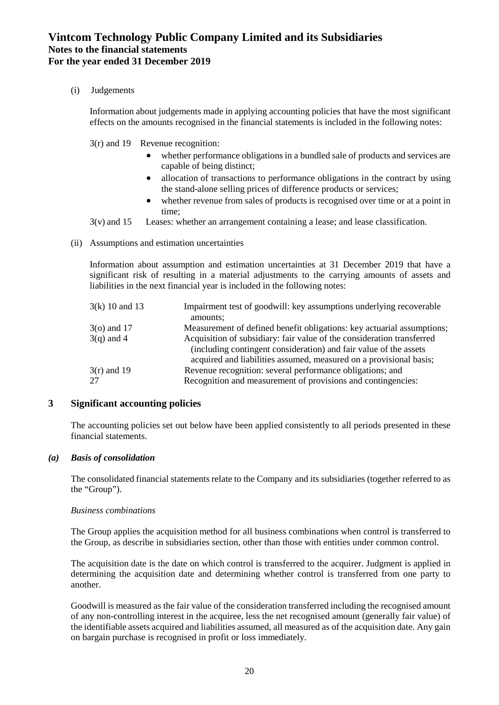(i) Judgements

Information about judgements made in applying accounting policies that have the most significant effects on the amounts recognised in the financial statements is included in the following notes:

3(r) and 19 Revenue recognition:

- whether performance obligations in a bundled sale of products and services are capable of being distinct;
- allocation of transactions to performance obligations in the contract by using the stand-alone selling prices of difference products or services;
- whether revenue from sales of products is recognised over time or at a point in time;
- 3(v) and 15 Leases: whether an arrangement containing a lease; and lease classification.
- (ii) Assumptions and estimation uncertainties

Information about assumption and estimation uncertainties at 31 December 2019 that have a significant risk of resulting in a material adjustments to the carrying amounts of assets and liabilities in the next financial year is included in the following notes:

| $3(k)$ 10 and 13    | Impairment test of goodwill: key assumptions underlying recoverable<br>amounts;                                                                                                                                   |
|---------------------|-------------------------------------------------------------------------------------------------------------------------------------------------------------------------------------------------------------------|
| $3$ (o) and 17      | Measurement of defined benefit obligations: key actuarial assumptions;                                                                                                                                            |
| $3(q)$ and 4        | Acquisition of subsidiary: fair value of the consideration transferred<br>(including contingent consideration) and fair value of the assets<br>acquired and liabilities assumed, measured on a provisional basis; |
| $3(r)$ and 19<br>27 | Revenue recognition: several performance obligations; and<br>Recognition and measurement of provisions and contingencies:                                                                                         |

### **3 Significant accounting policies**

The accounting policies set out below have been applied consistently to all periods presented in these financial statements.

### *(a) Basis of consolidation*

The consolidated financial statements relate to the Company and its subsidiaries (together referred to as the "Group").

### *Business combinations*

The Group applies the acquisition method for all business combinations when control is transferred to the Group, as describe in subsidiaries section, other than those with entities under common control.

The acquisition date is the date on which control is transferred to the acquirer. Judgment is applied in determining the acquisition date and determining whether control is transferred from one party to another.

Goodwill is measured as the fair value of the consideration transferred including the recognised amount of any non-controlling interest in the acquiree, less the net recognised amount (generally fair value) of the identifiable assets acquired and liabilities assumed, all measured as of the acquisition date. Any gain on bargain purchase is recognised in profit or loss immediately.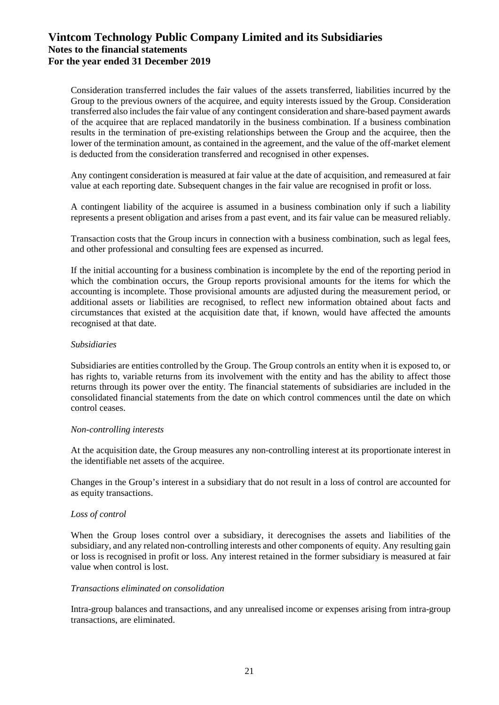Consideration transferred includes the fair values of the assets transferred, liabilities incurred by the Group to the previous owners of the acquiree, and equity interests issued by the Group. Consideration transferred also includes the fair value of any contingent consideration and share-based payment awards of the acquiree that are replaced mandatorily in the business combination. If a business combination results in the termination of pre-existing relationships between the Group and the acquiree, then the lower of the termination amount, as contained in the agreement, and the value of the off-market element is deducted from the consideration transferred and recognised in other expenses.

Any contingent consideration is measured at fair value at the date of acquisition, and remeasured at fair value at each reporting date. Subsequent changes in the fair value are recognised in profit or loss.

A contingent liability of the acquiree is assumed in a business combination only if such a liability represents a present obligation and arises from a past event, and its fair value can be measured reliably.

Transaction costs that the Group incurs in connection with a business combination, such as legal fees, and other professional and consulting fees are expensed as incurred.

If the initial accounting for a business combination is incomplete by the end of the reporting period in which the combination occurs, the Group reports provisional amounts for the items for which the accounting is incomplete. Those provisional amounts are adjusted during the measurement period, or additional assets or liabilities are recognised, to reflect new information obtained about facts and circumstances that existed at the acquisition date that, if known, would have affected the amounts recognised at that date.

#### *Subsidiaries*

Subsidiaries are entities controlled by the Group. The Group controls an entity when it is exposed to, or has rights to, variable returns from its involvement with the entity and has the ability to affect those returns through its power over the entity. The financial statements of subsidiaries are included in the consolidated financial statements from the date on which control commences until the date on which control ceases.

#### *Non-controlling interests*

At the acquisition date, the Group measures any non-controlling interest at its proportionate interest in the identifiable net assets of the acquiree.

Changes in the Group's interest in a subsidiary that do not result in a loss of control are accounted for as equity transactions.

### *Loss of control*

When the Group loses control over a subsidiary, it derecognises the assets and liabilities of the subsidiary, and any related non-controlling interests and other components of equity. Any resulting gain or loss is recognised in profit or loss. Any interest retained in the former subsidiary is measured at fair value when control is lost.

#### *Transactions eliminated on consolidation*

Intra-group balances and transactions, and any unrealised income or expenses arising from intra-group transactions, are eliminated.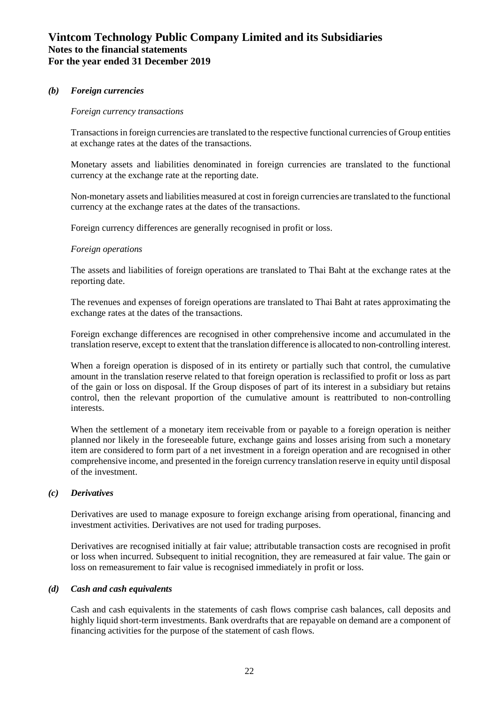### *(b) Foreign currencies*

#### *Foreign currency transactions*

Transactions in foreign currencies are translated to the respective functional currencies of Group entities at exchange rates at the dates of the transactions.

Monetary assets and liabilities denominated in foreign currencies are translated to the functional currency at the exchange rate at the reporting date.

Non-monetary assets and liabilities measured at cost in foreign currencies are translated to the functional currency at the exchange rates at the dates of the transactions.

Foreign currency differences are generally recognised in profit or loss.

### *Foreign operations*

The assets and liabilities of foreign operations are translated to Thai Baht at the exchange rates at the reporting date.

The revenues and expenses of foreign operations are translated to Thai Baht at rates approximating the exchange rates at the dates of the transactions.

Foreign exchange differences are recognised in other comprehensive income and accumulated in the translation reserve, except to extent that the translation difference is allocated to non-controlling interest.

When a foreign operation is disposed of in its entirety or partially such that control, the cumulative amount in the translation reserve related to that foreign operation is reclassified to profit or loss as part of the gain or loss on disposal. If the Group disposes of part of its interest in a subsidiary but retains control, then the relevant proportion of the cumulative amount is reattributed to non-controlling interests.

When the settlement of a monetary item receivable from or payable to a foreign operation is neither planned nor likely in the foreseeable future, exchange gains and losses arising from such a monetary item are considered to form part of a net investment in a foreign operation and are recognised in other comprehensive income, and presented in the foreign currency translation reserve in equity until disposal of the investment.

### *(c) Derivatives*

Derivatives are used to manage exposure to foreign exchange arising from operational, financing and investment activities. Derivatives are not used for trading purposes.

Derivatives are recognised initially at fair value; attributable transaction costs are recognised in profit or loss when incurred. Subsequent to initial recognition, they are remeasured at fair value. The gain or loss on remeasurement to fair value is recognised immediately in profit or loss.

### *(d) Cash and cash equivalents*

Cash and cash equivalents in the statements of cash flows comprise cash balances, call deposits and highly liquid short-term investments. Bank overdrafts that are repayable on demand are a component of financing activities for the purpose of the statement of cash flows.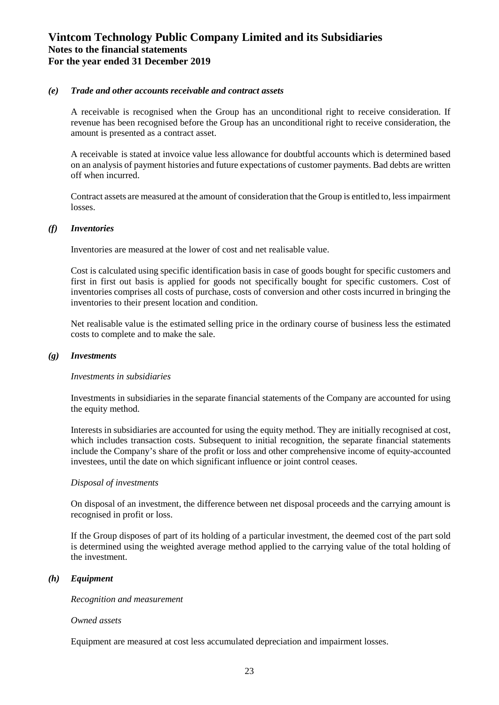### *(e) Trade and other accounts receivable and contract assets*

A receivable is recognised when the Group has an unconditional right to receive consideration. If revenue has been recognised before the Group has an unconditional right to receive consideration, the amount is presented as a contract asset.

A receivable is stated at invoice value less allowance for doubtful accounts which is determined based on an analysis of payment histories and future expectations of customer payments. Bad debts are written off when incurred.

Contract assets are measured at the amount of consideration that the Group is entitled to, less impairment losses.

#### *(f) Inventories*

Inventories are measured at the lower of cost and net realisable value.

Cost is calculated using specific identification basis in case of goods bought for specific customers and first in first out basis is applied for goods not specifically bought for specific customers. Cost of inventories comprises all costs of purchase, costs of conversion and other costs incurred in bringing the inventories to their present location and condition.

Net realisable value is the estimated selling price in the ordinary course of business less the estimated costs to complete and to make the sale.

#### *(g) Investments*

#### *Investments in subsidiaries*

Investments in subsidiaries in the separate financial statements of the Company are accounted for using the equity method.

Interests in subsidiaries are accounted for using the equity method. They are initially recognised at cost, which includes transaction costs. Subsequent to initial recognition, the separate financial statements include the Company's share of the profit or loss and other comprehensive income of equity-accounted investees, until the date on which significant influence or joint control ceases.

#### *Disposal of investments*

On disposal of an investment, the difference between net disposal proceeds and the carrying amount is recognised in profit or loss.

If the Group disposes of part of its holding of a particular investment, the deemed cost of the part sold is determined using the weighted average method applied to the carrying value of the total holding of the investment.

### *(h) Equipment*

*Recognition and measurement*

#### *Owned assets*

Equipment are measured at cost less accumulated depreciation and impairment losses.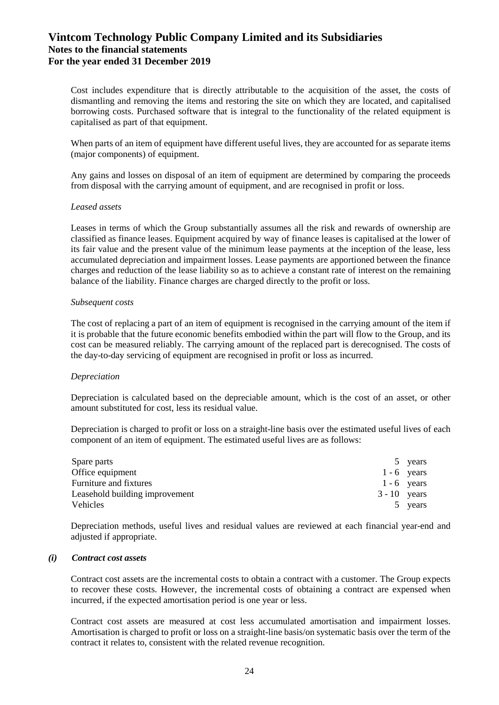Cost includes expenditure that is directly attributable to the acquisition of the asset, the costs of dismantling and removing the items and restoring the site on which they are located, and capitalised borrowing costs. Purchased software that is integral to the functionality of the related equipment is capitalised as part of that equipment.

When parts of an item of equipment have different useful lives, they are accounted for as separate items (major components) of equipment.

Any gains and losses on disposal of an item of equipment are determined by comparing the proceeds from disposal with the carrying amount of equipment, and are recognised in profit or loss.

#### *Leased assets*

Leases in terms of which the Group substantially assumes all the risk and rewards of ownership are classified as finance leases. Equipment acquired by way of finance leases is capitalised at the lower of its fair value and the present value of the minimum lease payments at the inception of the lease, less accumulated depreciation and impairment losses. Lease payments are apportioned between the finance charges and reduction of the lease liability so as to achieve a constant rate of interest on the remaining balance of the liability. Finance charges are charged directly to the profit or loss.

#### *Subsequent costs*

The cost of replacing a part of an item of equipment is recognised in the carrying amount of the item if it is probable that the future economic benefits embodied within the part will flow to the Group, and its cost can be measured reliably. The carrying amount of the replaced part is derecognised. The costs of the day-to-day servicing of equipment are recognised in profit or loss as incurred.

### *Depreciation*

Depreciation is calculated based on the depreciable amount, which is the cost of an asset, or other amount substituted for cost, less its residual value.

Depreciation is charged to profit or loss on a straight-line basis over the estimated useful lives of each component of an item of equipment. The estimated useful lives are as follows:

| Spare parts                    |                | 5 years       |
|--------------------------------|----------------|---------------|
| Office equipment               |                | $1 - 6$ years |
| Furniture and fixtures         |                | $1 - 6$ years |
| Leasehold building improvement | $3 - 10$ years |               |
| Vehicles                       |                | 5 years       |

Depreciation methods, useful lives and residual values are reviewed at each financial year-end and adjusted if appropriate.

#### *(i) Contract cost assets*

Contract cost assets are the incremental costs to obtain a contract with a customer. The Group expects to recover these costs. However, the incremental costs of obtaining a contract are expensed when incurred, if the expected amortisation period is one year or less.

Contract cost assets are measured at cost less accumulated amortisation and impairment losses. Amortisation is charged to profit or loss on a straight-line basis/on systematic basis over the term of the contract it relates to, consistent with the related revenue recognition.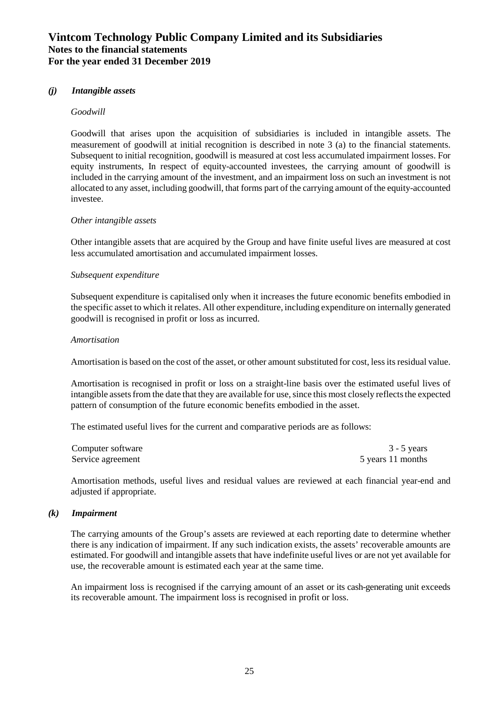#### *(j) Intangible assets*

#### *Goodwill*

Goodwill that arises upon the acquisition of subsidiaries is included in intangible assets. The measurement of goodwill at initial recognition is described in note 3 (a) to the financial statements. Subsequent to initial recognition, goodwill is measured at cost less accumulated impairment losses. For equity instruments, In respect of equity-accounted investees, the carrying amount of goodwill is included in the carrying amount of the investment, and an impairment loss on such an investment is not allocated to any asset, including goodwill, that forms part of the carrying amount of the equity-accounted investee.

#### *Other intangible assets*

Other intangible assets that are acquired by the Group and have finite useful lives are measured at cost less accumulated amortisation and accumulated impairment losses.

#### *Subsequent expenditure*

Subsequent expenditure is capitalised only when it increases the future economic benefits embodied in the specific asset to which it relates. All other expenditure, including expenditure on internally generated goodwill is recognised in profit or loss as incurred.

#### *Amortisation*

Amortisation is based on the cost of the asset, or other amount substituted for cost, less its residual value.

Amortisation is recognised in profit or loss on a straight-line basis over the estimated useful lives of intangible assetsfrom the date that they are available for use, since this most closely reflects the expected pattern of consumption of the future economic benefits embodied in the asset.

The estimated useful lives for the current and comparative periods are as follows:

| Computer software | $3 - 5$ years     |
|-------------------|-------------------|
| Service agreement | 5 years 11 months |

Amortisation methods, useful lives and residual values are reviewed at each financial year-end and adjusted if appropriate.

#### *(k) Impairment*

The carrying amounts of the Group's assets are reviewed at each reporting date to determine whether there is any indication of impairment. If any such indication exists, the assets' recoverable amounts are estimated. For goodwill and intangible assets that have indefinite useful lives or are not yet available for use, the recoverable amount is estimated each year at the same time.

An impairment loss is recognised if the carrying amount of an asset or its cash-generating unit exceeds its recoverable amount. The impairment loss is recognised in profit or loss.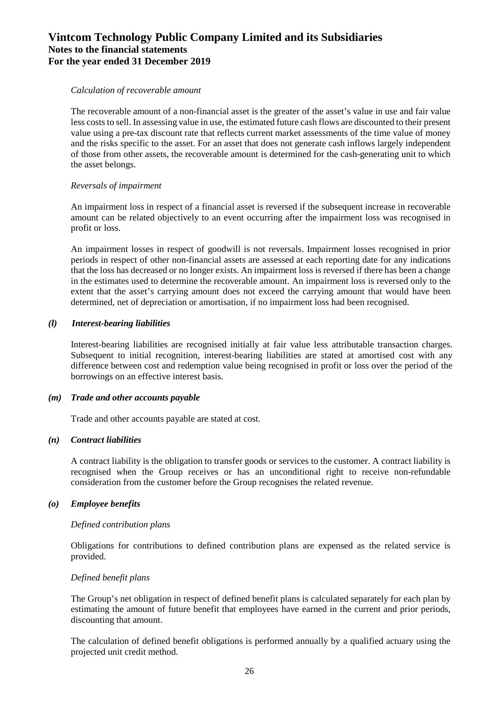#### *Calculation of recoverable amount*

The recoverable amount of a non-financial asset is the greater of the asset's value in use and fair value less costs to sell. In assessing value in use, the estimated future cash flows are discounted to their present value using a pre-tax discount rate that reflects current market assessments of the time value of money and the risks specific to the asset. For an asset that does not generate cash inflows largely independent of those from other assets, the recoverable amount is determined for the cash-generating unit to which the asset belongs.

### *Reversals of impairment*

An impairment loss in respect of a financial asset is reversed if the subsequent increase in recoverable amount can be related objectively to an event occurring after the impairment loss was recognised in profit or loss.

An impairment losses in respect of goodwill is not reversals. Impairment losses recognised in prior periods in respect of other non-financial assets are assessed at each reporting date for any indications that the loss has decreased or no longer exists. An impairment loss is reversed if there has been a change in the estimates used to determine the recoverable amount. An impairment loss is reversed only to the extent that the asset's carrying amount does not exceed the carrying amount that would have been determined, net of depreciation or amortisation, if no impairment loss had been recognised.

### *(l) Interest-bearing liabilities*

Interest-bearing liabilities are recognised initially at fair value less attributable transaction charges. Subsequent to initial recognition, interest-bearing liabilities are stated at amortised cost with any difference between cost and redemption value being recognised in profit or loss over the period of the borrowings on an effective interest basis.

### *(m) Trade and other accounts payable*

Trade and other accounts payable are stated at cost.

### *(n) Contract liabilities*

A contract liability is the obligation to transfer goods or services to the customer. A contract liability is recognised when the Group receives or has an unconditional right to receive non-refundable consideration from the customer before the Group recognises the related revenue.

### *(o) Employee benefits*

#### *Defined contribution plans*

Obligations for contributions to defined contribution plans are expensed as the related service is provided.

#### *Defined benefit plans*

The Group's net obligation in respect of defined benefit plans is calculated separately for each plan by estimating the amount of future benefit that employees have earned in the current and prior periods, discounting that amount.

The calculation of defined benefit obligations is performed annually by a qualified actuary using the projected unit credit method.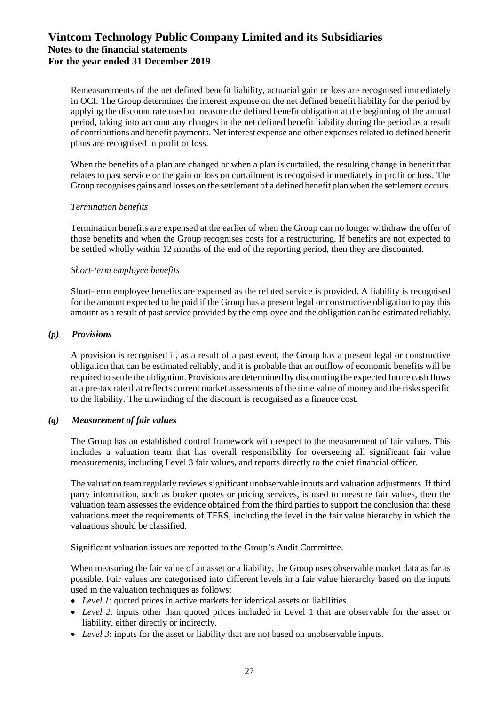Remeasurements of the net defined benefit liability, actuarial gain or loss are recognised immediately in OCI. The Group determines the interest expense on the net defined benefit liability for the period by applying the discount rate used to measure the defined benefit obligation at the beginning of the annual period, taking into account any changes in the net defined benefit liability during the period as a result of contributions and benefit payments. Net interest expense and other expenses related to defined benefit plans are recognised in profit or loss.

When the benefits of a plan are changed or when a plan is curtailed, the resulting change in benefit that relates to past service or the gain or loss on curtailment is recognised immediately in profit or loss. The Group recognises gains and losses on the settlement of a defined benefit plan when the settlement occurs.

### *Termination benefits*

Termination benefits are expensed at the earlier of when the Group can no longer withdraw the offer of those benefits and when the Group recognises costs for a restructuring. If benefits are not expected to be settled wholly within 12 months of the end of the reporting period, then they are discounted.

### *Short-term employee benefits*

Short-term employee benefits are expensed as the related service is provided. A liability is recognised for the amount expected to be paid if the Group has a present legal or constructive obligation to pay this amount as a result of past service provided by the employee and the obligation can be estimated reliably.

### *(p) Provisions*

A provision is recognised if, as a result of a past event, the Group has a present legal or constructive obligation that can be estimated reliably, and it is probable that an outflow of economic benefits will be required to settle the obligation. Provisions are determined by discounting the expected future cash flows at a pre-tax rate that reflects current market assessments of the time value of money and the risks specific to the liability. The unwinding of the discount is recognised as a finance cost.

### *(q) Measurement of fair values*

The Group has an established control framework with respect to the measurement of fair values. This includes a valuation team that has overall responsibility for overseeing all significant fair value measurements, including Level 3 fair values, and reports directly to the chief financial officer.

The valuation team regularly reviews significant unobservable inputs and valuation adjustments. If third party information, such as broker quotes or pricing services, is used to measure fair values, then the valuation team assesses the evidence obtained from the third parties to support the conclusion that these valuations meet the requirements of TFRS, including the level in the fair value hierarchy in which the valuations should be classified.

Significant valuation issues are reported to the Group's Audit Committee.

When measuring the fair value of an asset or a liability, the Group uses observable market data as far as possible. Fair values are categorised into different levels in a fair value hierarchy based on the inputs used in the valuation techniques as follows:

- *Level 1*: quoted prices in active markets for identical assets or liabilities.
- *Level 2*: inputs other than quoted prices included in Level 1 that are observable for the asset or liability, either directly or indirectly.
- *Level 3*: inputs for the asset or liability that are not based on unobservable inputs.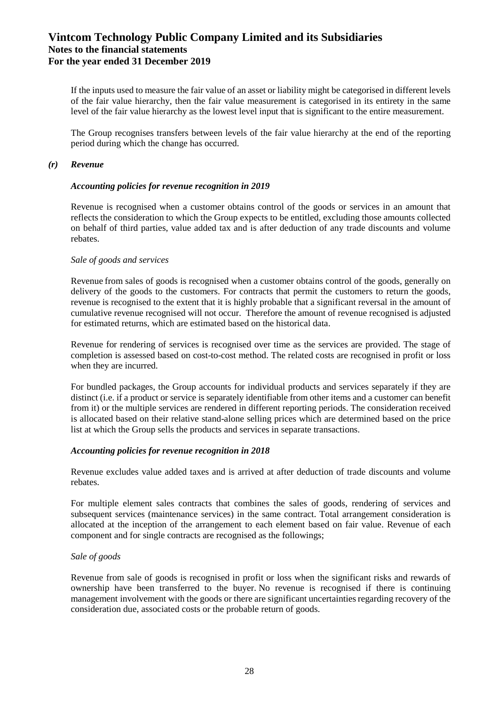If the inputs used to measure the fair value of an asset or liability might be categorised in different levels of the fair value hierarchy, then the fair value measurement is categorised in its entirety in the same level of the fair value hierarchy as the lowest level input that is significant to the entire measurement.

The Group recognises transfers between levels of the fair value hierarchy at the end of the reporting period during which the change has occurred.

### *(r) Revenue*

#### *Accounting policies for revenue recognition in 2019*

Revenue is recognised when a customer obtains control of the goods or services in an amount that reflects the consideration to which the Group expects to be entitled, excluding those amounts collected on behalf of third parties, value added tax and is after deduction of any trade discounts and volume rebates.

#### *Sale of goods and services*

Revenue from sales of goods is recognised when a customer obtains control of the goods, generally on delivery of the goods to the customers. For contracts that permit the customers to return the goods, revenue is recognised to the extent that it is highly probable that a significant reversal in the amount of cumulative revenue recognised will not occur. Therefore the amount of revenue recognised is adjusted for estimated returns, which are estimated based on the historical data.

Revenue for rendering of services is recognised over time as the services are provided. The stage of completion is assessed based on cost-to-cost method. The related costs are recognised in profit or loss when they are incurred.

For bundled packages, the Group accounts for individual products and services separately if they are distinct (i.e. if a product or service is separately identifiable from other items and a customer can benefit from it) or the multiple services are rendered in different reporting periods. The consideration received is allocated based on their relative stand-alone selling prices which are determined based on the price list at which the Group sells the products and services in separate transactions.

### *Accounting policies for revenue recognition in 2018*

Revenue excludes value added taxes and is arrived at after deduction of trade discounts and volume rebates.

For multiple element sales contracts that combines the sales of goods, rendering of services and subsequent services (maintenance services) in the same contract. Total arrangement consideration is allocated at the inception of the arrangement to each element based on fair value. Revenue of each component and for single contracts are recognised as the followings;

### *Sale of goods*

Revenue from sale of goods is recognised in profit or loss when the significant risks and rewards of ownership have been transferred to the buyer. No revenue is recognised if there is continuing management involvement with the goods or there are significant uncertainties regarding recovery of the consideration due, associated costs or the probable return of goods.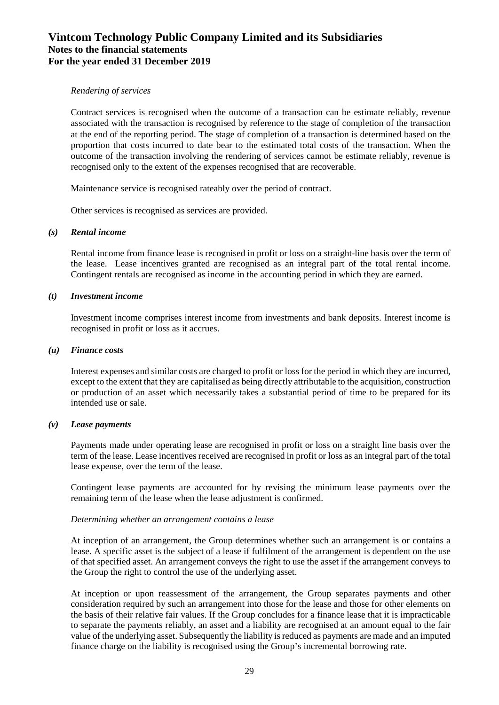#### *Rendering of services*

Contract services is recognised when the outcome of a transaction can be estimate reliably, revenue associated with the transaction is recognised by reference to the stage of completion of the transaction at the end of the reporting period. The stage of completion of a transaction is determined based on the proportion that costs incurred to date bear to the estimated total costs of the transaction. When the outcome of the transaction involving the rendering of services cannot be estimate reliably, revenue is recognised only to the extent of the expenses recognised that are recoverable.

Maintenance service is recognised rateably over the period of contract.

Other services is recognised as services are provided.

#### *(s) Rental income*

Rental income from finance lease is recognised in profit or loss on a straight-line basis over the term of the lease. Lease incentives granted are recognised as an integral part of the total rental income. Contingent rentals are recognised as income in the accounting period in which they are earned.

#### *(t) Investment income*

Investment income comprises interest income from investments and bank deposits. Interest income is recognised in profit or loss as it accrues.

#### *(u) Finance costs*

Interest expenses and similar costs are charged to profit or loss for the period in which they are incurred, except to the extent that they are capitalised as being directly attributable to the acquisition, construction or production of an asset which necessarily takes a substantial period of time to be prepared for its intended use or sale.

### *(v) Lease payments*

Payments made under operating lease are recognised in profit or loss on a straight line basis over the term of the lease. Lease incentives received are recognised in profit or loss as an integral part of the total lease expense, over the term of the lease.

Contingent lease payments are accounted for by revising the minimum lease payments over the remaining term of the lease when the lease adjustment is confirmed.

### *Determining whether an arrangement contains a lease*

At inception of an arrangement, the Group determines whether such an arrangement is or contains a lease. A specific asset is the subject of a lease if fulfilment of the arrangement is dependent on the use of that specified asset. An arrangement conveys the right to use the asset if the arrangement conveys to the Group the right to control the use of the underlying asset.

At inception or upon reassessment of the arrangement, the Group separates payments and other consideration required by such an arrangement into those for the lease and those for other elements on the basis of their relative fair values. If the Group concludes for a finance lease that it is impracticable to separate the payments reliably, an asset and a liability are recognised at an amount equal to the fair value of the underlying asset. Subsequently the liability is reduced as payments are made and an imputed finance charge on the liability is recognised using the Group's incremental borrowing rate.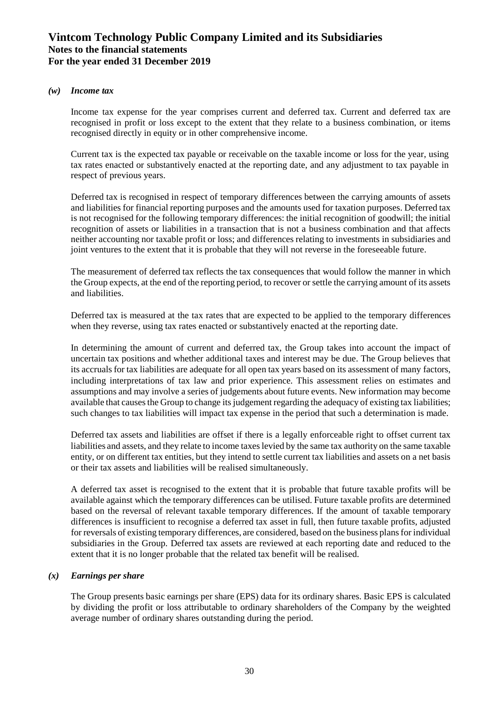### *(w) Income tax*

Income tax expense for the year comprises current and deferred tax. Current and deferred tax are recognised in profit or loss except to the extent that they relate to a business combination, or items recognised directly in equity or in other comprehensive income.

Current tax is the expected tax payable or receivable on the taxable income or loss for the year, using tax rates enacted or substantively enacted at the reporting date, and any adjustment to tax payable in respect of previous years.

Deferred tax is recognised in respect of temporary differences between the carrying amounts of assets and liabilities for financial reporting purposes and the amounts used for taxation purposes. Deferred tax is not recognised for the following temporary differences: the initial recognition of goodwill; the initial recognition of assets or liabilities in a transaction that is not a business combination and that affects neither accounting nor taxable profit or loss; and differences relating to investments in subsidiaries and joint ventures to the extent that it is probable that they will not reverse in the foreseeable future.

The measurement of deferred tax reflects the tax consequences that would follow the manner in which the Group expects, at the end of the reporting period, to recover or settle the carrying amount of its assets and liabilities.

Deferred tax is measured at the tax rates that are expected to be applied to the temporary differences when they reverse, using tax rates enacted or substantively enacted at the reporting date.

In determining the amount of current and deferred tax, the Group takes into account the impact of uncertain tax positions and whether additional taxes and interest may be due. The Group believes that its accruals for tax liabilities are adequate for all open tax years based on its assessment of many factors, including interpretations of tax law and prior experience. This assessment relies on estimates and assumptions and may involve a series of judgements about future events. New information may become available that causes the Group to change its judgement regarding the adequacy of existing tax liabilities; such changes to tax liabilities will impact tax expense in the period that such a determination is made.

Deferred tax assets and liabilities are offset if there is a legally enforceable right to offset current tax liabilities and assets, and they relate to income taxes levied by the same tax authority on the same taxable entity, or on different tax entities, but they intend to settle current tax liabilities and assets on a net basis or their tax assets and liabilities will be realised simultaneously.

A deferred tax asset is recognised to the extent that it is probable that future taxable profits will be available against which the temporary differences can be utilised. Future taxable profits are determined based on the reversal of relevant taxable temporary differences. If the amount of taxable temporary differences is insufficient to recognise a deferred tax asset in full, then future taxable profits, adjusted for reversals of existing temporary differences, are considered, based on the business plans for individual subsidiaries in the Group. Deferred tax assets are reviewed at each reporting date and reduced to the extent that it is no longer probable that the related tax benefit will be realised.

### *(x) Earnings per share*

The Group presents basic earnings per share (EPS) data for its ordinary shares. Basic EPS is calculated by dividing the profit or loss attributable to ordinary shareholders of the Company by the weighted average number of ordinary shares outstanding during the period.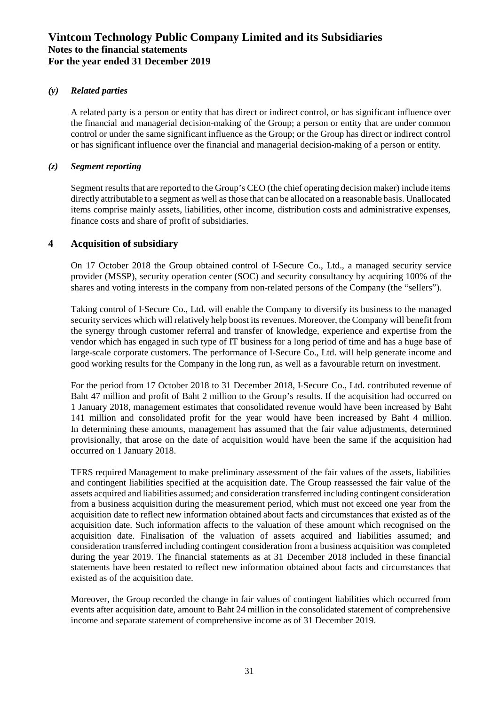### *(y) Related parties*

A related party is a person or entity that has direct or indirect control, or has significant influence over the financial and managerial decision-making of the Group; a person or entity that are under common control or under the same significant influence as the Group; or the Group has direct or indirect control or has significant influence over the financial and managerial decision-making of a person or entity.

### *(z) Segment reporting*

Segment results that are reported to the Group's CEO (the chief operating decision maker) include items directly attributable to a segment as well as those that can be allocated on a reasonable basis. Unallocated items comprise mainly assets, liabilities, other income, distribution costs and administrative expenses, finance costs and share of profit of subsidiaries.

### **4 Acquisition of subsidiary**

On 17 October 2018 the Group obtained control of I-Secure Co., Ltd., a managed security service provider (MSSP), security operation center (SOC) and security consultancy by acquiring 100% of the shares and voting interests in the company from non-related persons of the Company (the "sellers").

Taking control of I-Secure Co., Ltd. will enable the Company to diversify its business to the managed security services which will relatively help boost its revenues. Moreover, the Company will benefit from the synergy through customer referral and transfer of knowledge, experience and expertise from the vendor which has engaged in such type of IT business for a long period of time and has a huge base of large-scale corporate customers. The performance of I-Secure Co., Ltd. will help generate income and good working results for the Company in the long run, as well as a favourable return on investment.

For the period from 17 October 2018 to 31 December 2018, I-Secure Co., Ltd. contributed revenue of Baht 47 million and profit of Baht 2 million to the Group's results. If the acquisition had occurred on 1 January 2018, management estimates that consolidated revenue would have been increased by Baht 141 million and consolidated profit for the year would have been increased by Baht 4 million. In determining these amounts, management has assumed that the fair value adjustments, determined provisionally, that arose on the date of acquisition would have been the same if the acquisition had occurred on 1 January 2018.

TFRS required Management to make preliminary assessment of the fair values of the assets, liabilities and contingent liabilities specified at the acquisition date. The Group reassessed the fair value of the assets acquired and liabilities assumed; and consideration transferred including contingent consideration from a business acquisition during the measurement period, which must not exceed one year from the acquisition date to reflect new information obtained about facts and circumstances that existed as of the acquisition date. Such information affects to the valuation of these amount which recognised on the acquisition date. Finalisation of the valuation of assets acquired and liabilities assumed; and consideration transferred including contingent consideration from a business acquisition was completed during the year 2019. The financial statements as at 31 December 2018 included in these financial statements have been restated to reflect new information obtained about facts and circumstances that existed as of the acquisition date.

Moreover, the Group recorded the change in fair values of contingent liabilities which occurred from events after acquisition date, amount to Baht 24 million in the consolidated statement of comprehensive income and separate statement of comprehensive income as of 31 December 2019.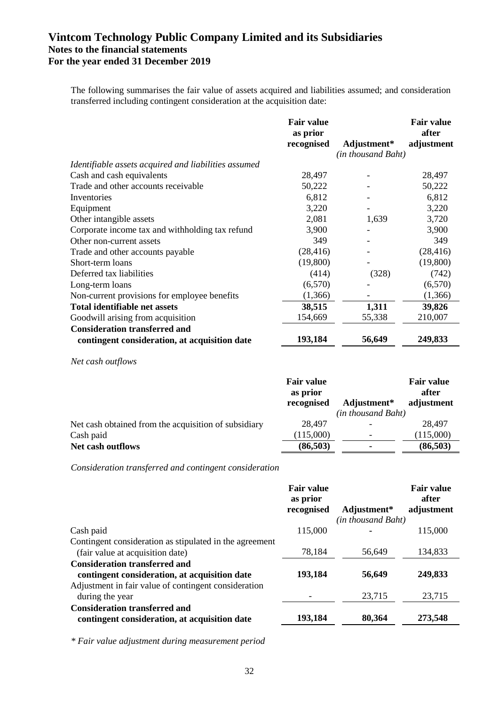The following summarises the fair value of assets acquired and liabilities assumed; and consideration transferred including contingent consideration at the acquisition date:

|                                                      | <b>Fair value</b><br>as prior |                          | <b>Fair value</b><br>after |
|------------------------------------------------------|-------------------------------|--------------------------|----------------------------|
|                                                      | recognised                    | Adjustment*              | adjustment                 |
|                                                      |                               | (in thousand Baht)       |                            |
| Identifiable assets acquired and liabilities assumed |                               |                          |                            |
| Cash and cash equivalents                            | 28,497                        |                          | 28,497                     |
| Trade and other accounts receivable                  | 50,222                        |                          | 50,222                     |
| Inventories                                          | 6,812                         |                          | 6,812                      |
| Equipment                                            | 3,220                         |                          | 3,220                      |
| Other intangible assets                              | 2,081                         | 1,639                    | 3,720                      |
| Corporate income tax and withholding tax refund      | 3,900                         | $\overline{\phantom{0}}$ | 3,900                      |
| Other non-current assets                             | 349                           |                          | 349                        |
| Trade and other accounts payable                     | (28, 416)                     |                          | (28, 416)                  |
| Short-term loans                                     | (19,800)                      |                          | (19,800)                   |
| Deferred tax liabilities                             | (414)                         | (328)                    | (742)                      |
| Long-term loans                                      | (6,570)                       |                          | (6,570)                    |
| Non-current provisions for employee benefits         | (1,366)                       |                          | (1,366)                    |
| <b>Total identifiable net assets</b>                 | 38,515                        | 1,311                    | 39,826                     |
| Goodwill arising from acquisition                    | 154,669                       | 55,338                   | 210,007                    |
| <b>Consideration transferred and</b>                 |                               |                          |                            |
| contingent consideration, at acquisition date        | 193,184                       | 56,649                   | 249,833                    |

*Net cash outflows*

| <b>Fair value</b><br>as prior<br>recognised | Adjustment* | <b>Fair value</b><br>after<br>adjustment |
|---------------------------------------------|-------------|------------------------------------------|
|                                             |             |                                          |
| 28,497                                      |             | 28,497                                   |
| (115,000)                                   |             | (115,000)                                |
| (86,503)                                    |             | (86, 503)                                |
|                                             |             | (in thousand Baht)                       |

*Consideration transferred and contingent consideration*

|                                                                                             | <b>Fair value</b><br>as prior |                    | <b>Fair value</b><br>after |
|---------------------------------------------------------------------------------------------|-------------------------------|--------------------|----------------------------|
|                                                                                             | recognised                    | Adjustment*        | adjustment                 |
|                                                                                             |                               | (in thousand Baht) |                            |
| Cash paid                                                                                   | 115,000                       |                    | 115,000                    |
| Contingent consideration as stipulated in the agreement<br>(fair value at acquisition date) | 78,184                        | 56,649             | 134,833                    |
| <b>Consideration transferred and</b><br>contingent consideration, at acquisition date       | 193,184                       | 56,649             | 249,833                    |
| Adjustment in fair value of contingent consideration<br>during the year                     |                               | 23,715             | 23,715                     |
| <b>Consideration transferred and</b><br>contingent consideration, at acquisition date       | 193,184                       | 80,364             | 273,548                    |

*\* Fair value adjustment during measurement period*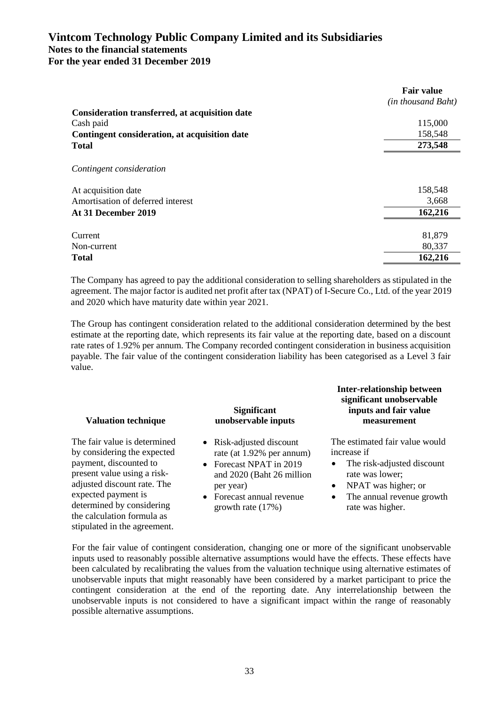|                                                | <b>Fair value</b>  |
|------------------------------------------------|--------------------|
|                                                | (in thousand Baht) |
| Consideration transferred, at acquisition date |                    |
| Cash paid                                      | 115,000            |
| Contingent consideration, at acquisition date  | 158,548            |
| <b>Total</b>                                   | 273,548            |
|                                                |                    |
| Contingent consideration                       |                    |
| At acquisition date                            | 158,548            |
| Amortisation of deferred interest              | 3,668              |
| At 31 December 2019                            | 162,216            |
|                                                |                    |
| Current                                        | 81,879             |
| Non-current                                    | 80,337             |
| <b>Total</b>                                   | 162,216            |

The Company has agreed to pay the additional consideration to selling shareholders as stipulated in the agreement. The major factor is audited net profit after tax (NPAT) of I-Secure Co., Ltd. of the year 2019 and 2020 which have maturity date within year 2021.

The Group has contingent consideration related to the additional consideration determined by the best estimate at the reporting date, which represents its fair value at the reporting date, based on a discount rate rates of 1.92% per annum. The Company recorded contingent consideration in business acquisition payable. The fair value of the contingent consideration liability has been categorised as a Level 3 fair value.

### **Valuation technique**

The fair value is determined by considering the expected payment, discounted to present value using a riskadjusted discount rate. The expected payment is determined by considering the calculation formula as stipulated in the agreement.

### **Significant unobservable inputs**

- Risk-adjusted discount rate (at 1.92% per annum)
- Forecast NPAT in 2019 and 2020 (Baht 26 million per year)
- Forecast annual revenue growth rate (17%)

#### **Inter-relationship between significant unobservable inputs and fair value measurement**

The estimated fair value would increase if

- The risk-adjusted discount rate was lower;
- NPAT was higher; or
- The annual revenue growth rate was higher.

For the fair value of contingent consideration, changing one or more of the significant unobservable inputs used to reasonably possible alternative assumptions would have the effects. These effects have been calculated by recalibrating the values from the valuation technique using alternative estimates of unobservable inputs that might reasonably have been considered by a market participant to price the contingent consideration at the end of the reporting date. Any interrelationship between the unobservable inputs is not considered to have a significant impact within the range of reasonably possible alternative assumptions.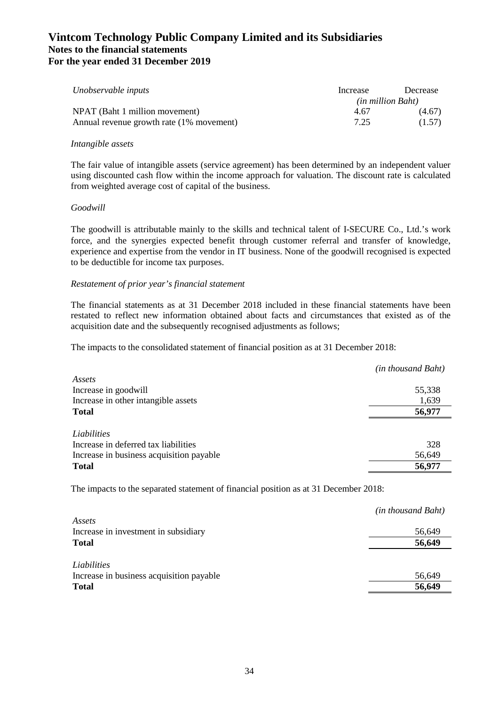| Unobservable inputs                      | Increase                 | Decrease |
|------------------------------------------|--------------------------|----------|
|                                          | <i>(in million Baht)</i> |          |
| NPAT (Baht 1 million movement)           | 4.67                     | (4.67)   |
| Annual revenue growth rate (1% movement) | 7.25                     | (1.57)   |

### *Intangible assets*

The fair value of intangible assets (service agreement) has been determined by an independent valuer using discounted cash flow within the income approach for valuation. The discount rate is calculated from weighted average cost of capital of the business.

### *Goodwill*

The goodwill is attributable mainly to the skills and technical talent of I-SECURE Co., Ltd.'s work force, and the synergies expected benefit through customer referral and transfer of knowledge, experience and expertise from the vendor in IT business. None of the goodwill recognised is expected to be deductible for income tax purposes.

### *Restatement of prior year's financial statement*

The financial statements as at 31 December 2018 included in these financial statements have been restated to reflect new information obtained about facts and circumstances that existed as of the acquisition date and the subsequently recognised adjustments as follows;

The impacts to the consolidated statement of financial position as at 31 December 2018:

|                                          | (in thousand Baht) |
|------------------------------------------|--------------------|
| Assets                                   |                    |
| Increase in goodwill                     | 55,338             |
| Increase in other intangible assets      | 1,639              |
| <b>Total</b>                             | 56,977             |
|                                          |                    |
| Liabilities                              |                    |
| Increase in deferred tax liabilities     | 328                |
| Increase in business acquisition payable | 56,649             |
| <b>Total</b>                             | 56,977             |

The impacts to the separated statement of financial position as at 31 December 2018:

|                                                | (in thousand Baht) |
|------------------------------------------------|--------------------|
| Assets<br>Increase in investment in subsidiary | 56,649             |
| <b>Total</b>                                   | 56,649             |
|                                                |                    |
| Liabilities                                    |                    |
| Increase in business acquisition payable       | 56,649             |
| <b>Total</b>                                   | 56,649             |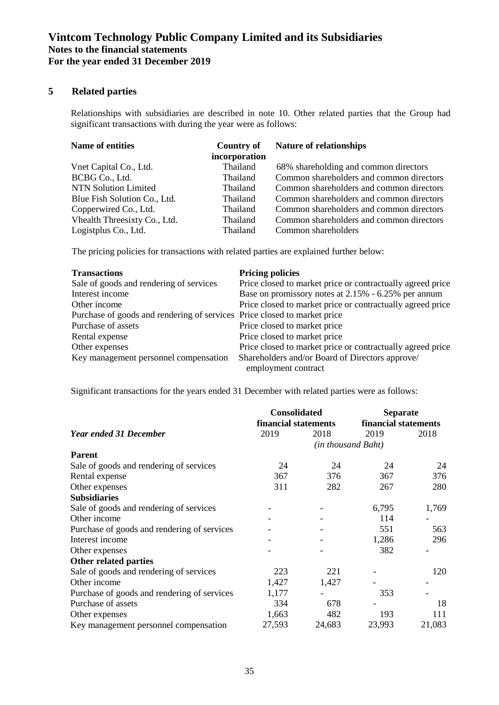## **5 Related parties**

Relationships with subsidiaries are described in note 10. Other related parties that the Group had significant transactions with during the year were as follows:

| <b>Name of entities</b>      | <b>Country of</b><br>incorporation | <b>Nature of relationships</b>           |
|------------------------------|------------------------------------|------------------------------------------|
| Vnet Capital Co., Ltd.       | Thailand                           | 68% shareholding and common directors    |
| BCBG Co., Ltd.               | Thailand                           | Common shareholders and common directors |
| <b>NTN Solution Limited</b>  | Thailand                           | Common shareholders and common directors |
| Blue Fish Solution Co., Ltd. | Thailand                           | Common shareholders and common directors |
| Copperwired Co., Ltd.        | Thailand                           | Common shareholders and common directors |
| Vhealth Threesixty Co., Ltd. | Thailand                           | Common shareholders and common directors |
| Logistplus Co., Ltd.         | Thailand                           | Common shareholders                      |

The pricing policies for transactions with related parties are explained further below:

| <b>Transactions</b>                                                      | <b>Pricing policies</b>                                                |
|--------------------------------------------------------------------------|------------------------------------------------------------------------|
| Sale of goods and rendering of services                                  | Price closed to market price or contractually agreed price             |
| Interest income                                                          | Base on promissory notes at 2.15% - 6.25% per annum                    |
| Other income                                                             | Price closed to market price or contractually agreed price             |
| Purchase of goods and rendering of services Price closed to market price |                                                                        |
| Purchase of assets                                                       | Price closed to market price                                           |
| Rental expense                                                           | Price closed to market price                                           |
| Other expenses                                                           | Price closed to market price or contractually agreed price             |
| Key management personnel compensation                                    | Shareholders and/or Board of Directors approve/<br>employment contract |

Significant transactions for the years ended 31 December with related parties were as follows:

|                                             | <b>Consolidated</b>  |                    | <b>Separate</b> |                      |  |
|---------------------------------------------|----------------------|--------------------|-----------------|----------------------|--|
|                                             | financial statements |                    |                 | financial statements |  |
| <b>Year ended 31 December</b>               | 2019                 | 2018               | 2019            | 2018                 |  |
|                                             |                      | (in thousand Baht) |                 |                      |  |
| <b>Parent</b>                               |                      |                    |                 |                      |  |
| Sale of goods and rendering of services     | 24                   | 24                 | 24              | 24                   |  |
| Rental expense                              | 367                  | 376                | 367             | 376                  |  |
| Other expenses                              | 311                  | 282                | 267             | 280                  |  |
| <b>Subsidiaries</b>                         |                      |                    |                 |                      |  |
| Sale of goods and rendering of services     |                      |                    | 6,795           | 1,769                |  |
| Other income                                |                      |                    | 114             |                      |  |
| Purchase of goods and rendering of services |                      |                    | 551             | 563                  |  |
| Interest income                             |                      |                    | 1,286           | 296                  |  |
| Other expenses                              |                      |                    | 382             |                      |  |
| Other related parties                       |                      |                    |                 |                      |  |
| Sale of goods and rendering of services     | 223                  | 221                |                 | 120                  |  |
| Other income                                | 1,427                | 1,427              |                 |                      |  |
| Purchase of goods and rendering of services | 1,177                |                    | 353             |                      |  |
| Purchase of assets                          | 334                  | 678                |                 | 18                   |  |
| Other expenses                              | 1,663                | 482                | 193             | 111                  |  |
| Key management personnel compensation       | 27,593               | 24,683             | 23,993          | 21,083               |  |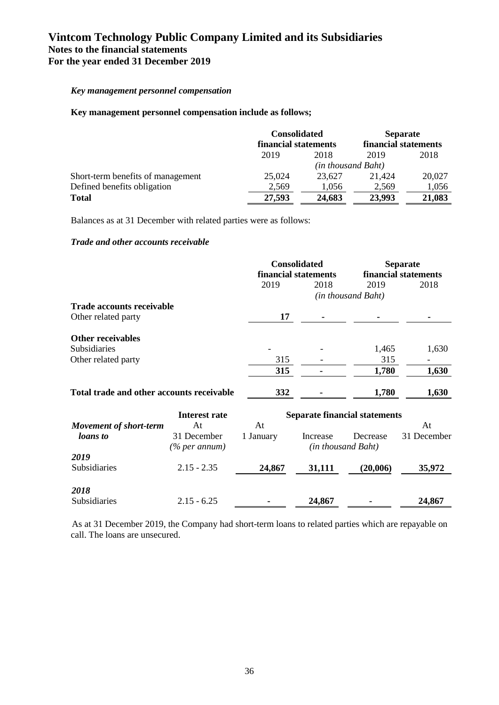### *Key management personnel compensation*

### **Key management personnel compensation include as follows;**

|                                   | <b>Consolidated</b><br>financial statements |        | <b>Separate</b><br>financial statements |        |
|-----------------------------------|---------------------------------------------|--------|-----------------------------------------|--------|
|                                   |                                             |        |                                         |        |
|                                   | 2019                                        | 2018   | 2019                                    | 2018   |
|                                   | (in thousand Baht)                          |        |                                         |        |
| Short-term benefits of management | 25,024                                      | 23.627 | 21.424                                  | 20,027 |
| Defined benefits obligation       | 2.569                                       | 1.056  | 2.569                                   | 1,056  |
| <b>Total</b>                      | 27,593                                      | 24,683 | 23,993                                  | 21,083 |

Balances as at 31 December with related parties were as follows:

#### *Trade and other accounts receivable*

|                                           | <b>Consolidated</b><br>financial statements |      | <b>Separate</b><br>financial statements |       |
|-------------------------------------------|---------------------------------------------|------|-----------------------------------------|-------|
|                                           | 2019                                        | 2018 | 2019                                    | 2018  |
|                                           |                                             |      | (in thousand Baht)                      |       |
| <b>Trade accounts receivable</b>          |                                             |      |                                         |       |
| Other related party                       | 17                                          |      |                                         |       |
| <b>Other receivables</b>                  |                                             |      |                                         |       |
| <b>Subsidiaries</b>                       |                                             |      | 1,465                                   | 1,630 |
| Other related party                       | 315                                         |      | 315                                     |       |
|                                           | 315                                         |      | 1,780                                   | 1,630 |
| Total trade and other accounts receivable | 332                                         |      | 1,780                                   | 1,630 |

|                               | Interest rate                |           | <b>Separate financial statements</b> |                                |             |  |  |
|-------------------------------|------------------------------|-----------|--------------------------------------|--------------------------------|-------------|--|--|
| <b>Movement of short-term</b> | At                           | At        |                                      |                                | At          |  |  |
| <i>loans</i> to               | 31 December<br>(% per annum) | 1 January | Increase                             | Decrease<br>(in thousand Baht) | 31 December |  |  |
| 2019<br>Subsidiaries          | $2.15 - 2.35$                | 24,867    | 31,111                               | (20,006)                       | 35,972      |  |  |
| 2018<br>Subsidiaries          | $2.15 - 6.25$                |           | 24,867                               |                                | 24,867      |  |  |

As at 31 December 2019, the Company had short-term loans to related parties which are repayable on call. The loans are unsecured.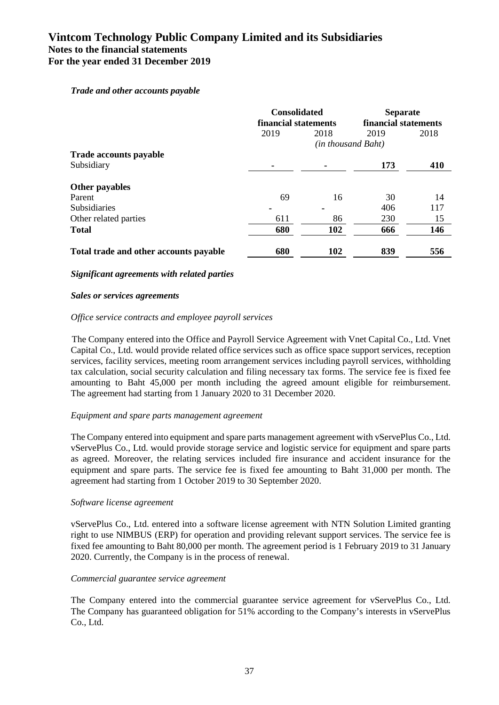### *Trade and other accounts payable*

|                                        | <b>Consolidated</b><br>financial statements |                    | <b>Separate</b><br>financial statements |      |
|----------------------------------------|---------------------------------------------|--------------------|-----------------------------------------|------|
|                                        | 2019                                        | 2018               | 2019                                    | 2018 |
|                                        |                                             | (in thousand Baht) |                                         |      |
| <b>Trade accounts payable</b>          |                                             |                    |                                         |      |
| Subsidiary                             |                                             |                    | 173                                     | 410  |
| Other payables                         |                                             |                    |                                         |      |
| Parent                                 | 69                                          | 16                 | 30                                      | 14   |
| <b>Subsidiaries</b>                    |                                             | $\blacksquare$     | 406                                     | 117  |
| Other related parties                  | 611                                         | 86                 | 230                                     | 15   |
| <b>Total</b>                           | 680                                         | 102                | 666                                     | 146  |
| Total trade and other accounts payable | 680                                         | 102                | 839                                     | 556  |

### *Significant agreements with related parties*

### *Sales or services agreements*

### *Office service contracts and employee payroll services*

The Company entered into the Office and Payroll Service Agreement with Vnet Capital Co., Ltd. Vnet Capital Co., Ltd. would provide related office services such as office space support services, reception services, facility services, meeting room arrangement services including payroll services, withholding tax calculation, social security calculation and filing necessary tax forms. The service fee is fixed fee amounting to Baht 45,000 per month including the agreed amount eligible for reimbursement. The agreement had starting from 1 January 2020 to 31 December 2020.

### *Equipment and spare parts management agreement*

The Company entered into equipment and spare parts management agreement with vServePlus Co., Ltd. vServePlus Co., Ltd. would provide storage service and logistic service for equipment and spare parts as agreed. Moreover, the relating services included fire insurance and accident insurance for the equipment and spare parts. The service fee is fixed fee amounting to Baht 31,000 per month. The agreement had starting from 1 October 2019 to 30 September 2020.

### *Software license agreement*

vServePlus Co., Ltd. entered into a software license agreement with NTN Solution Limited granting right to use NIMBUS (ERP) for operation and providing relevant support services. The service fee is fixed fee amounting to Baht 80,000 per month. The agreement period is 1 February 2019 to 31 January 2020. Currently, the Company is in the process of renewal.

### *Commercial guarantee service agreement*

The Company entered into the commercial guarantee service agreement for vServePlus Co., Ltd. The Company has guaranteed obligation for 51% according to the Company's interests in vServePlus Co., Ltd.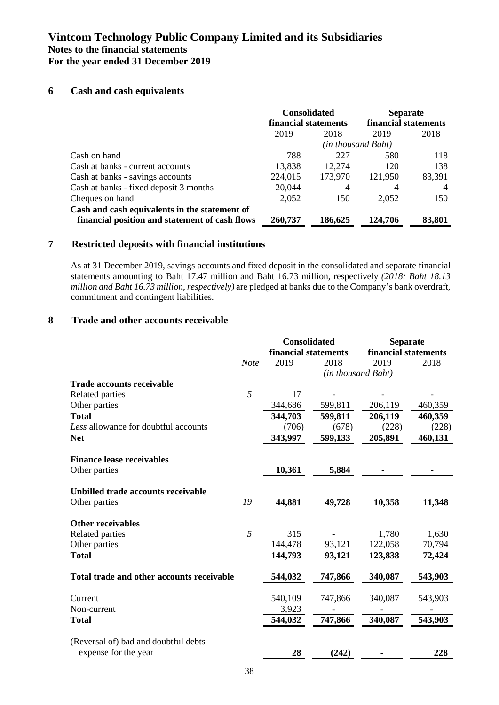### **6 Cash and cash equivalents**

|                                                                                                 | <b>Consolidated</b><br>financial statements |                    | <b>Separate</b><br>financial statements |        |
|-------------------------------------------------------------------------------------------------|---------------------------------------------|--------------------|-----------------------------------------|--------|
|                                                                                                 | 2019                                        | 2018               | 2019                                    | 2018   |
|                                                                                                 |                                             | (in thousand Baht) |                                         |        |
| Cash on hand                                                                                    | 788                                         | 227                | 580                                     | 118    |
| Cash at banks - current accounts                                                                | 13,838                                      | 12,274             | 120                                     | 138    |
| Cash at banks - savings accounts                                                                | 224,015                                     | 173,970            | 121,950                                 | 83,391 |
| Cash at banks - fixed deposit 3 months                                                          | 20,044                                      | 4                  | 4                                       | 4      |
| Cheques on hand                                                                                 | 2,052                                       | 150                | 2,052                                   | 150    |
| Cash and cash equivalents in the statement of<br>financial position and statement of cash flows | 260,737                                     | 186,625            | 124,706                                 | 83,801 |

### **7 Restricted deposits with financial institutions**

As at 31 December 2019, savings accounts and fixed deposit in the consolidated and separate financial statements amounting to Baht 17.47 million and Baht 16.73 million, respectively *(2018: Baht 18.13 million and Baht 16.73 million, respectively)* are pledged at banks due to the Company's bank overdraft, commitment and contingent liabilities.

### **8 Trade and other accounts receivable**

|                                           |             | <b>Consolidated</b>  |                    | <b>Separate</b>      |         |
|-------------------------------------------|-------------|----------------------|--------------------|----------------------|---------|
|                                           |             | financial statements |                    | financial statements |         |
|                                           | <b>Note</b> | 2019                 | 2018               | 2019                 | 2018    |
|                                           |             |                      | (in thousand Baht) |                      |         |
| <b>Trade accounts receivable</b>          |             |                      |                    |                      |         |
| Related parties                           | 5           | 17                   |                    |                      |         |
| Other parties                             |             | 344,686              | 599,811            | 206,119              | 460,359 |
| <b>Total</b>                              |             | 344,703              | 599,811            | 206,119              | 460,359 |
| Less allowance for doubtful accounts      |             | (706)                | (678)              | (228)                | (228)   |
| <b>Net</b>                                |             | 343,997              | 599,133            | 205,891              | 460,131 |
| <b>Finance lease receivables</b>          |             |                      |                    |                      |         |
| Other parties                             |             | 10,361               | 5,884              |                      |         |
|                                           |             |                      |                    |                      |         |
| Unbilled trade accounts receivable        |             |                      |                    |                      |         |
| Other parties                             | 19          | 44,881               | 49,728             | 10,358               | 11,348  |
| <b>Other receivables</b>                  |             |                      |                    |                      |         |
| Related parties                           | 5           | 315                  |                    | 1,780                | 1,630   |
| Other parties                             |             | 144,478              | 93,121             | 122,058              | 70,794  |
| <b>Total</b>                              |             | 144,793              | 93,121             | 123,838              | 72,424  |
|                                           |             |                      |                    |                      |         |
| Total trade and other accounts receivable |             | 544,032              | 747,866            | 340,087              | 543,903 |
| Current                                   |             | 540,109              | 747,866            | 340,087              | 543,903 |
| Non-current                               |             | 3,923                |                    |                      |         |
| <b>Total</b>                              |             | 544,032              | 747,866            | 340,087              | 543,903 |
| (Reversal of) bad and doubtful debts      |             |                      |                    |                      |         |
| expense for the year                      |             | 28                   | (242)              |                      | 228     |
|                                           |             |                      |                    |                      |         |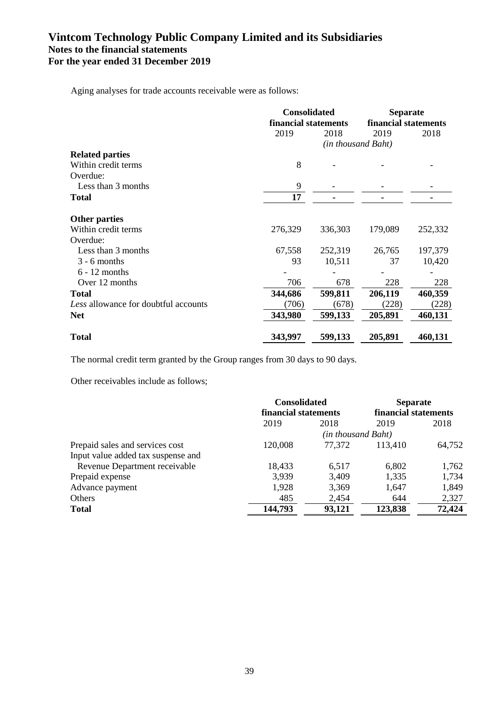Aging analyses for trade accounts receivable were as follows:

|                                      | <b>Consolidated</b><br>financial statements |                    | <b>Separate</b><br>financial statements |         |
|--------------------------------------|---------------------------------------------|--------------------|-----------------------------------------|---------|
|                                      |                                             |                    |                                         |         |
|                                      | 2019                                        | 2018               | 2019                                    | 2018    |
|                                      |                                             | (in thousand Baht) |                                         |         |
| <b>Related parties</b>               |                                             |                    |                                         |         |
| Within credit terms                  | 8                                           |                    |                                         |         |
| Overdue:                             |                                             |                    |                                         |         |
| Less than 3 months                   | 9                                           |                    |                                         |         |
| <b>Total</b>                         | 17                                          |                    |                                         |         |
| <b>Other parties</b>                 |                                             |                    |                                         |         |
| Within credit terms                  | 276,329                                     | 336,303            | 179,089                                 | 252,332 |
| Overdue:                             |                                             |                    |                                         |         |
| Less than 3 months                   | 67,558                                      | 252,319            | 26,765                                  | 197,379 |
| $3 - 6$ months                       | 93                                          | 10,511             | 37                                      | 10,420  |
| $6 - 12$ months                      |                                             |                    |                                         |         |
| Over 12 months                       | 706                                         | 678                | 228                                     | 228     |
| <b>Total</b>                         | 344,686                                     | 599,811            | 206,119                                 | 460,359 |
| Less allowance for doubtful accounts | (706)                                       | (678)              | (228)                                   | (228)   |
| <b>Net</b>                           | 343,980                                     | 599,133            | 205,891                                 | 460,131 |
| <b>Total</b>                         | 343,997                                     | 599,133            | 205,891                                 | 460,131 |

The normal credit term granted by the Group ranges from 30 days to 90 days.

Other receivables include as follows;

|                                    |         | <b>Consolidated</b><br>financial statements |         | <b>Separate</b>      |
|------------------------------------|---------|---------------------------------------------|---------|----------------------|
|                                    |         |                                             |         | financial statements |
|                                    | 2019    | 2018                                        | 2019    | 2018                 |
|                                    |         | (in thousand Baht)                          |         |                      |
| Prepaid sales and services cost    | 120,008 | 77,372                                      | 113,410 | 64,752               |
| Input value added tax suspense and |         |                                             |         |                      |
| Revenue Department receivable      | 18,433  | 6,517                                       | 6,802   | 1,762                |
| Prepaid expense                    | 3,939   | 3,409                                       | 1,335   | 1,734                |
| Advance payment                    | 1,928   | 3,369                                       | 1,647   | 1,849                |
| Others                             | 485     | 2,454                                       | 644     | 2,327                |
| <b>Total</b>                       | 144,793 | 93,121                                      | 123,838 | 72,424               |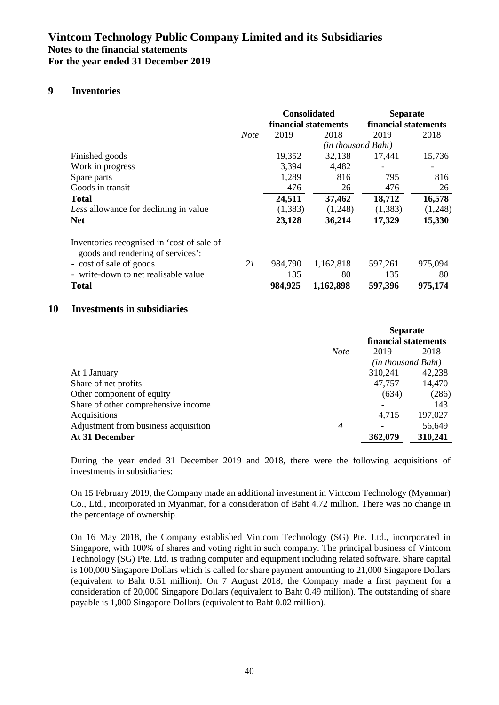### **9 Inventories**

|                                                                                 |             |          | <b>Consolidated</b><br>financial statements | <b>Separate</b><br>financial statements |         |
|---------------------------------------------------------------------------------|-------------|----------|---------------------------------------------|-----------------------------------------|---------|
|                                                                                 | <b>Note</b> | 2019     | 2018                                        | 2019                                    | 2018    |
|                                                                                 |             |          | (in thousand Baht)                          |                                         |         |
| Finished goods                                                                  |             | 19,352   | 32,138                                      | 17,441                                  | 15,736  |
| Work in progress                                                                |             | 3,394    | 4,482                                       |                                         |         |
| Spare parts                                                                     |             | 1,289    | 816                                         | 795                                     | 816     |
| Goods in transit                                                                |             | 476      | 26                                          | 476                                     | 26      |
| <b>Total</b>                                                                    |             | 24,511   | 37,462                                      | 18,712                                  | 16,578  |
| Less allowance for declining in value                                           |             | (1, 383) | (1,248)                                     | (1, 383)                                | (1,248) |
| <b>Net</b>                                                                      |             | 23,128   | 36,214                                      | 17,329                                  | 15,330  |
| Inventories recognised in 'cost of sale of<br>goods and rendering of services': |             |          |                                             |                                         |         |
| - cost of sale of goods                                                         | 21          | 984,790  | 1,162,818                                   | 597,261                                 | 975,094 |
| - write-down to net realisable value                                            |             | 135      | 80                                          | 135                                     | 80      |
| <b>Total</b>                                                                    |             | 984,925  | 1,162,898                                   | 597,396                                 | 975,174 |

### **10 Investments in subsidiaries**

|                                                        |                      | <b>Separate</b>    |         |  |
|--------------------------------------------------------|----------------------|--------------------|---------|--|
|                                                        | financial statements |                    |         |  |
| <b>Note</b>                                            |                      | 2019               | 2018    |  |
|                                                        |                      | (in thousand Baht) |         |  |
| At 1 January                                           |                      | 310,241            | 42,238  |  |
| Share of net profits                                   |                      | 47,757             | 14,470  |  |
| Other component of equity                              |                      | (634)              | (286)   |  |
| Share of other comprehensive income                    |                      |                    | 143     |  |
| Acquisitions                                           |                      | 4,715              | 197,027 |  |
| Adjustment from business acquisition<br>$\overline{4}$ |                      |                    | 56,649  |  |
| At 31 December                                         |                      | 362,079            | 310,241 |  |

During the year ended 31 December 2019 and 2018, there were the following acquisitions of investments in subsidiaries:

On 15 February 2019, the Company made an additional investment in Vintcom Technology (Myanmar) Co., Ltd., incorporated in Myanmar, for a consideration of Baht 4.72 million. There was no change in the percentage of ownership.

On 16 May 2018, the Company established Vintcom Technology (SG) Pte. Ltd., incorporated in Singapore, with 100% of shares and voting right in such company. The principal business of Vintcom Technology (SG) Pte. Ltd. is trading computer and equipment including related software. Share capital is 100,000 Singapore Dollars which is called for share payment amounting to 21,000 Singapore Dollars (equivalent to Baht 0.51 million). On 7 August 2018, the Company made a first payment for a consideration of 20,000 Singapore Dollars (equivalent to Baht 0.49 million). The outstanding of share payable is 1,000 Singapore Dollars (equivalent to Baht 0.02 million).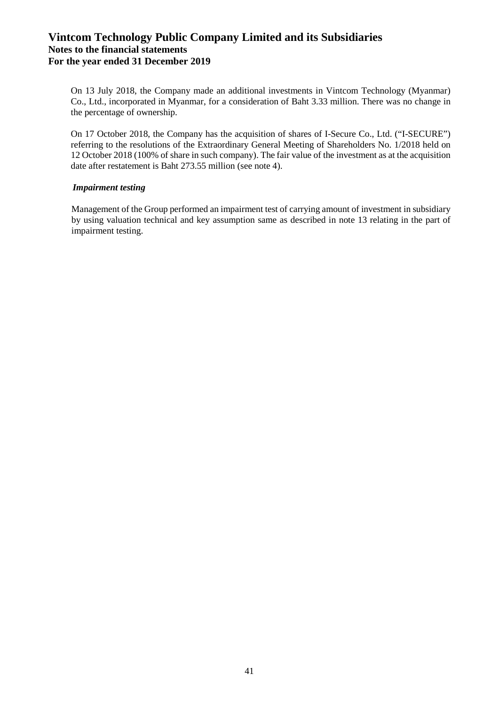On 13 July 2018, the Company made an additional investments in Vintcom Technology (Myanmar) Co., Ltd., incorporated in Myanmar, for a consideration of Baht 3.33 million. There was no change in the percentage of ownership.

On 17 October 2018, the Company has the acquisition of shares of I-Secure Co., Ltd. ("I-SECURE") referring to the resolutions of the Extraordinary General Meeting of Shareholders No. 1/2018 held on 12 October 2018 (100% of share in such company). The fair value of the investment as at the acquisition date after restatement is Baht 273.55 million (see note 4).

### *Impairment testing*

Management of the Group performed an impairment test of carrying amount of investment in subsidiary by using valuation technical and key assumption same as described in note 13 relating in the part of impairment testing.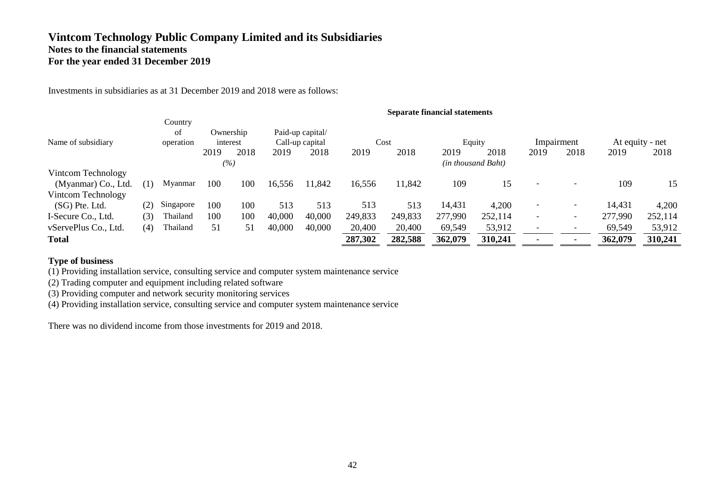Investments in subsidiaries as at 31 December 2019 and 2018 were as follows:

|                      |     |                            |      |                       |        |                                     |         |         | <b>Separate financial statements</b> |                    |                          |                          |         |                 |
|----------------------|-----|----------------------------|------|-----------------------|--------|-------------------------------------|---------|---------|--------------------------------------|--------------------|--------------------------|--------------------------|---------|-----------------|
| Name of subsidiary   |     | Country<br>of<br>operation |      | Ownership<br>interest |        | Paid-up capital/<br>Call-up capital |         | Cost    |                                      | Equity             |                          | Impairment               |         | At equity - net |
|                      |     |                            | 2019 | 2018                  | 2019   | 2018                                | 2019    | 2018    | 2019                                 | 2018               | 2019                     | 2018                     | 2019    | 2018            |
|                      |     |                            |      | (%)                   |        |                                     |         |         |                                      | (in thousand Baht) |                          |                          |         |                 |
| Vintcom Technology   |     |                            |      |                       |        |                                     |         |         |                                      |                    |                          |                          |         |                 |
| (Myanmar) Co., Ltd.  | (1) | Myanmar                    | 100  | 100                   | 16,556 | 11,842                              | 16,556  | 11,842  | 109                                  | 15                 |                          |                          | 109     | 15              |
| Vintcom Technology   |     |                            |      |                       |        |                                     |         |         |                                      |                    |                          |                          |         |                 |
| (SG) Pte. Ltd.       | (2) | Singapore                  | 100  | 100                   | 513    | 513                                 | 513     | 513     | 14,431                               | 4,200              |                          | $\overline{\phantom{a}}$ | 14,431  | 4,200           |
| I-Secure Co., Ltd.   | (3) | Thailand                   | 100  | 100                   | 40,000 | 40,000                              | 249,833 | 249,833 | 277,990                              | 252,114            | $\overline{\phantom{0}}$ | $\sim$                   | 277,990 | 252,114         |
| vServePlus Co., Ltd. | (4) | Thailand                   | 51   | 51                    | 40,000 | 40,000                              | 20,400  | 20,400  | 69,549                               | 53,912             |                          | $\overline{\phantom{a}}$ | 69,549  | 53,912          |
| <b>Total</b>         |     |                            |      |                       |        |                                     | 287,302 | 282,588 | 362,079                              | 310,241            |                          |                          | 362,079 | 310,241         |

### **Type of business**

(1) Providing installation service, consulting service and computer system maintenance service

(2) Trading computer and equipment including related software

(3) Providing computer and network security monitoring services

(4) Providing installation service, consulting service and computer system maintenance service

There was no dividend income from those investments for 2019 and 2018.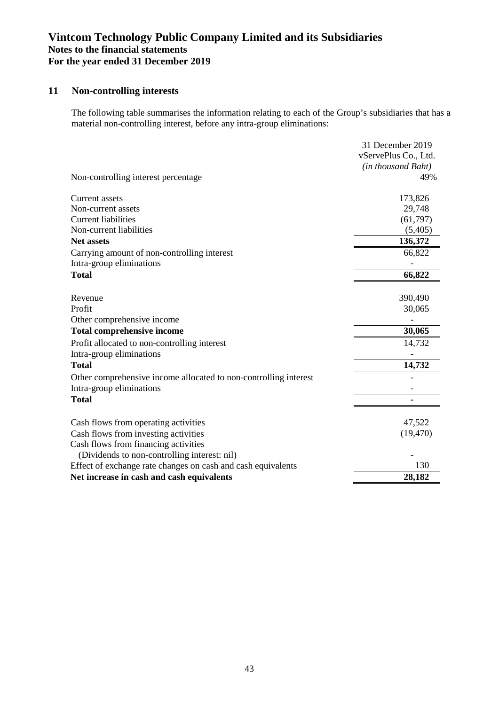## **11 Non-controlling interests**

The following table summarises the information relating to each of the Group's subsidiaries that has a material non-controlling interest, before any intra-group eliminations:

|                                                                  | 31 December 2019     |
|------------------------------------------------------------------|----------------------|
|                                                                  | vServePlus Co., Ltd. |
|                                                                  | (in thousand Baht)   |
| Non-controlling interest percentage                              | 49%                  |
| Current assets                                                   | 173,826              |
| Non-current assets                                               | 29,748               |
| <b>Current liabilities</b>                                       | (61,797)             |
| Non-current liabilities                                          | (5,405)              |
| <b>Net assets</b>                                                | 136,372              |
| Carrying amount of non-controlling interest                      | 66,822               |
| Intra-group eliminations                                         |                      |
| <b>Total</b>                                                     | 66,822               |
| Revenue                                                          | 390,490              |
| Profit                                                           | 30,065               |
| Other comprehensive income                                       |                      |
| <b>Total comprehensive income</b>                                | 30,065               |
| Profit allocated to non-controlling interest                     | 14,732               |
| Intra-group eliminations                                         |                      |
| <b>Total</b>                                                     | 14,732               |
| Other comprehensive income allocated to non-controlling interest |                      |
| Intra-group eliminations                                         |                      |
| <b>Total</b>                                                     |                      |
| Cash flows from operating activities                             | 47,522               |
| Cash flows from investing activities                             | (19, 470)            |
| Cash flows from financing activities                             |                      |
| (Dividends to non-controlling interest: nil)                     |                      |
| Effect of exchange rate changes on cash and cash equivalents     | 130                  |
| Net increase in cash and cash equivalents                        | 28,182               |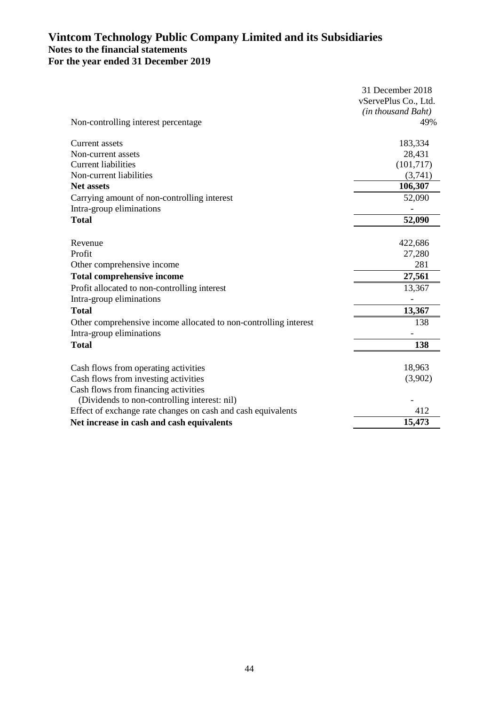|                                                                  | 31 December 2018     |
|------------------------------------------------------------------|----------------------|
|                                                                  | vServePlus Co., Ltd. |
|                                                                  | (in thousand Baht)   |
| Non-controlling interest percentage                              | 49%                  |
|                                                                  |                      |
| Current assets                                                   | 183,334              |
| Non-current assets                                               | 28,431               |
| <b>Current liabilities</b>                                       | (101, 717)           |
| Non-current liabilities                                          | (3,741)              |
| <b>Net assets</b>                                                | 106,307              |
| Carrying amount of non-controlling interest                      | 52,090               |
| Intra-group eliminations                                         |                      |
| <b>Total</b>                                                     | 52,090               |
|                                                                  |                      |
| Revenue                                                          | 422,686              |
| Profit                                                           | 27,280               |
| Other comprehensive income                                       | 281                  |
| <b>Total comprehensive income</b>                                | 27,561               |
| Profit allocated to non-controlling interest                     | 13,367               |
| Intra-group eliminations                                         |                      |
| <b>Total</b>                                                     | 13,367               |
| Other comprehensive income allocated to non-controlling interest | 138                  |
| Intra-group eliminations                                         |                      |
| <b>Total</b>                                                     | 138                  |
|                                                                  |                      |
| Cash flows from operating activities                             | 18,963               |
| Cash flows from investing activities                             | (3,902)              |
| Cash flows from financing activities                             |                      |
| (Dividends to non-controlling interest: nil)                     |                      |
| Effect of exchange rate changes on cash and cash equivalents     | 412                  |
| Net increase in cash and cash equivalents                        | 15,473               |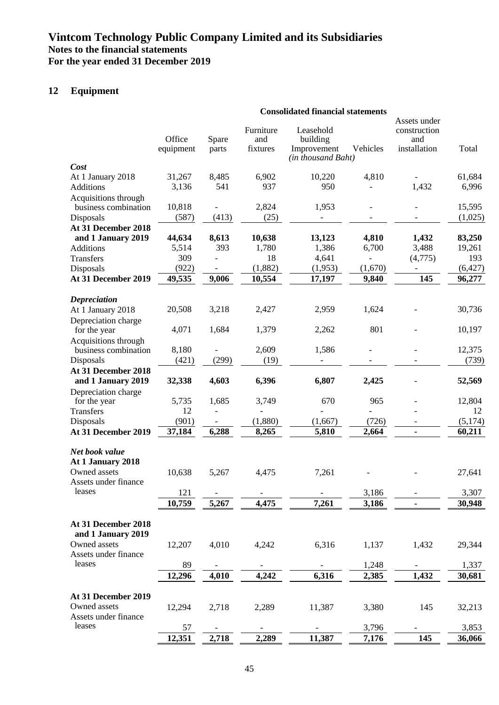## **12 Equipment**

|                                           |                     |                          | <b>Consolidated financial statements</b> |                                                            |                          |                                                     |          |
|-------------------------------------------|---------------------|--------------------------|------------------------------------------|------------------------------------------------------------|--------------------------|-----------------------------------------------------|----------|
|                                           | Office<br>equipment | Spare<br>parts           | Furniture<br>and<br>fixtures             | Leasehold<br>building<br>Improvement<br>(in thousand Baht) | Vehicles                 | Assets under<br>construction<br>and<br>installation | Total    |
| Cost                                      |                     |                          |                                          |                                                            |                          |                                                     |          |
| At 1 January 2018                         | 31,267              | 8,485                    | 6,902                                    | 10,220                                                     | 4,810                    |                                                     | 61,684   |
| <b>Additions</b>                          | 3,136               | 541                      | 937                                      | 950                                                        |                          | 1,432                                               | 6,996    |
| Acquisitions through                      |                     |                          |                                          |                                                            |                          |                                                     |          |
| business combination                      | 10,818              | $\overline{a}$           | 2,824                                    | 1,953                                                      | $\overline{\phantom{a}}$ | $\overline{\phantom{a}}$                            | 15,595   |
| Disposals                                 | (587)               | (413)                    | (25)                                     | $\overline{\phantom{a}}$                                   | -                        |                                                     | (1,025)  |
| At 31 December 2018                       |                     |                          |                                          |                                                            |                          |                                                     |          |
| and 1 January 2019                        | 44,634              | 8,613                    | 10,638                                   | 13,123                                                     | 4,810                    | 1,432                                               | 83,250   |
| Additions                                 | 5,514               | 393                      | 1,780                                    | 1,386                                                      | 6,700                    | 3,488                                               | 19,261   |
| <b>Transfers</b>                          | 309                 |                          | 18                                       | 4,641                                                      |                          | (4,775)                                             | 193      |
| Disposals                                 | (922)               |                          | (1,882)                                  | (1,953)                                                    | (1,670)                  |                                                     | (6, 427) |
| At 31 December 2019                       | 49,535              | 9,006                    | 10,554                                   | 17,197                                                     | 9,840                    | 145                                                 | 96,277   |
|                                           |                     |                          |                                          |                                                            |                          |                                                     |          |
| <b>Depreciation</b>                       |                     |                          |                                          |                                                            |                          |                                                     |          |
| At 1 January 2018                         | 20,508              | 3,218                    | 2,427                                    | 2,959                                                      | 1,624                    |                                                     | 30,736   |
| Depreciation charge                       |                     |                          |                                          |                                                            |                          |                                                     |          |
| for the year                              | 4,071               | 1,684                    | 1,379                                    | 2,262                                                      | 801                      |                                                     | 10,197   |
| Acquisitions through                      |                     |                          |                                          |                                                            |                          |                                                     |          |
| business combination                      | 8,180               |                          | 2,609                                    | 1,586                                                      |                          |                                                     | 12,375   |
| Disposals                                 | (421)               | (299)                    | (19)                                     |                                                            |                          |                                                     | (739)    |
| At 31 December 2018                       |                     |                          |                                          |                                                            |                          |                                                     |          |
| and 1 January 2019                        | 32,338              | 4,603                    | 6,396                                    | 6,807                                                      | 2,425                    |                                                     | 52,569   |
| Depreciation charge                       |                     |                          |                                          |                                                            |                          |                                                     |          |
| for the year                              | 5,735               | 1,685                    | 3,749                                    | 670                                                        | 965                      |                                                     | 12,804   |
| Transfers                                 | 12                  | $\overline{\phantom{a}}$ | $\overline{a}$                           |                                                            |                          |                                                     | 12       |
| Disposals                                 | (901)               |                          | (1,880)                                  | (1,667)                                                    | (726)                    |                                                     | (5,174)  |
| At 31 December 2019                       | 37,184              | 6,288                    | 8,265                                    | 5,810                                                      | 2,664                    | $\blacksquare$                                      | 60,211   |
|                                           |                     |                          |                                          |                                                            |                          |                                                     |          |
| Net book value<br>At 1 January 2018       |                     |                          |                                          |                                                            |                          |                                                     |          |
| Owned assets                              | 10,638              | 5,267                    | 4,475                                    | 7,261                                                      |                          |                                                     | 27,641   |
| Assets under finance<br>leases            |                     |                          |                                          |                                                            |                          |                                                     |          |
|                                           | 121                 |                          |                                          |                                                            | 3,186                    |                                                     | 3,307    |
|                                           | 10,759              | 5,267                    | 4,475                                    | 7,261                                                      | 3,186                    |                                                     | 30,948   |
| At 31 December 2018<br>and 1 January 2019 |                     |                          |                                          |                                                            |                          |                                                     |          |
| Owned assets                              | 12,207              | 4,010                    | 4,242                                    | 6,316                                                      | 1,137                    | 1,432                                               | 29,344   |
| Assets under finance                      |                     |                          |                                          |                                                            |                          |                                                     |          |
| leases                                    | 89                  |                          |                                          |                                                            | 1,248                    |                                                     | 1,337    |
|                                           | 12,296              | 4,010                    | 4,242                                    | 6,316                                                      | 2,385                    | 1,432                                               | 30,681   |
|                                           |                     |                          |                                          |                                                            |                          |                                                     |          |
| At 31 December 2019                       |                     |                          |                                          |                                                            |                          |                                                     |          |
| Owned assets                              | 12,294              | 2,718                    | 2,289                                    | 11,387                                                     | 3,380                    | 145                                                 | 32,213   |
| Assets under finance                      |                     |                          |                                          |                                                            |                          |                                                     |          |
| leases                                    | 57                  |                          |                                          |                                                            | 3,796                    |                                                     | 3,853    |
|                                           | 12,351              | 2,718                    | 2,289                                    | 11,387                                                     | 7,176                    | 145                                                 | 36,066   |
|                                           |                     |                          |                                          |                                                            |                          |                                                     |          |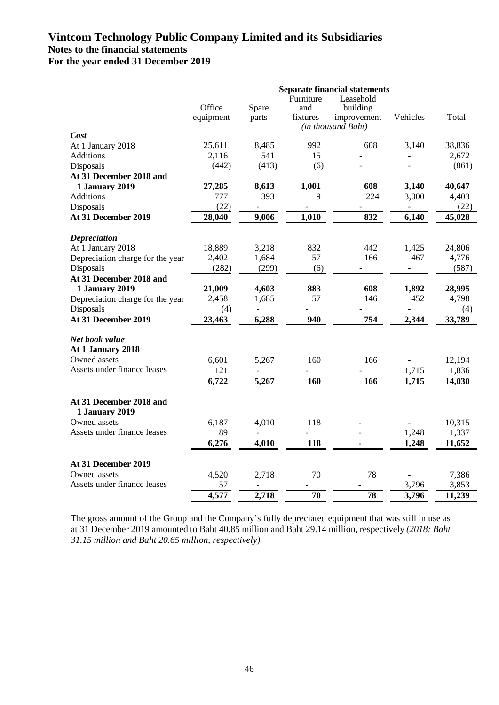|                                           | <b>Separate financial statements</b> |                   |           |                    |                          |        |  |  |  |
|-------------------------------------------|--------------------------------------|-------------------|-----------|--------------------|--------------------------|--------|--|--|--|
|                                           |                                      |                   | Furniture | Leasehold          |                          |        |  |  |  |
|                                           | Office                               | Spare             | and       | building           |                          |        |  |  |  |
|                                           | equipment                            | parts             | fixtures  | improvement        | Vehicles                 | Total  |  |  |  |
| Cost                                      |                                      |                   |           | (in thousand Baht) |                          |        |  |  |  |
| At 1 January 2018                         | 25,611                               | 8,485             | 992       | 608                | 3,140                    | 38,836 |  |  |  |
| <b>Additions</b>                          | 2,116                                | 541               | 15        |                    | $\overline{\phantom{a}}$ | 2,672  |  |  |  |
| Disposals                                 | (442)                                | (413)             | (6)       |                    |                          | (861)  |  |  |  |
| At 31 December 2018 and                   |                                      |                   |           |                    |                          |        |  |  |  |
| <b>1 January 2019</b>                     | 27,285                               | 8,613             | 1,001     | 608                | 3,140                    | 40,647 |  |  |  |
| <b>Additions</b>                          | 777                                  | 393               | 9         | 224                | 3,000                    | 4,403  |  |  |  |
| Disposals                                 | (22)                                 |                   |           |                    |                          | (22)   |  |  |  |
| At 31 December 2019                       | 28,040                               | 9,006             | 1,010     | 832                | 6,140                    | 45,028 |  |  |  |
|                                           |                                      |                   |           |                    |                          |        |  |  |  |
| <b>Depreciation</b>                       |                                      |                   |           |                    |                          |        |  |  |  |
| At 1 January 2018                         | 18,889                               | 3,218             | 832       | 442                | 1,425                    | 24,806 |  |  |  |
| Depreciation charge for the year          | 2,402                                | 1,684             | 57        | 166                | 467                      | 4,776  |  |  |  |
| Disposals                                 | (282)                                | (299)             | (6)       |                    |                          | (587)  |  |  |  |
| At 31 December 2018 and                   |                                      |                   |           |                    |                          |        |  |  |  |
| 1 January 2019                            | 21,009                               | 4,603             | 883       | 608                | 1,892                    | 28,995 |  |  |  |
| Depreciation charge for the year          | 2,458                                | 1,685             | 57        | 146                | 452                      | 4,798  |  |  |  |
| Disposals                                 | (4)                                  | $\qquad \qquad -$ |           |                    | $\qquad \qquad -$        | (4)    |  |  |  |
| At 31 December 2019                       | 23,463                               | 6,288             | 940       | 754                | 2,344                    | 33,789 |  |  |  |
|                                           |                                      |                   |           |                    |                          |        |  |  |  |
| Net book value                            |                                      |                   |           |                    |                          |        |  |  |  |
| At 1 January 2018                         |                                      |                   |           |                    |                          |        |  |  |  |
| Owned assets                              | 6,601                                | 5,267             | 160       | 166                |                          | 12,194 |  |  |  |
| Assets under finance leases               | 121                                  |                   |           |                    | 1,715                    | 1,836  |  |  |  |
|                                           | 6,722                                | 5,267             | 160       | 166                | 1,715                    | 14,030 |  |  |  |
|                                           |                                      |                   |           |                    |                          |        |  |  |  |
| At 31 December 2018 and<br>1 January 2019 |                                      |                   |           |                    |                          |        |  |  |  |
| Owned assets                              | 6,187                                | 4,010             | 118       |                    |                          | 10,315 |  |  |  |
| Assets under finance leases               | 89                                   | $\overline{a}$    |           |                    | 1,248                    | 1,337  |  |  |  |
|                                           | 6,276                                | 4,010             | 118       | $\blacksquare$     | 1,248                    | 11,652 |  |  |  |
|                                           |                                      |                   |           |                    |                          |        |  |  |  |
| At 31 December 2019                       |                                      |                   |           |                    |                          |        |  |  |  |
| Owned assets                              | 4,520                                | 2,718             | 70        | 78                 |                          | 7,386  |  |  |  |
| Assets under finance leases               | 57                                   |                   |           |                    | 3,796                    | 3,853  |  |  |  |
|                                           | 4,577                                | 2,718             | 70        | 78                 | 3,796                    | 11,239 |  |  |  |

The gross amount of the Group and the Company's fully depreciated equipment that was still in use as at 31 December 2019 amounted to Baht 40.85 million and Baht 29.14 million, respectively *(2018: Baht 31.15 million and Baht 20.65 million, respectively).*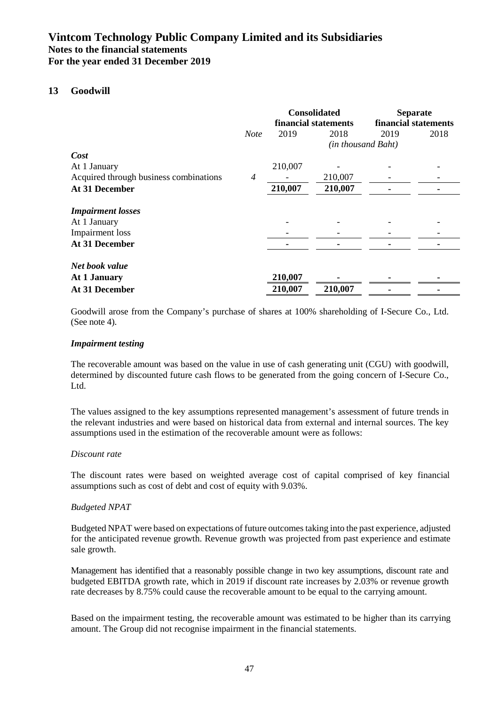### **13 Goodwill**

|                                        |                |         | <b>Consolidated</b><br>financial statements | <b>Separate</b><br>financial statements |      |
|----------------------------------------|----------------|---------|---------------------------------------------|-----------------------------------------|------|
|                                        | <b>Note</b>    | 2019    | 2018                                        | 2019                                    | 2018 |
|                                        |                |         | (in thousand Baht)                          |                                         |      |
| Cost                                   |                |         |                                             |                                         |      |
| At 1 January                           |                | 210,007 |                                             |                                         |      |
| Acquired through business combinations | $\overline{4}$ |         | 210,007                                     |                                         |      |
| <b>At 31 December</b>                  |                | 210,007 | 210,007                                     |                                         |      |
| <b>Impairment</b> losses               |                |         |                                             |                                         |      |
| At 1 January                           |                |         |                                             |                                         |      |
| Impairment loss                        |                |         |                                             |                                         |      |
| At 31 December                         |                |         |                                             |                                         |      |
| Net book value                         |                |         |                                             |                                         |      |
| At 1 January                           |                | 210,007 |                                             |                                         |      |
| At 31 December                         |                | 210,007 | 210,007                                     |                                         |      |

Goodwill arose from the Company's purchase of shares at 100% shareholding of I-Secure Co., Ltd. (See note 4).

### *Impairment testing*

The recoverable amount was based on the value in use of cash generating unit (CGU) with goodwill, determined by discounted future cash flows to be generated from the going concern of I-Secure Co., Ltd.

The values assigned to the key assumptions represented management's assessment of future trends in the relevant industries and were based on historical data from external and internal sources. The key assumptions used in the estimation of the recoverable amount were as follows:

### *Discount rate*

The discount rates were based on weighted average cost of capital comprised of key financial assumptions such as cost of debt and cost of equity with 9.03%.

### *Budgeted NPAT*

Budgeted NPAT were based on expectations of future outcomes taking into the past experience, adjusted for the anticipated revenue growth. Revenue growth was projected from past experience and estimate sale growth.

Management has identified that a reasonably possible change in two key assumptions, discount rate and budgeted EBITDA growth rate, which in 2019 if discount rate increases by 2.03% or revenue growth rate decreases by 8.75% could cause the recoverable amount to be equal to the carrying amount.

Based on the impairment testing, the recoverable amount was estimated to be higher than its carrying amount. The Group did not recognise impairment in the financial statements.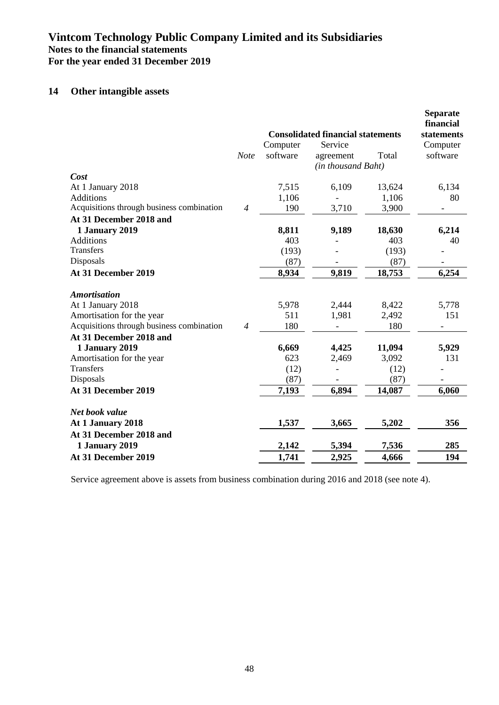## **14 Other intangible assets**

|                                           |                |          | <b>Consolidated financial statements</b> |        | <b>Separate</b><br>financial<br>statements |
|-------------------------------------------|----------------|----------|------------------------------------------|--------|--------------------------------------------|
|                                           |                | Computer | Service                                  |        | Computer                                   |
|                                           | <b>Note</b>    | software | agreement                                | Total  | software                                   |
|                                           |                |          | (in thousand Baht)                       |        |                                            |
| Cost                                      |                |          |                                          |        |                                            |
| At 1 January 2018                         |                | 7,515    | 6,109                                    | 13,624 | 6,134                                      |
| <b>Additions</b>                          |                | 1,106    |                                          | 1,106  | 80                                         |
| Acquisitions through business combination | $\overline{4}$ | 190      | 3,710                                    | 3,900  |                                            |
| At 31 December 2018 and                   |                |          |                                          |        |                                            |
| 1 January 2019                            |                | 8,811    | 9,189                                    | 18,630 | 6,214                                      |
| <b>Additions</b>                          |                | 403      |                                          | 403    | 40                                         |
| Transfers                                 |                | (193)    |                                          | (193)  |                                            |
| Disposals                                 |                | (87)     |                                          | (87)   |                                            |
| At 31 December 2019                       |                | 8,934    | 9,819                                    | 18,753 | 6,254                                      |
| <b>Amortisation</b>                       |                |          |                                          |        |                                            |
| At 1 January 2018                         |                | 5,978    | 2,444                                    | 8,422  | 5,778                                      |
| Amortisation for the year                 |                | 511      | 1,981                                    | 2,492  | 151                                        |
| Acquisitions through business combination | $\overline{4}$ | 180      |                                          | 180    |                                            |
| At 31 December 2018 and                   |                |          |                                          |        |                                            |
| 1 January 2019                            |                | 6,669    | 4,425                                    | 11,094 | 5,929                                      |
| Amortisation for the year                 |                | 623      | 2,469                                    | 3,092  | 131                                        |
| <b>Transfers</b>                          |                | (12)     |                                          | (12)   |                                            |
| Disposals                                 |                | (87)     |                                          | (87)   |                                            |
| At 31 December 2019                       |                | 7,193    | 6,894                                    | 14,087 | 6,060                                      |
| Net book value                            |                |          |                                          |        |                                            |
| At 1 January 2018                         |                | 1,537    | 3,665                                    | 5,202  | 356                                        |
| At 31 December 2018 and                   |                |          |                                          |        |                                            |
| <b>1 January 2019</b>                     |                | 2,142    | 5,394                                    | 7,536  | 285                                        |
| At 31 December 2019                       |                | 1,741    | 2,925                                    | 4,666  | 194                                        |

Service agreement above is assets from business combination during 2016 and 2018 (see note 4).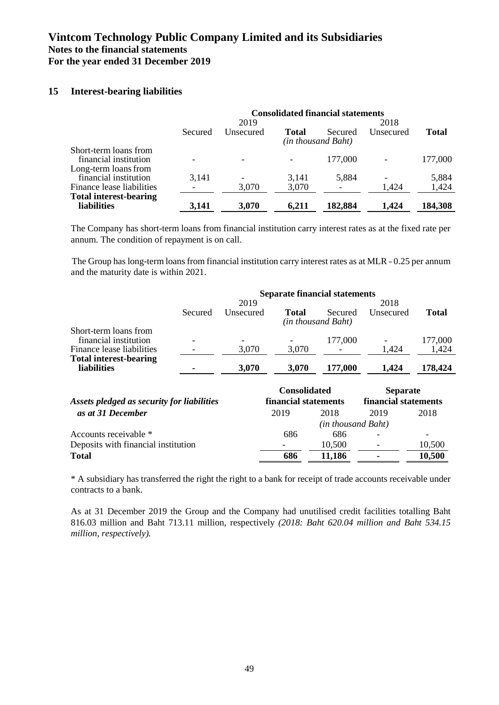### **15 Interest-bearing liabilities**

|                               | <b>Consolidated financial statements</b> |           |       |                    |           |              |  |  |
|-------------------------------|------------------------------------------|-----------|-------|--------------------|-----------|--------------|--|--|
|                               |                                          | 2019      |       |                    | 2018      |              |  |  |
|                               | Secured                                  | Unsecured | Total | Secured            | Unsecured | <b>Total</b> |  |  |
|                               |                                          |           |       | (in thousand Baht) |           |              |  |  |
| Short-term loans from         |                                          |           |       |                    |           |              |  |  |
| financial institution         |                                          |           |       | 177,000            |           | 177,000      |  |  |
| Long-term loans from          |                                          |           |       |                    |           |              |  |  |
| financial institution         | 3,141                                    |           | 3,141 | 5,884              |           | 5,884        |  |  |
|                               |                                          |           |       |                    |           |              |  |  |
| Finance lease liabilities     |                                          | 3,070     | 3,070 |                    | 1,424     | 1,424        |  |  |
| <b>Total interest-bearing</b> |                                          |           |       |                    |           |              |  |  |
| <b>liabilities</b>            | 3.141                                    | 3,070     | 6,211 | 182,884            | 1.424     | 184,308      |  |  |

The Company has short-term loans from financial institution carry interest rates as at the fixed rate per annum. The condition of repayment is on call.

The Group has long-term loans from financial institution carry interest rates as at MLR - 0.25 per annum and the maturity date is within 2021.

|                               |         |                          | <b>Separate financial statements</b> |                    |           |              |
|-------------------------------|---------|--------------------------|--------------------------------------|--------------------|-----------|--------------|
|                               |         | 2019                     |                                      | 2018               |           |              |
|                               | Secured | Unsecured                | Total                                | Secured            | Unsecured | <b>Total</b> |
|                               |         |                          |                                      | (in thousand Baht) |           |              |
| Short-term loans from         |         |                          |                                      |                    |           |              |
| financial institution         |         | $\overline{\phantom{0}}$ |                                      | 177,000            |           | 177,000      |
| Finance lease liabilities     |         | 3,070                    | 3,070                                |                    | 1.424     | 1,424        |
| <b>Total interest-bearing</b> |         |                          |                                      |                    |           |              |
| <b>liabilities</b>            |         | 3,070                    | 3,070                                | 177,000            | 1.424     | 178,424      |

|                                            | <b>Consolidated</b>  |        | <b>Separate</b><br>financial statements |        |
|--------------------------------------------|----------------------|--------|-----------------------------------------|--------|
| Assets pledged as security for liabilities | financial statements |        |                                         |        |
| as at 31 December                          | 2019                 | 2018   | 2019                                    | 2018   |
|                                            |                      |        | (in thousand Baht)                      |        |
| Accounts receivable *                      | 686                  | 686    | $\overline{\phantom{a}}$                |        |
| Deposits with financial institution        |                      | 10,500 | $\overline{\phantom{a}}$                | 10,500 |
| <b>Total</b>                               | 686                  | 11,186 | $\blacksquare$                          | 10,500 |

\* A subsidiary has transferred the right the right to a bank for receipt of trade accounts receivable under contracts to a bank.

As at 31 December 2019 the Group and the Company had unutilised credit facilities totalling Baht 816.03 million and Baht 713.11 million, respectively *(2018: Baht 620.04 million and Baht 534.15 million, respectively).*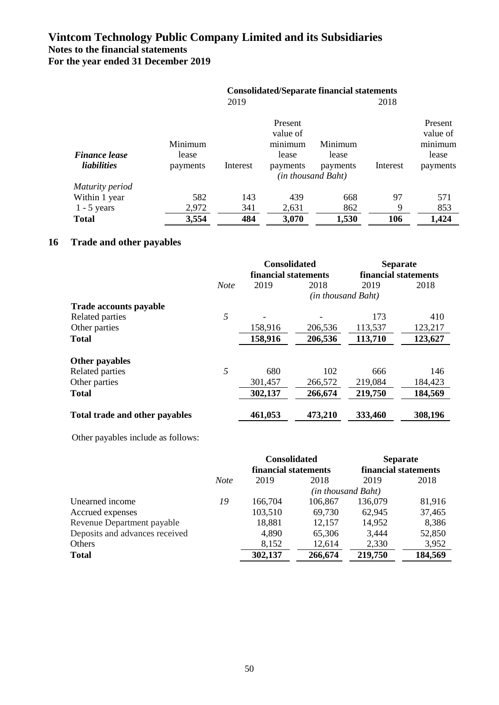|                                            | <b>Consolidated/Separate financial statements</b> |          |                                                     |                                                    |          |                                                     |
|--------------------------------------------|---------------------------------------------------|----------|-----------------------------------------------------|----------------------------------------------------|----------|-----------------------------------------------------|
|                                            |                                                   | 2019     |                                                     |                                                    | 2018     |                                                     |
| <b>Finance lease</b><br><i>liabilities</i> | Minimum<br>lease<br>payments                      | Interest | Present<br>value of<br>minimum<br>lease<br>payments | Minimum<br>lease<br>payments<br>(in thousand Baht) | Interest | Present<br>value of<br>minimum<br>lease<br>payments |
| Maturity period                            |                                                   |          |                                                     |                                                    |          |                                                     |
| Within 1 year                              | 582                                               | 143      | 439                                                 | 668                                                | 97       | 571                                                 |
| $1 - 5$ years                              | 2,972                                             | 341      | 2,631                                               | 862                                                | 9        | 853                                                 |
| <b>Total</b>                               | 3,554                                             | 484      | 3,070                                               | 1,530                                              | 106      | 1,424                                               |

## **16 Trade and other payables**

|                                |             | <b>Consolidated</b>  |                    | <b>Separate</b>      |         |
|--------------------------------|-------------|----------------------|--------------------|----------------------|---------|
|                                |             | financial statements |                    | financial statements |         |
|                                | <b>Note</b> | 2019                 | 2018               | 2019                 | 2018    |
|                                |             |                      | (in thousand Baht) |                      |         |
| <b>Trade accounts payable</b>  |             |                      |                    |                      |         |
| Related parties                | 5           |                      |                    | 173                  | 410     |
| Other parties                  |             | 158,916              | 206,536            | 113,537              | 123,217 |
| <b>Total</b>                   |             | 158,916              | 206,536            | 113,710              | 123,627 |
| Other payables                 |             |                      |                    |                      |         |
| Related parties                | 5           | 680                  | 102                | 666                  | 146     |
| Other parties                  |             | 301,457              | 266,572            | 219,084              | 184,423 |
| <b>Total</b>                   |             | 302,137              | 266,674            | 219,750              | 184,569 |
| Total trade and other payables |             | 461,053              | 473,210            | 333,460              | 308,196 |

Other payables include as follows:

|                                |             | <b>Consolidated</b>  |                    | <b>Separate</b>      |         |
|--------------------------------|-------------|----------------------|--------------------|----------------------|---------|
|                                |             | financial statements |                    | financial statements |         |
|                                | <b>Note</b> | 2019                 | 2018               | 2019                 | 2018    |
|                                |             |                      | (in thousand Baht) |                      |         |
| Unearned income                | 19          | 166,704              | 106,867            | 136,079              | 81,916  |
| Accrued expenses               |             | 103,510              | 69,730             | 62,945               | 37,465  |
| Revenue Department payable     |             | 18,881               | 12,157             | 14,952               | 8,386   |
| Deposits and advances received |             | 4,890                | 65,306             | 3,444                | 52,850  |
| Others                         |             | 8,152                | 12,614             | 2,330                | 3,952   |
| <b>Total</b>                   |             | 302,137              | 266,674            | 219,750              | 184,569 |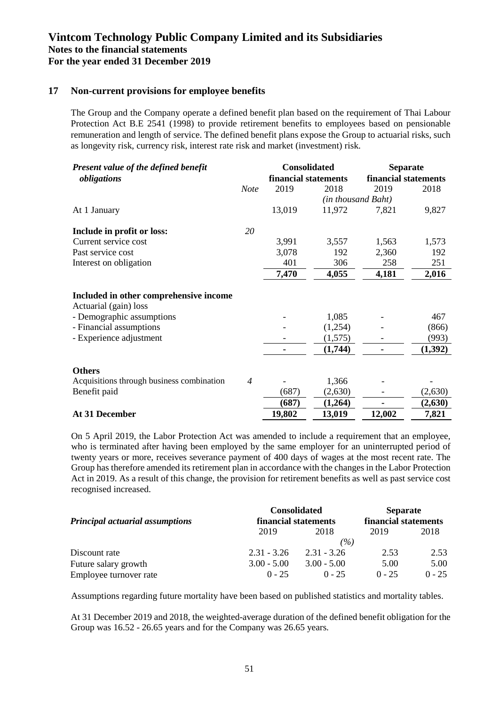### **17 Non-current provisions for employee benefits**

The Group and the Company operate a defined benefit plan based on the requirement of Thai Labour Protection Act B.E 2541 (1998) to provide retirement benefits to employees based on pensionable remuneration and length of service. The defined benefit plans expose the Group to actuarial risks, such as longevity risk, currency risk, interest rate risk and market (investment) risk.

| Present value of the defined benefit                            |                | <b>Consolidated</b>  |                    | <b>Separate</b><br>financial statements |         |
|-----------------------------------------------------------------|----------------|----------------------|--------------------|-----------------------------------------|---------|
| obligations                                                     |                | financial statements |                    |                                         |         |
|                                                                 | <b>Note</b>    | 2019                 | 2018               | 2019                                    | 2018    |
|                                                                 |                |                      | (in thousand Baht) |                                         |         |
| At 1 January                                                    |                | 13,019               | 11,972             | 7,821                                   | 9,827   |
| Include in profit or loss:                                      | 20             |                      |                    |                                         |         |
| Current service cost                                            |                | 3,991                | 3,557              | 1,563                                   | 1,573   |
| Past service cost                                               |                | 3,078                | 192                | 2,360                                   | 192     |
| Interest on obligation                                          |                | 401                  | 306                | 258                                     | 251     |
|                                                                 |                | 7,470                | 4,055              | 4,181                                   | 2,016   |
| Included in other comprehensive income<br>Actuarial (gain) loss |                |                      |                    |                                         |         |
| - Demographic assumptions                                       |                |                      | 1,085              |                                         | 467     |
| - Financial assumptions                                         |                |                      | (1,254)            |                                         | (866)   |
| - Experience adjustment                                         |                |                      | (1,575)            |                                         | (993)   |
|                                                                 |                |                      | (1,744)            |                                         | (1,392) |
| <b>Others</b>                                                   |                |                      |                    |                                         |         |
| Acquisitions through business combination                       | $\overline{4}$ |                      | 1,366              |                                         |         |
| Benefit paid                                                    |                | (687)                | (2,630)            |                                         | (2,630) |
|                                                                 |                | (687)                | (1,264)            |                                         | (2,630) |
| At 31 December                                                  |                | 19,802               | 13,019             | 12,002                                  | 7,821   |

On 5 April 2019, the Labor Protection Act was amended to include a requirement that an employee, who is terminated after having been employed by the same employer for an uninterrupted period of twenty years or more, receives severance payment of 400 days of wages at the most recent rate. The Group has therefore amended its retirement plan in accordance with the changes in the Labor Protection Act in 2019. As a result of this change, the provision for retirement benefits as well as past service cost recognised increased.

|                                        | <b>Consolidated</b>  | <b>Separate</b><br>financial statements |          |          |
|----------------------------------------|----------------------|-----------------------------------------|----------|----------|
| <b>Principal actuarial assumptions</b> | financial statements |                                         |          |          |
|                                        | 2019                 | 2018                                    | 2019     | 2018     |
|                                        |                      | (%)                                     |          |          |
| Discount rate                          | $2.31 - 3.26$        | $2.31 - 3.26$                           | 2.53     | 2.53     |
| Future salary growth                   | $3.00 - 5.00$        | $3.00 - 5.00$                           | 5.00     | 5.00     |
| Employee turnover rate                 | $0 - 25$             | $0 - 25$                                | $0 - 25$ | $0 - 25$ |

Assumptions regarding future mortality have been based on published statistics and mortality tables.

At 31 December 2019 and 2018, the weighted-average duration of the defined benefit obligation for the Group was 16.52 - 26.65 years and for the Company was 26.65 years*.*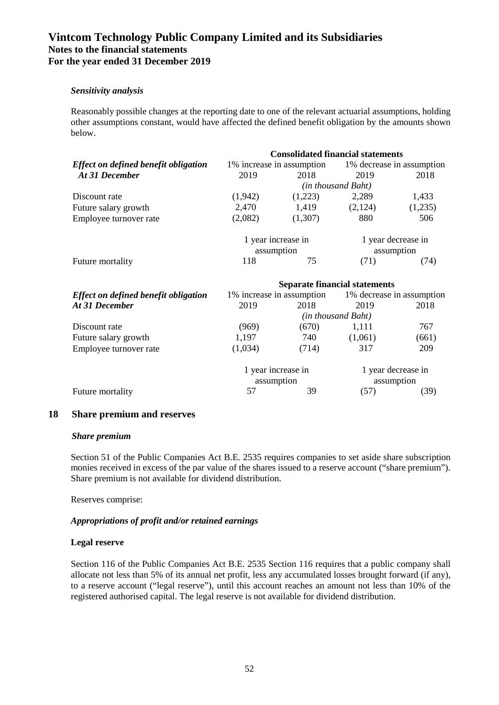### *Sensitivity analysis*

Reasonably possible changes at the reporting date to one of the relevant actuarial assumptions, holding other assumptions constant, would have affected the defined benefit obligation by the amounts shown below.

|                                             |                    |                           | <b>Consolidated financial statements</b> |                                                     |  |  |
|---------------------------------------------|--------------------|---------------------------|------------------------------------------|-----------------------------------------------------|--|--|
| <b>Effect on defined benefit obligation</b> |                    | 1% increase in assumption |                                          | 1% decrease in assumption                           |  |  |
| At 31 December                              | 2019               | 2018                      | 2019                                     | 2018                                                |  |  |
|                                             |                    |                           | (in thousand Baht)                       |                                                     |  |  |
| Discount rate                               | (1,942)            | (1,223)                   | 2,289                                    | 1,433                                               |  |  |
| Future salary growth                        | 2,470              | 1,419                     | (2,124)                                  | (1,235)                                             |  |  |
| Employee turnover rate                      | (2,082)            | (1,307)                   | 880                                      | 506                                                 |  |  |
|                                             |                    | 1 year increase in        | 1 year decrease in                       |                                                     |  |  |
|                                             |                    | assumption                | assumption                               |                                                     |  |  |
| Future mortality                            | 118                | 75                        | (71)                                     | (74)                                                |  |  |
|                                             |                    |                           | <b>Separate financial statements</b>     |                                                     |  |  |
| <b>Effect on defined benefit obligation</b> |                    |                           |                                          | 1% increase in assumption 1% decrease in assumption |  |  |
| At 31 December                              | 2019               | 2018                      | 2019                                     | 2018                                                |  |  |
|                                             | (in thousand Baht) |                           |                                          |                                                     |  |  |
| Discount rate                               | (969)              | (670)                     | 1,111                                    | 767                                                 |  |  |
| Future salary growth                        | 1,197              | 740                       | (1,061)                                  | (661)                                               |  |  |
| Employee turnover rate                      | (1,034)            | (714)                     | 317                                      | 209                                                 |  |  |
|                                             |                    | 1 year increase in        | 1 year decrease in                       |                                                     |  |  |
|                                             |                    | assumption                | assumption                               |                                                     |  |  |
| Future mortality                            | 57                 | 39                        | (57)                                     | (39)                                                |  |  |

### **18 Share premium and reserves**

### *Share premium*

Section 51 of the Public Companies Act B.E. 2535 requires companies to set aside share subscription monies received in excess of the par value of the shares issued to a reserve account ("share premium"). Share premium is not available for dividend distribution.

Reserves comprise:

### *Appropriations of profit and/or retained earnings*

### **Legal reserve**

Section 116 of the Public Companies Act B.E. 2535 Section 116 requires that a public company shall allocate not less than 5% of its annual net profit, less any accumulated losses brought forward (if any), to a reserve account ("legal reserve"), until this account reaches an amount not less than 10% of the registered authorised capital. The legal reserve is not available for dividend distribution.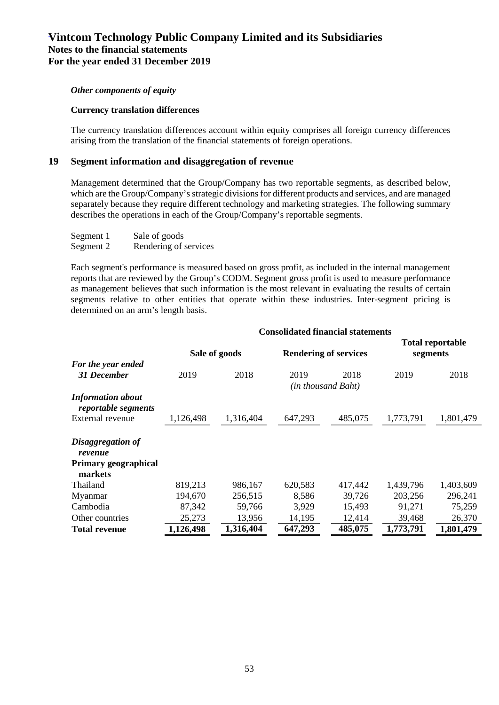#### *Other components of equity*

#### **Currency translation differences**

The currency translation differences account within equity comprises all foreign currency differences arising from the translation of the financial statements of foreign operations.

### **19 Segment information and disaggregation of revenue**

Management determined that the Group/Company has two reportable segments, as described below, which are the Group/Company's strategic divisions for different products and services, and are managed separately because they require different technology and marketing strategies. The following summary describes the operations in each of the Group/Company's reportable segments.

| Segment 1 | Sale of goods         |
|-----------|-----------------------|
| Segment 2 | Rendering of services |

Each segment's performance is measured based on gross profit, as included in the internal management reports that are reviewed by the Group's CODM. Segment gross profit is used to measure performance as management believes that such information is the most relevant in evaluating the results of certain segments relative to other entities that operate within these industries. Inter-segment pricing is determined on an arm's length basis.

|                                                                 | <b>Consolidated financial statements</b> |           |                              |                            |                              |           |
|-----------------------------------------------------------------|------------------------------------------|-----------|------------------------------|----------------------------|------------------------------|-----------|
|                                                                 | Sale of goods                            |           | <b>Rendering of services</b> |                            | Total reportable<br>segments |           |
| For the year ended<br><b>31 December</b>                        | 2019                                     | 2018      | 2019                         | 2018<br>(in thousand Baht) | 2019                         | 2018      |
| <b>Information about</b><br>reportable segments                 |                                          |           |                              |                            |                              |           |
| External revenue                                                | 1,126,498                                | 1,316,404 | 647,293                      | 485,075                    | 1,773,791                    | 1,801,479 |
| Disaggregation of<br>revenue<br>Primary geographical<br>markets |                                          |           |                              |                            |                              |           |
| Thailand                                                        | 819,213                                  | 986,167   | 620,583                      | 417,442                    | 1,439,796                    | 1,403,609 |
| Myanmar                                                         | 194,670                                  | 256,515   | 8,586                        | 39,726                     | 203,256                      | 296,241   |
| Cambodia                                                        | 87,342                                   | 59,766    | 3,929                        | 15,493                     | 91,271                       | 75,259    |
| Other countries                                                 | 25,273                                   | 13,956    | 14,195                       | 12,414                     | 39,468                       | 26,370    |
| <b>Total revenue</b>                                            | 1,126,498                                | 1,316,404 | 647,293                      | 485,075                    | 1,773,791                    | 1,801,479 |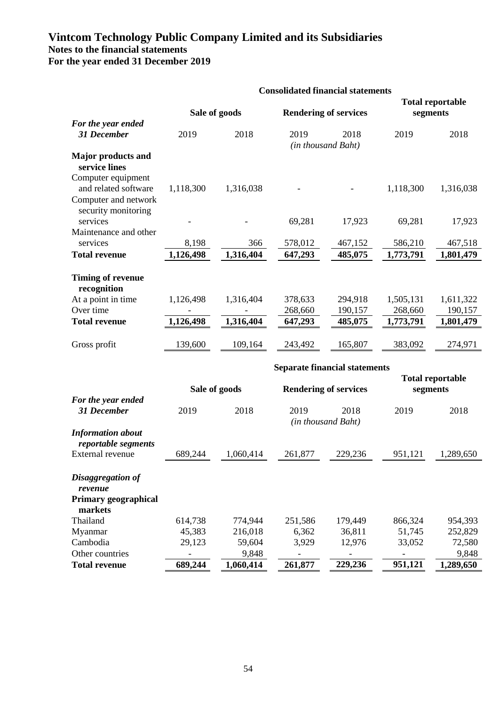|                                              | <b>Consolidated financial statements</b> |           |                                      |         |                                     |           |
|----------------------------------------------|------------------------------------------|-----------|--------------------------------------|---------|-------------------------------------|-----------|
|                                              | Sale of goods                            |           | <b>Rendering of services</b>         |         | <b>Total reportable</b><br>segments |           |
| For the year ended<br><b>31 December</b>     | 2019                                     | 2018      | 2019<br>(in thousand Baht)           | 2018    | 2019                                | 2018      |
| <b>Major products and</b>                    |                                          |           |                                      |         |                                     |           |
| service lines                                |                                          |           |                                      |         |                                     |           |
| Computer equipment                           |                                          |           |                                      |         |                                     |           |
| and related software<br>Computer and network | 1,118,300                                | 1,316,038 |                                      |         | 1,118,300                           | 1,316,038 |
| security monitoring                          |                                          |           |                                      |         |                                     |           |
| services                                     |                                          |           | 69,281                               | 17,923  | 69,281                              | 17,923    |
| Maintenance and other                        |                                          |           |                                      |         |                                     |           |
| services                                     | 8,198                                    | 366       | 578,012                              | 467,152 | 586,210                             | 467,518   |
| <b>Total revenue</b>                         | 1,126,498                                | 1,316,404 | 647,293                              | 485,075 | 1,773,791                           | 1,801,479 |
| <b>Timing of revenue</b><br>recognition      |                                          |           |                                      |         |                                     |           |
| At a point in time                           | 1,126,498                                | 1,316,404 | 378,633                              | 294,918 | 1,505,131                           | 1,611,322 |
| Over time                                    |                                          |           | 268,660                              | 190,157 | 268,660                             | 190,157   |
| <b>Total revenue</b>                         | 1,126,498                                | 1,316,404 | 647,293                              | 485,075 | 1,773,791                           | 1,801,479 |
| Gross profit                                 | 139,600                                  | 109,164   | 243,492                              | 165,807 | 383,092                             | 274,971   |
|                                              |                                          |           | <b>Separate financial statements</b> |         |                                     |           |
|                                              |                                          |           |                                      |         | <b>Total reportable</b>             |           |
|                                              | Sale of goods                            |           | <b>Rendering of services</b>         |         | segments                            |           |
| For the year ended<br>31 December            | 2019                                     | 2018      | 2019                                 | 2018    | 2019                                | 2018      |
|                                              |                                          |           | (in thousand Baht)                   |         |                                     |           |
| <b>Information about</b>                     |                                          |           |                                      |         |                                     |           |
| reportable segments                          |                                          |           |                                      |         |                                     |           |
| External revenue                             | 689,244                                  | 1,060,414 | 261,877                              | 229,236 | 951,121                             | 1,289,650 |
|                                              |                                          |           |                                      |         |                                     |           |
| Disaggregation of                            |                                          |           |                                      |         |                                     |           |
| revenue<br><b>Primary geographical</b>       |                                          |           |                                      |         |                                     |           |
| markets                                      |                                          |           |                                      |         |                                     |           |
| Thailand                                     | 614,738                                  | 774,944   | 251,586                              | 179,449 | 866,324                             | 954,393   |
| Myanmar                                      | 45,383                                   | 216,018   | 6,362                                | 36,811  | 51,745                              | 252,829   |
| Cambodia                                     | 29,123                                   | 59,604    | 3,929                                | 12,976  | 33,052                              | 72,580    |
| Other countries<br><b>Total revenue</b>      |                                          | 9,848     |                                      |         | 951,121                             | 9,848     |
|                                              | 689,244                                  | 1,060,414 | 261,877                              | 229,236 |                                     | 1,289,650 |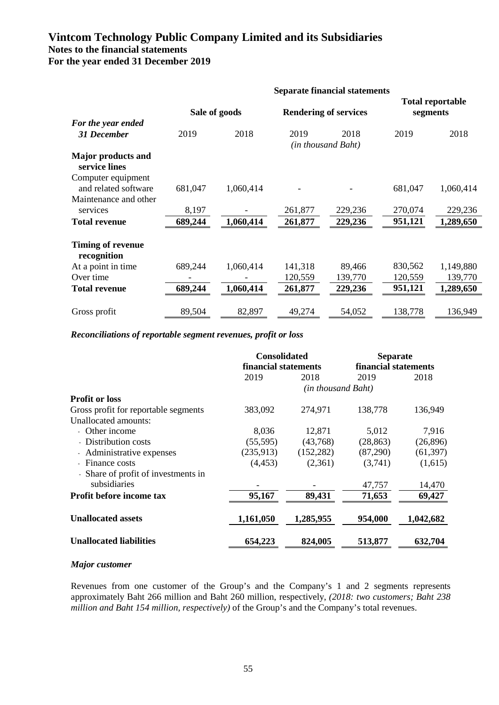|                                            | <b>Separate financial statements</b> |           |                              |                            |                                     |           |
|--------------------------------------------|--------------------------------------|-----------|------------------------------|----------------------------|-------------------------------------|-----------|
|                                            | Sale of goods                        |           | <b>Rendering of services</b> |                            | <b>Total reportable</b><br>segments |           |
| For the year ended<br><b>31 December</b>   | 2019                                 | 2018      | 2019                         | 2018<br>(in thousand Baht) | 2019                                | 2018      |
| <b>Major products and</b><br>service lines |                                      |           |                              |                            |                                     |           |
| Computer equipment<br>and related software | 681,047                              | 1,060,414 |                              |                            | 681,047                             | 1,060,414 |
| Maintenance and other<br>services          | 8,197                                |           | 261,877                      | 229,236                    | 270,074                             | 229,236   |
| <b>Total revenue</b>                       | 689,244                              | 1,060,414 | 261,877                      | 229,236                    | 951,121                             | 1,289,650 |
| <b>Timing of revenue</b><br>recognition    |                                      |           |                              |                            |                                     |           |
| At a point in time                         | 689,244                              | 1,060,414 | 141,318                      | 89,466                     | 830,562                             | 1,149,880 |
| Over time                                  |                                      |           | 120,559                      | 139,770                    | 120,559                             | 139,770   |
| <b>Total revenue</b>                       | 689,244                              | 1,060,414 | 261,877                      | 229,236                    | 951,121                             | 1,289,650 |
| Gross profit                               | 89,504                               | 82,897    | 49,274                       | 54,052                     | 138,778                             | 136,949   |

*Reconciliations of reportable segment revenues, profit or loss* 

|                                      | <b>Consolidated</b>  |                    | <b>Separate</b><br>financial statements |           |  |
|--------------------------------------|----------------------|--------------------|-----------------------------------------|-----------|--|
|                                      | financial statements |                    |                                         |           |  |
|                                      | 2019                 | 2018               | 2019                                    | 2018      |  |
|                                      |                      | (in thousand Baht) |                                         |           |  |
| <b>Profit or loss</b>                |                      |                    |                                         |           |  |
| Gross profit for reportable segments | 383,092              | 274,971            | 138,778                                 | 136,949   |  |
| Unallocated amounts:                 |                      |                    |                                         |           |  |
| - Other income                       | 8,036                | 12,871             | 5,012                                   | 7,916     |  |
| - Distribution costs                 | (55, 595)            | (43,768)           | (28, 863)                               | (26,896)  |  |
| - Administrative expenses            | (235,913)            | (152, 282)         | (87,290)                                | (61, 397) |  |
| - Finance costs                      | (4, 453)             | (2,361)            | (3,741)                                 | (1,615)   |  |
| - Share of profit of investments in  |                      |                    |                                         |           |  |
| subsidiaries                         |                      |                    | 47,757                                  | 14,470    |  |
| Profit before income tax             | 95,167               | 89,431             | 71,653                                  | 69,427    |  |
| <b>Unallocated assets</b>            | 1,161,050            | 1,285,955          | 954,000                                 | 1,042,682 |  |
| <b>Unallocated liabilities</b>       | 654,223              | 824,005            | 513,877                                 | 632,704   |  |

### *Major customer*

Revenues from one customer of the Group's and the Company's 1 and 2 segments represents approximately Baht 266 million and Baht 260 million, respectively, *(2018: two customers; Baht 238 million and Baht 154 million, respectively)* of the Group's and the Company's total revenues.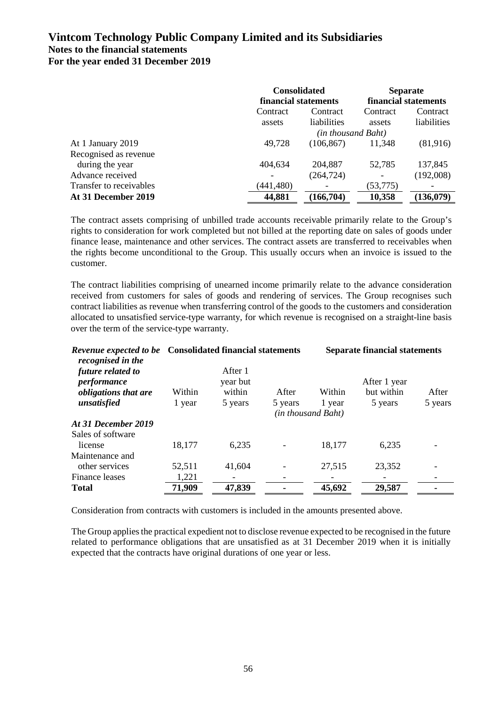|                         | <b>Consolidated</b>  |                    | <b>Separate</b><br>financial statements |             |
|-------------------------|----------------------|--------------------|-----------------------------------------|-------------|
|                         | financial statements |                    |                                         |             |
|                         | Contract             | Contract           | Contract                                | Contract    |
|                         | assets               | liabilities        | assets                                  | liabilities |
|                         |                      | (in thousand Baht) |                                         |             |
| At 1 January 2019       | 49,728               | (106, 867)         | 11,348                                  | (81,916)    |
| Recognised as revenue   |                      |                    |                                         |             |
| during the year         | 404,634              | 204,887            | 52,785                                  | 137,845     |
| Advance received        | $\qquad \qquad$      | (264, 724)         | $\overline{\phantom{a}}$                | (192,008)   |
| Transfer to receivables | (441, 480)           |                    | (53, 775)                               |             |
| At 31 December 2019     | 44,881               | (166, 704)         | 10,358                                  | (136,079)   |

The contract assets comprising of unbilled trade accounts receivable primarily relate to the Group's rights to consideration for work completed but not billed at the reporting date on sales of goods under finance lease, maintenance and other services. The contract assets are transferred to receivables when the rights become unconditional to the Group. This usually occurs when an invoice is issued to the customer.

The contract liabilities comprising of unearned income primarily relate to the advance consideration received from customers for sales of goods and rendering of services. The Group recognises such contract liabilities as revenue when transferring control of the goods to the customers and consideration allocated to unsatisfied service-type warranty, for which revenue is recognised on a straight-line basis over the term of the service-type warranty.

| recognised in the                 | Revenue expected to be Consolidated financial statements |                     | <b>Separate financial statements</b> |                              |              |         |
|-----------------------------------|----------------------------------------------------------|---------------------|--------------------------------------|------------------------------|--------------|---------|
| future related to<br>performance  |                                                          | After 1<br>year but |                                      |                              | After 1 year |         |
| <i>obligations that are</i>       | Within                                                   | within              | After                                | Within                       | but within   | After   |
| unsatisfied                       | 1 year                                                   | 5 years             | 5 years                              | 1 year<br>(in thousand Baht) | 5 years      | 5 years |
| At 31 December 2019               |                                                          |                     |                                      |                              |              |         |
| Sales of software<br>license      | 18,177                                                   | 6,235               |                                      | 18,177                       | 6,235        |         |
| Maintenance and<br>other services | 52,511                                                   | 41,604              |                                      | 27,515                       | 23,352       |         |
| Finance leases                    | 1,221                                                    |                     |                                      |                              |              |         |
| <b>Total</b>                      | 71,909                                                   | 47,839              |                                      | 45,692                       | 29,587       |         |

Consideration from contracts with customers is included in the amounts presented above.

The Group applies the practical expedient not to disclose revenue expected to be recognised in the future related to performance obligations that are unsatisfied as at 31 December 2019 when it is initially expected that the contracts have original durations of one year or less.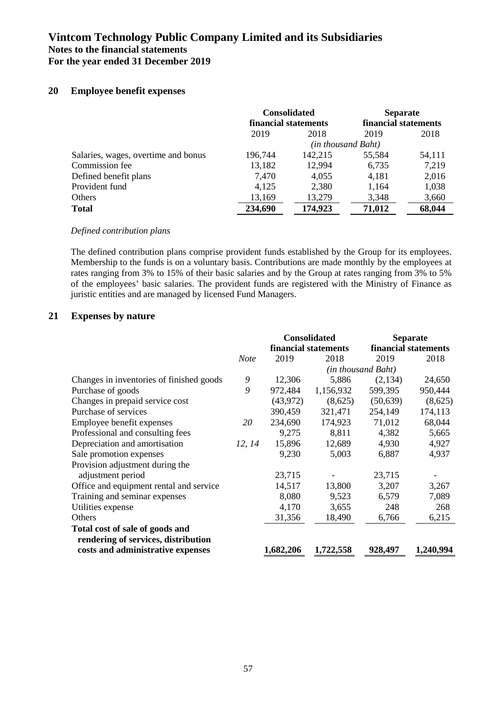### **20 Employee benefit expenses**

|                                     | <b>Consolidated</b><br>financial statements |                    | <b>Separate</b><br>financial statements |        |
|-------------------------------------|---------------------------------------------|--------------------|-----------------------------------------|--------|
|                                     | 2019                                        | 2018               | 2019                                    | 2018   |
|                                     |                                             | (in thousand Baht) |                                         |        |
| Salaries, wages, overtime and bonus | 196,744                                     | 142,215            | 55,584                                  | 54,111 |
| Commission fee                      | 13,182                                      | 12,994             | 6,735                                   | 7,219  |
| Defined benefit plans               | 7,470                                       | 4,055              | 4,181                                   | 2,016  |
| Provident fund                      | 4,125                                       | 2,380              | 1,164                                   | 1,038  |
| Others                              | 13,169                                      | 13,279             | 3,348                                   | 3,660  |
| <b>Total</b>                        | 234,690                                     | 174,923            | 71,012                                  | 68,044 |

#### *Defined contribution plans*

The defined contribution plans comprise provident funds established by the Group for its employees. Membership to the funds is on a voluntary basis. Contributions are made monthly by the employees at rates ranging from 3% to 15% of their basic salaries and by the Group at rates ranging from 3% to 5% of the employees' basic salaries. The provident funds are registered with the Ministry of Finance as juristic entities and are managed by licensed Fund Managers.

### **21 Expenses by nature**

|                                          |             | <b>Consolidated</b> |                      | <b>Separate</b>    |                      |
|------------------------------------------|-------------|---------------------|----------------------|--------------------|----------------------|
|                                          |             |                     | financial statements |                    | financial statements |
|                                          | <b>Note</b> | 2019                | 2018                 | 2019               | 2018                 |
|                                          |             |                     |                      | (in thousand Baht) |                      |
| Changes in inventories of finished goods | 9           | 12,306              | 5,886                | (2,134)            | 24,650               |
| Purchase of goods                        | 9           | 972,484             | 1,156,932            | 599,395            | 950,444              |
| Changes in prepaid service cost          |             | (43, 972)           | (8,625)              | (50, 639)          | (8,625)              |
| Purchase of services                     |             | 390,459             | 321,471              | 254,149            | 174,113              |
| Employee benefit expenses                | 20          | 234,690             | 174,923              | 71,012             | 68,044               |
| Professional and consulting fees         |             | 9,275               | 8,811                | 4,382              | 5,665                |
| Depreciation and amortisation            | 12, 14      | 15,896              | 12,689               | 4,930              | 4,927                |
| Sale promotion expenses                  |             | 9,230               | 5,003                | 6,887              | 4,937                |
| Provision adjustment during the          |             |                     |                      |                    |                      |
| adjustment period                        |             | 23,715              |                      | 23,715             |                      |
| Office and equipment rental and service  |             | 14,517              | 13,800               | 3,207              | 3,267                |
| Training and seminar expenses            |             | 8,080               | 9,523                | 6,579              | 7,089                |
| Utilities expense                        |             | 4,170               | 3,655                | 248                | 268                  |
| Others                                   |             | 31,356              | 18,490               | 6,766              | 6,215                |
| Total cost of sale of goods and          |             |                     |                      |                    |                      |
| rendering of services, distribution      |             |                     |                      |                    |                      |
| costs and administrative expenses        |             | 1,682,206           | 1,722,558            | 928,497            | 1,240,994            |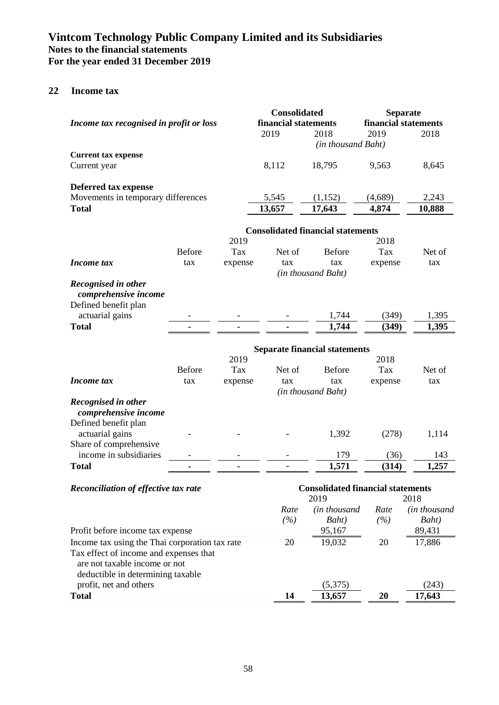### **22 Income tax**

| Income tax recognised in profit or loss                                                                      |               |         | <b>Consolidated</b><br>financial statements      |                                          | <b>Separate</b><br>financial statements |              |
|--------------------------------------------------------------------------------------------------------------|---------------|---------|--------------------------------------------------|------------------------------------------|-----------------------------------------|--------------|
|                                                                                                              |               |         | 2019                                             | 2018                                     | 2019                                    | 2018         |
|                                                                                                              |               |         |                                                  | (in thousand Baht)                       |                                         |              |
| <b>Current tax expense</b>                                                                                   |               |         |                                                  |                                          |                                         |              |
| Current year                                                                                                 |               |         | 8,112                                            | 18,795                                   | 9,563                                   | 8,645        |
|                                                                                                              |               |         |                                                  |                                          |                                         |              |
| Deferred tax expense<br>Movements in temporary differences                                                   |               |         | 5,545                                            | (1,152)                                  | (4,689)                                 | 2,243        |
| <b>Total</b>                                                                                                 |               |         | 13,657                                           | 17,643                                   | 4,874                                   | 10,888       |
|                                                                                                              |               |         |                                                  |                                          |                                         |              |
|                                                                                                              |               |         |                                                  | <b>Consolidated financial statements</b> |                                         |              |
|                                                                                                              |               | 2019    |                                                  |                                          | 2018                                    |              |
|                                                                                                              | <b>Before</b> | Tax     | Net of                                           | <b>Before</b>                            | Tax                                     | Net of       |
| Income tax                                                                                                   | tax           | expense | tax                                              | tax                                      | expense                                 | tax          |
|                                                                                                              |               |         |                                                  | (in thousand Baht)                       |                                         |              |
| Recognised in other<br>comprehensive income                                                                  |               |         |                                                  |                                          |                                         |              |
| Defined benefit plan                                                                                         |               |         |                                                  |                                          |                                         |              |
| actuarial gains                                                                                              |               |         |                                                  | 1,744                                    | (349)                                   | 1,395        |
| <b>Total</b>                                                                                                 |               |         |                                                  | 1,744                                    | (349)                                   | 1,395        |
|                                                                                                              |               |         |                                                  | <b>Separate financial statements</b>     |                                         |              |
|                                                                                                              |               | 2019    |                                                  |                                          | 2018                                    |              |
|                                                                                                              | <b>Before</b> | Tax     | Net of                                           | <b>Before</b>                            | Tax                                     | Net of       |
| Income tax                                                                                                   | tax           | expense | tax                                              | tax                                      | expense                                 | tax          |
|                                                                                                              |               |         |                                                  | (in thousand Baht)                       |                                         |              |
| Recognised in other                                                                                          |               |         |                                                  |                                          |                                         |              |
| comprehensive income                                                                                         |               |         |                                                  |                                          |                                         |              |
| Defined benefit plan                                                                                         |               |         |                                                  |                                          |                                         |              |
| actuarial gains                                                                                              |               |         |                                                  | 1,392                                    | (278)                                   | 1,114        |
| Share of comprehensive                                                                                       |               |         |                                                  |                                          |                                         |              |
| income in subsidiaries                                                                                       |               |         |                                                  | 179                                      | (36)                                    | 143          |
| <b>Total</b>                                                                                                 |               |         |                                                  | 1,571                                    | (314)                                   | 1,257        |
| <b>Reconciliation of effective tax rate</b>                                                                  |               |         | <b>Consolidated financial statements</b><br>2019 |                                          |                                         | 2018         |
|                                                                                                              |               |         | Rate                                             | (in thousand                             | Rate                                    | (in thousand |
|                                                                                                              |               |         | (%)                                              | Baht)                                    | (%)                                     | Baht)        |
| Profit before income tax expense                                                                             |               |         |                                                  | 95,167                                   |                                         | 89,431       |
| Income tax using the Thai corporation tax rate                                                               |               |         | 20                                               | 19,032                                   | 20                                      | 17,886       |
| Tax effect of income and expenses that<br>are not taxable income or not<br>deductible in determining taxable |               |         |                                                  |                                          |                                         |              |
| profit, net and others                                                                                       |               |         |                                                  | (5,375)                                  |                                         | (243)        |
| <b>Total</b>                                                                                                 |               |         | 14                                               | 13,657                                   | 20                                      | 17,643       |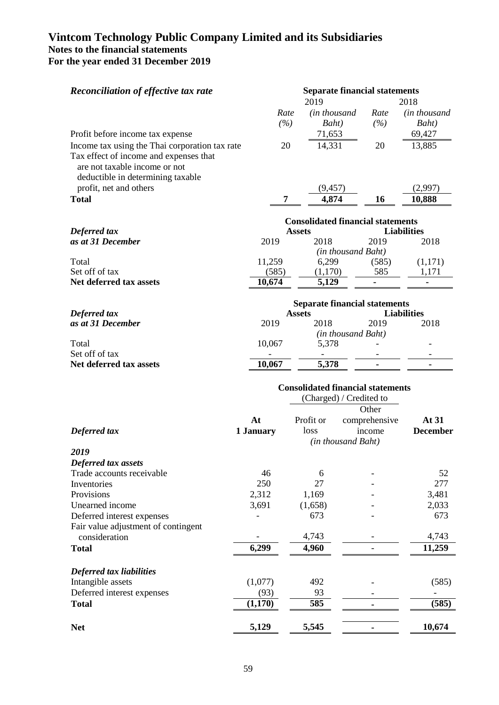| <b>Reconciliation of effective tax rate</b>                                                                                                                    |                 |                                          | <b>Separate financial statements</b> |                            |
|----------------------------------------------------------------------------------------------------------------------------------------------------------------|-----------------|------------------------------------------|--------------------------------------|----------------------------|
|                                                                                                                                                                | Rate            | 2019<br>(in thousand                     | Rate                                 | 2018<br>(in thousand       |
|                                                                                                                                                                | (%)             | Baht)                                    | (%)                                  | Baht)                      |
| Profit before income tax expense                                                                                                                               |                 | 71,653                                   |                                      | 69,427                     |
| Income tax using the Thai corporation tax rate<br>Tax effect of income and expenses that<br>are not taxable income or not<br>deductible in determining taxable | 20              | 14,331                                   | 20                                   | 13,885                     |
| profit, net and others                                                                                                                                         |                 | (9, 457)                                 |                                      | (2,997)                    |
| <b>Total</b>                                                                                                                                                   | 7               | 4,874                                    | 16                                   | 10,888                     |
|                                                                                                                                                                |                 | <b>Consolidated financial statements</b> |                                      |                            |
| Deferred tax                                                                                                                                                   |                 | <b>Assets</b>                            |                                      | <b>Liabilities</b>         |
| as at 31 December                                                                                                                                              | 2019            | 2018                                     | 2019                                 | 2018                       |
|                                                                                                                                                                |                 |                                          | (in thousand Baht)                   |                            |
| Total<br>Set off of tax                                                                                                                                        | 11,259          | 6,299                                    | (585)<br>585                         | (1,171)                    |
| Net deferred tax assets                                                                                                                                        | (585)<br>10,674 | (1,170)<br>5,129                         | $\blacksquare$                       | 1,171<br>$\sim$            |
|                                                                                                                                                                |                 |                                          |                                      |                            |
|                                                                                                                                                                |                 |                                          | <b>Separate financial statements</b> |                            |
| Deferred tax<br>as at 31 December                                                                                                                              | 2019            | <b>Assets</b><br>2018                    | 2019                                 | <b>Liabilities</b><br>2018 |
|                                                                                                                                                                |                 |                                          | (in thousand Baht)                   |                            |
| Total                                                                                                                                                          | 10,067          | 5,378                                    |                                      |                            |
| Set off of tax                                                                                                                                                 |                 |                                          |                                      |                            |
| Net deferred tax assets                                                                                                                                        | 10,067          | 5,378                                    |                                      |                            |
|                                                                                                                                                                |                 | <b>Consolidated financial statements</b> |                                      |                            |
|                                                                                                                                                                |                 |                                          | (Charged) / Credited to              |                            |
|                                                                                                                                                                | At              | Profit or                                | Other                                | At 31                      |
| Deferred tax                                                                                                                                                   | 1 January       | loss                                     | comprehensive<br>income              | <b>December</b>            |
|                                                                                                                                                                |                 |                                          | (in thousand Baht)                   |                            |
| 2019                                                                                                                                                           |                 |                                          |                                      |                            |
| Deferred tax assets                                                                                                                                            |                 |                                          |                                      |                            |
| Trade accounts receivable                                                                                                                                      | 46              | 6                                        |                                      | 52                         |
| Inventories                                                                                                                                                    | 250             | 27                                       |                                      | 277                        |
| Provisions                                                                                                                                                     | 2,312           | 1,169                                    |                                      | 3,481                      |
| Unearned income                                                                                                                                                | 3,691           | (1,658)                                  |                                      | 2,033                      |
| Deferred interest expenses                                                                                                                                     |                 | 673                                      |                                      | 673                        |
| Fair value adjustment of contingent<br>consideration                                                                                                           |                 | 4,743                                    |                                      | 4,743                      |
| <b>Total</b>                                                                                                                                                   | 6,299           | 4,960                                    |                                      | 11,259                     |
|                                                                                                                                                                |                 |                                          |                                      |                            |
| Deferred tax liabilities                                                                                                                                       |                 |                                          |                                      |                            |
| Intangible assets                                                                                                                                              | (1,077)         | 492                                      |                                      | (585)                      |
| Deferred interest expenses                                                                                                                                     | (93)            | 93                                       |                                      | $\overline{\phantom{a}}$   |
| <b>Total</b>                                                                                                                                                   | (1,170)         | 585                                      |                                      | (585)                      |
| <b>Net</b>                                                                                                                                                     | 5,129           | 5,545                                    | $\blacksquare$                       | 10,674                     |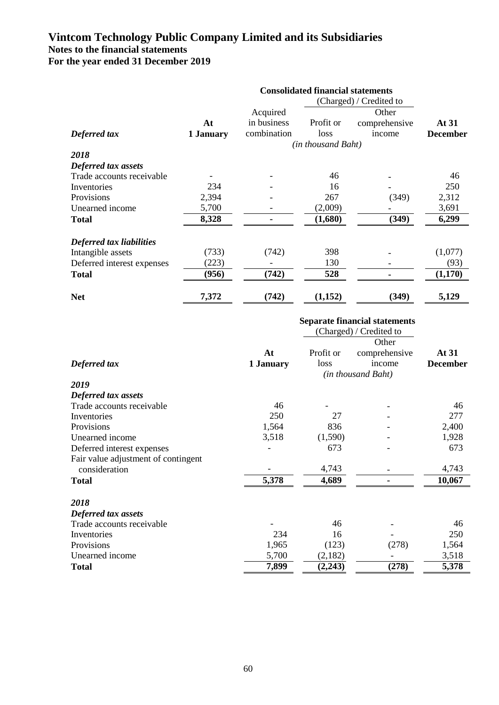|                            | <b>Consolidated financial statements</b> |                    |           |               |                 |  |  |
|----------------------------|------------------------------------------|--------------------|-----------|---------------|-----------------|--|--|
|                            |                                          |                    |           |               |                 |  |  |
|                            |                                          | Acquired           |           | Other         |                 |  |  |
|                            | At                                       | in business        | Profit or | comprehensive | At 31           |  |  |
| Deferred tax               | 1 January                                | combination        | loss      | income        | <b>December</b> |  |  |
|                            |                                          | (in thousand Baht) |           |               |                 |  |  |
| 2018                       |                                          |                    |           |               |                 |  |  |
| Deferred tax assets        |                                          |                    |           |               |                 |  |  |
| Trade accounts receivable  |                                          |                    | 46        |               | 46              |  |  |
| Inventories                | 234                                      |                    | 16        |               | 250             |  |  |
| Provisions                 | 2,394                                    |                    | 267       | (349)         | 2,312           |  |  |
| Unearned income            | 5,700                                    |                    | (2,009)   |               | 3,691           |  |  |
| Total                      | 8,328                                    |                    | (1,680)   | (349)         | 6,299           |  |  |
| Deferred tax liabilities   |                                          |                    |           |               |                 |  |  |
| Intangible assets          | (733)                                    | (742)              | 398       |               | (1,077)         |  |  |
| Deferred interest expenses | (223)                                    |                    | 130       |               | (93)            |  |  |
| <b>Total</b>               | (956)                                    | (742)              | 528       |               | (1,170)         |  |  |
| <b>Net</b>                 | 7,372                                    | (742)              | (1,152)   | (349)         | 5,129           |  |  |

### **Separate financial statements**

|                                     |           | (Charged) / Credited to |                    |                 |
|-------------------------------------|-----------|-------------------------|--------------------|-----------------|
|                                     |           |                         | Other              |                 |
|                                     | At        | Profit or               | comprehensive      | At 31           |
| Deferred tax                        | 1 January | loss                    | income             | <b>December</b> |
|                                     |           |                         | (in thousand Baht) |                 |
| 2019                                |           |                         |                    |                 |
| Deferred tax assets                 |           |                         |                    |                 |
| Trade accounts receivable           | 46        |                         |                    | 46              |
| Inventories                         | 250       | 27                      |                    | 277             |
| Provisions                          | 1,564     | 836                     |                    | 2,400           |
| Unearned income                     | 3,518     | (1,590)                 |                    | 1,928           |
| Deferred interest expenses          |           | 673                     |                    | 673             |
| Fair value adjustment of contingent |           |                         |                    |                 |
| consideration                       |           | 4,743                   |                    | 4,743           |
| <b>Total</b>                        | 5,378     | 4,689                   |                    | 10,067          |
| 2018                                |           |                         |                    |                 |
| Deferred tax assets                 |           |                         |                    |                 |
| Trade accounts receivable           |           | 46                      |                    | 46              |
| Inventories                         | 234       | 16                      |                    | 250             |
| Provisions                          | 1,965     | (123)                   | (278)              | 1,564           |
| Unearned income                     | 5,700     | (2,182)                 |                    | 3,518           |
| <b>Total</b>                        | 7,899     | (2, 243)                | (278)              | 5,378           |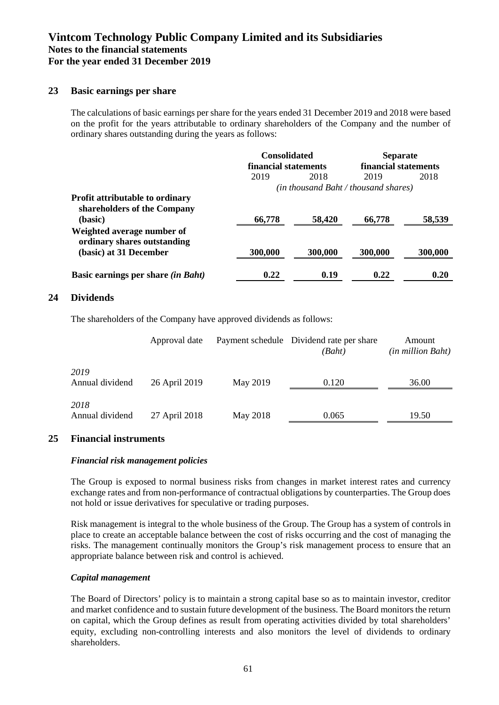### **23 Basic earnings per share**

The calculations of basic earnings per share for the years ended 31 December 2019 and 2018 were based on the profit for the years attributable to ordinary shareholders of the Company and the number of ordinary shares outstanding during the years as follows:

|                                                                       | <b>Consolidated</b><br>financial statements |         | <b>Separate</b><br>financial statements |         |
|-----------------------------------------------------------------------|---------------------------------------------|---------|-----------------------------------------|---------|
|                                                                       | 2019                                        | 2018    | 2019                                    | 2018    |
|                                                                       |                                             |         | (in thousand Baht / thousand shares)    |         |
| <b>Profit attributable to ordinary</b><br>shareholders of the Company |                                             |         |                                         |         |
| (basic)                                                               | 66,778                                      | 58,420  | 66,778                                  | 58,539  |
| Weighted average number of<br>ordinary shares outstanding             |                                             |         |                                         |         |
| (basic) at 31 December                                                | 300,000                                     | 300,000 | 300,000                                 | 300,000 |
| Basic earnings per share <i>(in Baht)</i>                             | 0.22                                        | 0.19    | 0.22                                    | 0.20    |

### **24 Dividends**

The shareholders of the Company have approved dividends as follows:

|                         | Approval date |          | Payment schedule Dividend rate per share<br>(Baht) | Amount<br>(in million Baht) |
|-------------------------|---------------|----------|----------------------------------------------------|-----------------------------|
| 2019<br>Annual dividend | 26 April 2019 | May 2019 | 0.120                                              | 36.00                       |
| 2018<br>Annual dividend | 27 April 2018 | May 2018 | 0.065                                              | 19.50                       |

### **25 Financial instruments**

### *Financial risk management policies*

The Group is exposed to normal business risks from changes in market interest rates and currency exchange rates and from non-performance of contractual obligations by counterparties. The Group does not hold or issue derivatives for speculative or trading purposes.

Risk management is integral to the whole business of the Group. The Group has a system of controls in place to create an acceptable balance between the cost of risks occurring and the cost of managing the risks. The management continually monitors the Group's risk management process to ensure that an appropriate balance between risk and control is achieved.

#### *Capital management*

The Board of Directors' policy is to maintain a strong capital base so as to maintain investor, creditor and market confidence and to sustain future development of the business. The Board monitors the return on capital, which the Group defines as result from operating activities divided by total shareholders' equity, excluding non-controlling interests and also monitors the level of dividends to ordinary shareholders.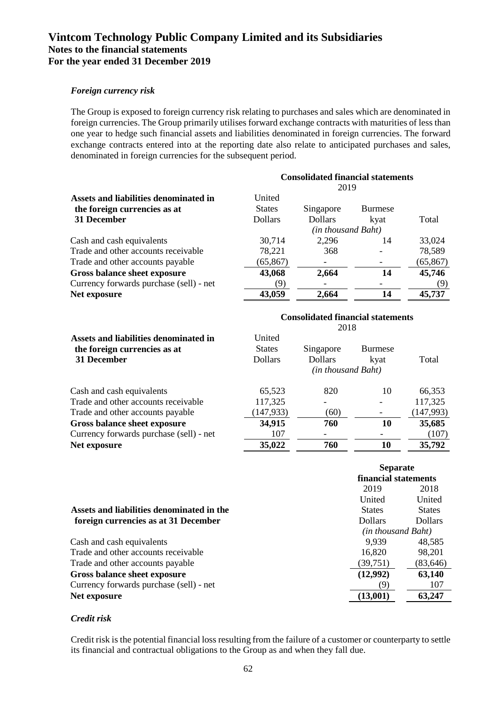### *Foreign currency risk*

The Group is exposed to foreign currency risk relating to purchases and sales which are denominated in foreign currencies. The Group primarily utilises forward exchange contracts with maturities of less than one year to hedge such financial assets and liabilities denominated in foreign currencies. The forward exchange contracts entered into at the reporting date also relate to anticipated purchases and sales, denominated in foreign currencies for the subsequent period.

|                                         | <b>Consolidated financial statements</b><br>2019 |                    |                |           |  |
|-----------------------------------------|--------------------------------------------------|--------------------|----------------|-----------|--|
| Assets and liabilities denominated in   | United                                           |                    |                |           |  |
| the foreign currencies as at            | <b>States</b>                                    | Singapore          | <b>Burmese</b> |           |  |
| 31 December                             | <b>Dollars</b>                                   | <b>Dollars</b>     | kvat           | Total     |  |
|                                         |                                                  | (in thousand Baht) |                |           |  |
| Cash and cash equivalents               | 30,714                                           | 2,296              | 14             | 33,024    |  |
| Trade and other accounts receivable     | 78,221                                           | 368                |                | 78,589    |  |
| Trade and other accounts payable        | (65, 867)                                        |                    |                | (65, 867) |  |
| Gross balance sheet exposure            | 43,068                                           | 2,664              | 14             | 45,746    |  |
| Currency forwards purchase (sell) - net | 9)                                               |                    |                | (9)       |  |
| Net exposure                            | 43,059                                           | 2,664              | 14             | 45,737    |  |

| Assets and liabilities denominated in<br>the foreign currencies as at<br>31 December | <b>Consolidated financial statements</b><br>2018 |                                                   |                        |           |  |
|--------------------------------------------------------------------------------------|--------------------------------------------------|---------------------------------------------------|------------------------|-----------|--|
|                                                                                      | United<br><b>States</b><br><b>Dollars</b>        | Singapore<br><b>Dollars</b><br>(in thousand Baht) | <b>Burmese</b><br>kyat | Total     |  |
| Cash and cash equivalents                                                            | 65,523                                           | 820                                               | 10                     | 66,353    |  |
| Trade and other accounts receivable                                                  | 117,325                                          |                                                   |                        | 117,325   |  |
| Trade and other accounts payable                                                     | (147, 933)                                       | (60)                                              |                        | (147,993) |  |
| Gross balance sheet exposure                                                         | 34,915                                           | 760                                               | 10                     | 35,685    |  |
| Currency forwards purchase (sell) - net                                              | 107                                              |                                                   |                        | (107)     |  |
| Net exposure                                                                         | 35,022                                           | 760                                               | 10                     | 35,792    |  |

|                                           | <b>Separate</b>      |                |  |
|-------------------------------------------|----------------------|----------------|--|
|                                           | financial statements |                |  |
|                                           | 2019<br>2018         |                |  |
|                                           | United               | United         |  |
| Assets and liabilities denominated in the | <b>States</b>        | <b>States</b>  |  |
| foreign currencies as at 31 December      | <b>Dollars</b>       | <b>Dollars</b> |  |
|                                           | (in thousand Baht)   |                |  |
| Cash and cash equivalents                 | 9.939                | 48,585         |  |
| Trade and other accounts receivable       | 16,820               | 98,201         |  |
| Trade and other accounts payable          | (39, 751)            | (83, 646)      |  |
| Gross balance sheet exposure              | (12,992)             | 63,140         |  |
| Currency forwards purchase (sell) - net   | (9)                  | 107            |  |
| Net exposure                              | (13,001)             | 63,247         |  |

### *Credit risk*

Credit risk is the potential financial loss resulting from the failure of a customer or counterparty to settle its financial and contractual obligations to the Group as and when they fall due.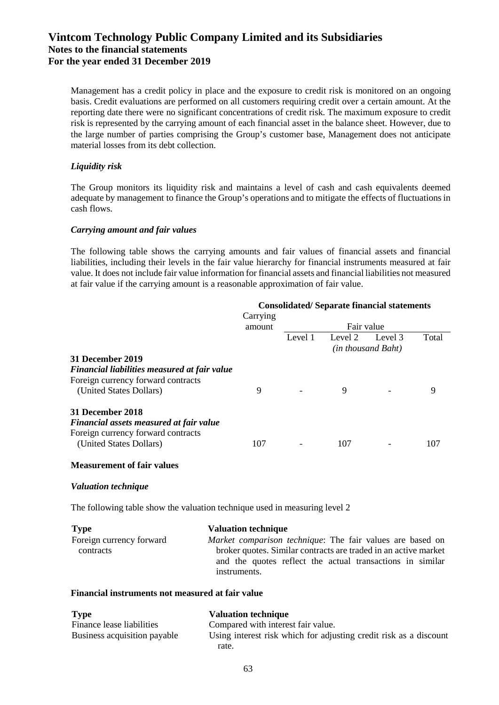Management has a credit policy in place and the exposure to credit risk is monitored on an ongoing basis. Credit evaluations are performed on all customers requiring credit over a certain amount. At the reporting date there were no significant concentrations of credit risk. The maximum exposure to credit risk is represented by the carrying amount of each financial asset in the balance sheet. However, due to the large number of parties comprising the Group's customer base, Management does not anticipate material losses from its debt collection.

### *Liquidity risk*

The Group monitors its liquidity risk and maintains a level of cash and cash equivalents deemed adequate by management to finance the Group's operations and to mitigate the effects of fluctuations in cash flows.

### *Carrying amount and fair values*

The following table shows the carrying amounts and fair values of financial assets and financial liabilities, including their levels in the fair value hierarchy for financial instruments measured at fair value. It does not include fair value information for financial assets and financial liabilities not measured at fair value if the carrying amount is a reasonable approximation of fair value.

|                                                                                                                                          | Carrying | <b>Consolidated/Separate financial statements</b> |         |                               |       |
|------------------------------------------------------------------------------------------------------------------------------------------|----------|---------------------------------------------------|---------|-------------------------------|-------|
|                                                                                                                                          | amount   | Fair value                                        |         |                               |       |
|                                                                                                                                          |          | Level 1                                           | Level 2 | Level 3<br>(in thousand Baht) | Total |
| 31 December 2019<br><b>Financial liabilities measured at fair value</b><br>Foreign currency forward contracts<br>(United States Dollars) | 9        |                                                   | 9       |                               | 9     |
| 31 December 2018<br>Financial assets measured at fair value<br>Foreign currency forward contracts<br>(United States Dollars)             | 107      |                                                   | 107     |                               | 107   |

### **Measurement of fair values**

### *Valuation technique*

The following table show the valuation technique used in measuring level 2

| <b>Type</b>              | <b>Valuation technique</b>                                       |  |  |
|--------------------------|------------------------------------------------------------------|--|--|
| Foreign currency forward | <i>Market comparison technique:</i> The fair values are based on |  |  |
| contracts                | broker quotes. Similar contracts are traded in an active market  |  |  |
|                          | and the quotes reflect the actual transactions in similar        |  |  |
|                          | instruments.                                                     |  |  |

### **Financial instruments not measured at fair value**

| <b>Type</b>                  | <b>Valuation technique</b>                                                 |
|------------------------------|----------------------------------------------------------------------------|
| Finance lease liabilities    | Compared with interest fair value.                                         |
| Business acquisition payable | Using interest risk which for adjusting credit risk as a discount<br>rate. |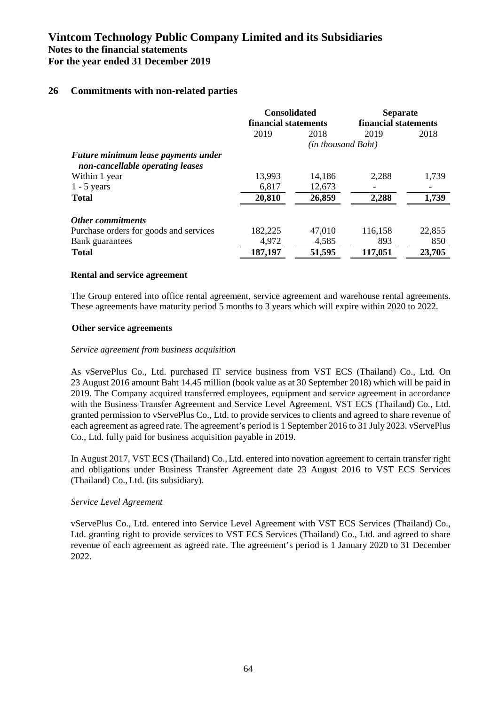### **26 Commitments with non-related parties**

|                                                                         | <b>Consolidated</b><br>financial statements |        | <b>Separate</b><br>financial statements |        |
|-------------------------------------------------------------------------|---------------------------------------------|--------|-----------------------------------------|--------|
|                                                                         | 2019                                        | 2018   | 2019                                    | 2018   |
|                                                                         | (in thousand Baht)                          |        |                                         |        |
| Future minimum lease payments under<br>non-cancellable operating leases |                                             |        |                                         |        |
| Within 1 year                                                           | 13,993                                      | 14,186 | 2,288                                   | 1,739  |
| $1 - 5$ years                                                           | 6,817                                       | 12,673 |                                         |        |
| <b>Total</b>                                                            | 20,810                                      | 26,859 | 2,288                                   | 1,739  |
| <b>Other commitments</b>                                                |                                             |        |                                         |        |
| Purchase orders for goods and services                                  | 182,225                                     | 47,010 | 116,158                                 | 22,855 |
| Bank guarantees                                                         | 4,972                                       | 4,585  | 893                                     | 850    |
| <b>Total</b>                                                            | 187,197                                     | 51,595 | 117,051                                 | 23,705 |

### **Rental and service agreement**

The Group entered into office rental agreement, service agreement and warehouse rental agreements. These agreements have maturity period 5 months to 3 years which will expire within 2020 to 2022.

### **Other service agreements**

#### *Service agreement from business acquisition*

As vServePlus Co., Ltd. purchased IT service business from VST ECS (Thailand) Co., Ltd. On 23 August 2016 amount Baht 14.45 million (book value as at 30 September 2018) which will be paid in 2019. The Company acquired transferred employees, equipment and service agreement in accordance with the Business Transfer Agreement and Service Level Agreement. VST ECS (Thailand) Co., Ltd. granted permission to vServePlus Co., Ltd. to provide services to clients and agreed to share revenue of each agreement as agreed rate. The agreement's period is 1 September 2016 to 31 July 2023. vServePlus Co., Ltd. fully paid for business acquisition payable in 2019.

In August 2017, VST ECS (Thailand) Co., Ltd. entered into novation agreement to certain transfer right and obligations under Business Transfer Agreement date 23 August 2016 to VST ECS Services (Thailand) Co., Ltd. (its subsidiary).

### *Service Level Agreement*

vServePlus Co., Ltd. entered into Service Level Agreement with VST ECS Services (Thailand) Co., Ltd. granting right to provide services to VST ECS Services (Thailand) Co., Ltd. and agreed to share revenue of each agreement as agreed rate. The agreement's period is 1 January 2020 to 31 December 2022.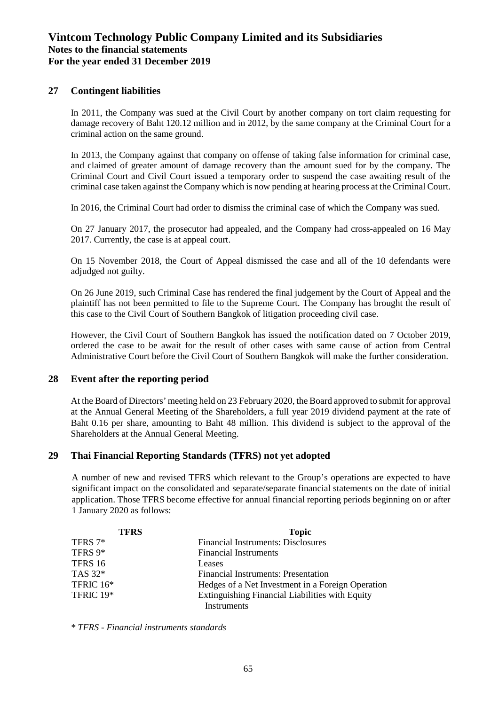### **27 Contingent liabilities**

In 2011, the Company was sued at the Civil Court by another company on tort claim requesting for damage recovery of Baht 120.12 million and in 2012, by the same company at the Criminal Court for a criminal action on the same ground.

In 2013, the Company against that company on offense of taking false information for criminal case, and claimed of greater amount of damage recovery than the amount sued for by the company. The Criminal Court and Civil Court issued a temporary order to suspend the case awaiting result of the criminal case taken against the Company which is now pending at hearing process at the Criminal Court.

In 2016, the Criminal Court had order to dismiss the criminal case of which the Company was sued.

On 27 January 2017, the prosecutor had appealed, and the Company had cross-appealed on 16 May 2017. Currently, the case is at appeal court.

On 15 November 2018, the Court of Appeal dismissed the case and all of the 10 defendants were adjudged not guilty.

On 26 June 2019, such Criminal Case has rendered the final judgement by the Court of Appeal and the plaintiff has not been permitted to file to the Supreme Court. The Company has brought the result of this case to the Civil Court of Southern Bangkok of litigation proceeding civil case.

However, the Civil Court of Southern Bangkok has issued the notification dated on 7 October 2019, ordered the case to be await for the result of other cases with same cause of action from Central Administrative Court before the Civil Court of Southern Bangkok will make the further consideration.

### **28 Event after the reporting period**

At the Board of Directors' meeting held on 23 February 2020, the Board approved to submit for approval at the Annual General Meeting of the Shareholders, a full year 2019 dividend payment at the rate of Baht 0.16 per share, amounting to Baht 48 million. This dividend is subject to the approval of the Shareholders at the Annual General Meeting.

### **29 Thai Financial Reporting Standards (TFRS) not yet adopted**

A number of new and revised TFRS which relevant to the Group's operations are expected to have significant impact on the consolidated and separate/separate financial statements on the date of initial application. Those TFRS become effective for annual financial reporting periods beginning on or after 1 January 2020 as follows:

| <b>TFRS</b> | <b>Topic</b>                                           |
|-------------|--------------------------------------------------------|
| TFRS 7*     | <b>Financial Instruments: Disclosures</b>              |
| TFRS 9*     | <b>Financial Instruments</b>                           |
| TFRS 16     | Leases                                                 |
| TAS 32*     | Financial Instruments: Presentation                    |
| TFRIC 16*   | Hedges of a Net Investment in a Foreign Operation      |
| TFRIC 19*   | <b>Extinguishing Financial Liabilities with Equity</b> |
|             | Instruments                                            |

*\* TFRS - Financial instruments standards*